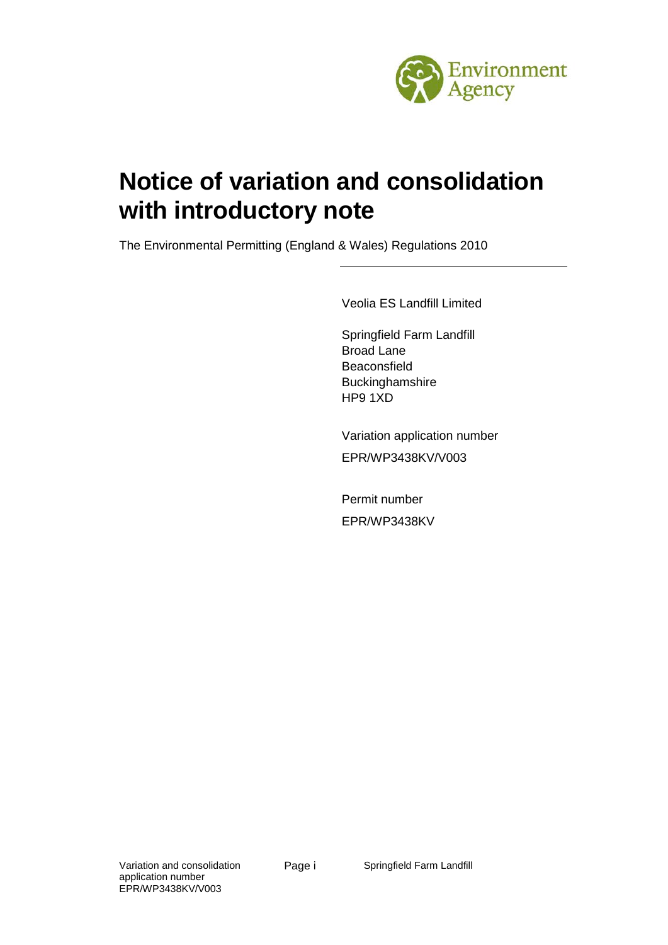

# **Notice of variation and consolidation with introductory note**

The Environmental Permitting (England & Wales) Regulations 2010

Veolia ES Landfill Limited

Springfield Farm Landfill Broad Lane Beaconsfield Buckinghamshire HP9 1XD

Variation application number EPR/WP3438KV/V003

Permit number EPR/WP3438KV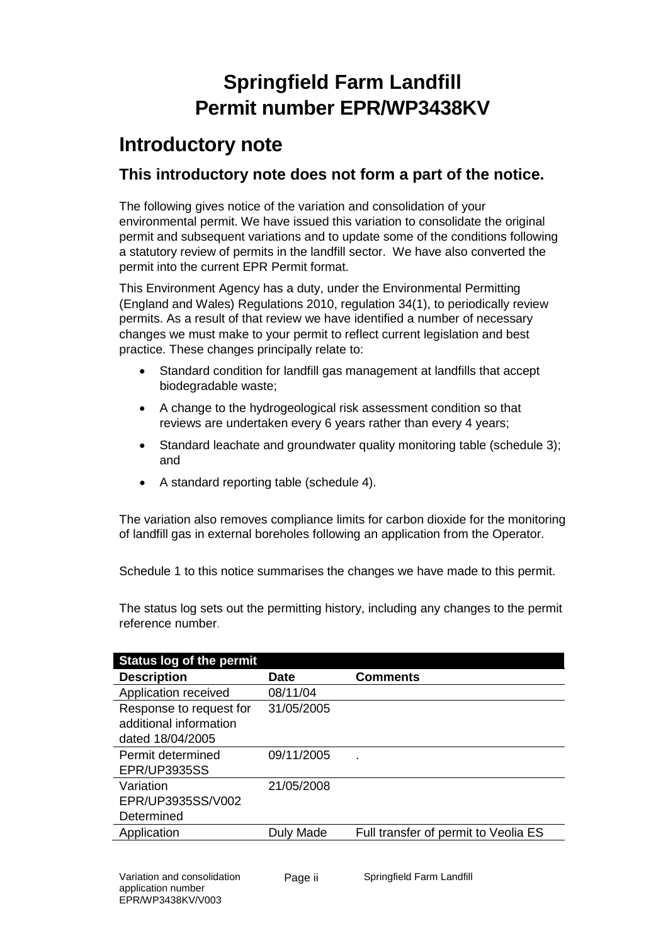# **Springfield Farm Landfill Permit number EPR/WP3438KV**

## **Introductory note**

#### **This introductory note does not form a part of the notice.**

The following gives notice of the variation and consolidation of your environmental permit. We have issued this variation to consolidate the original permit and subsequent variations and to update some of the conditions following a statutory review of permits in the landfill sector. We have also converted the permit into the current EPR Permit format.

This Environment Agency has a duty, under the Environmental Permitting (England and Wales) Regulations 2010, regulation 34(1), to periodically review permits. As a result of that review we have identified a number of necessary changes we must make to your permit to reflect current legislation and best practice. These changes principally relate to:

- Standard condition for landfill gas management at landfills that accept biodegradable waste;
- A change to the hydrogeological risk assessment condition so that reviews are undertaken every 6 years rather than every 4 years;
- Standard leachate and groundwater quality monitoring table (schedule 3); and
- A standard reporting table (schedule 4).

The variation also removes compliance limits for carbon dioxide for the monitoring of landfill gas in external boreholes following an application from the Operator.

Schedule 1 to this notice summarises the changes we have made to this permit.

The status log sets out the permitting history, including any changes to the permit reference number.

| <b>Status log of the permit</b> |             |                                      |
|---------------------------------|-------------|--------------------------------------|
| <b>Description</b>              | <b>Date</b> | <b>Comments</b>                      |
| Application received            | 08/11/04    |                                      |
| Response to request for         | 31/05/2005  |                                      |
| additional information          |             |                                      |
| dated 18/04/2005                |             |                                      |
| Permit determined               | 09/11/2005  |                                      |
| <b>EPR/UP3935SS</b>             |             |                                      |
| Variation                       | 21/05/2008  |                                      |
| EPR/UP3935SS/V002               |             |                                      |
| Determined                      |             |                                      |
| Application                     | Duly Made   | Full transfer of permit to Veolia ES |
|                                 |             |                                      |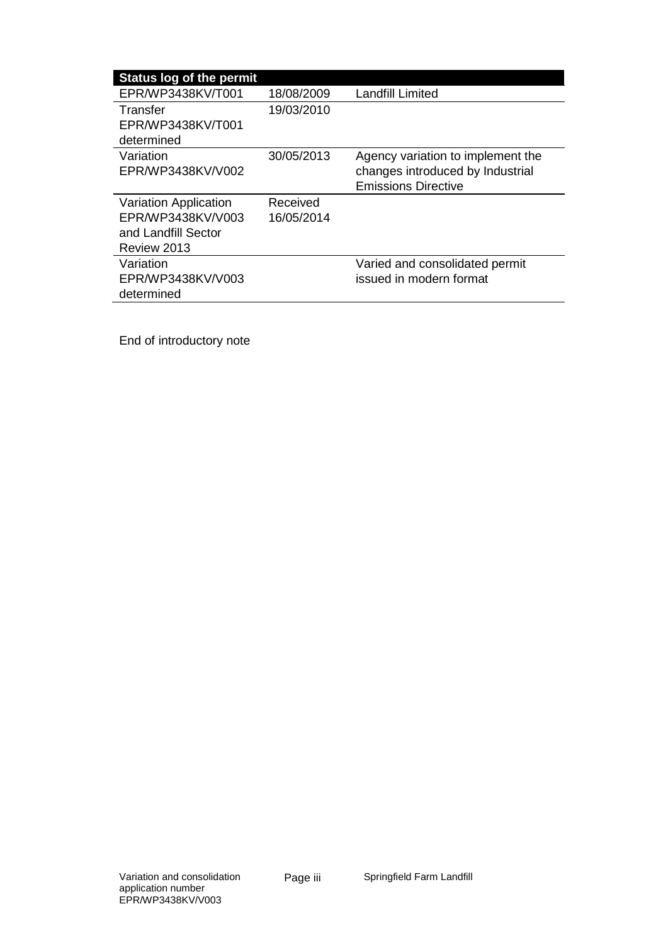| <b>Status log of the permit</b> |            |                                   |
|---------------------------------|------------|-----------------------------------|
| EPR/WP3438KV/T001               | 18/08/2009 | Landfill Limited                  |
| Transfer                        | 19/03/2010 |                                   |
| EPR/WP3438KV/T001               |            |                                   |
| determined                      |            |                                   |
| Variation                       | 30/05/2013 | Agency variation to implement the |
| EPR/WP3438KV/V002               |            | changes introduced by Industrial  |
|                                 |            | <b>Emissions Directive</b>        |
| <b>Variation Application</b>    | Received   |                                   |
| EPR/WP3438KV/V003               | 16/05/2014 |                                   |
| and Landfill Sector             |            |                                   |
| Review 2013                     |            |                                   |
| Variation                       |            | Varied and consolidated permit    |
| EPR/WP3438KV/V003               |            | issued in modern format           |
| determined                      |            |                                   |

End of introductory note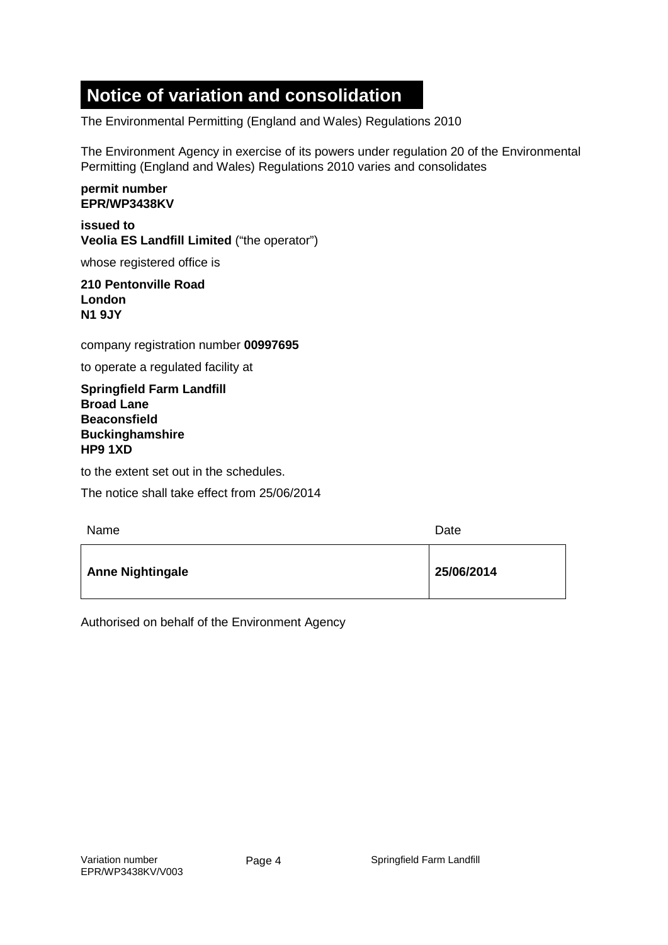## **Notice of variation and consolidation**

The Environmental Permitting (England and Wales) Regulations 2010

The Environment Agency in exercise of its powers under regulation 20 of the Environmental Permitting (England and Wales) Regulations 2010 varies and consolidates

#### **permit number EPR/WP3438KV**

**issued to Veolia ES Landfill Limited** ("the operator")

whose registered office is

#### **210 Pentonville Road London N1 9JY**

company registration number **00997695**

to operate a regulated facility at

**Springfield Farm Landfill Broad Lane Beaconsfield Buckinghamshire HP9 1XD**

to the extent set out in the schedules.

The notice shall take effect from 25/06/2014

| Name                    | Date       |
|-------------------------|------------|
| <b>Anne Nightingale</b> | 25/06/2014 |

Authorised on behalf of the Environment Agency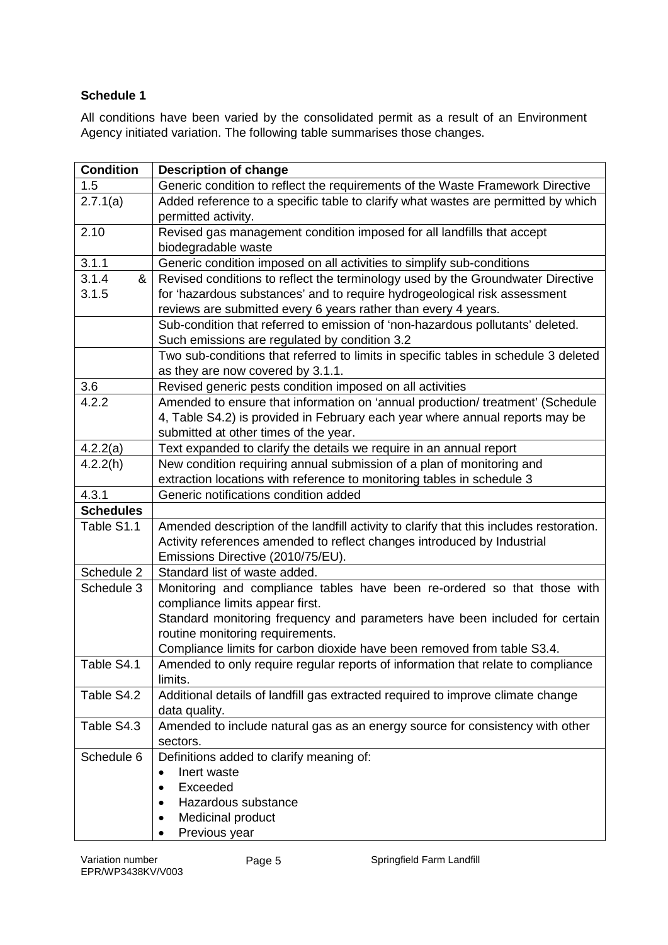#### **Schedule 1**

All conditions have been varied by the consolidated permit as a result of an Environment Agency initiated variation. The following table summarises those changes.

| Generic condition to reflect the requirements of the Waste Framework Directive          |
|-----------------------------------------------------------------------------------------|
| Added reference to a specific table to clarify what wastes are permitted by which       |
|                                                                                         |
|                                                                                         |
|                                                                                         |
|                                                                                         |
| Revised conditions to reflect the terminology used by the Groundwater Directive         |
| for 'hazardous substances' and to require hydrogeological risk assessment               |
|                                                                                         |
| Sub-condition that referred to emission of 'non-hazardous pollutants' deleted.          |
|                                                                                         |
| Two sub-conditions that referred to limits in specific tables in schedule 3 deleted     |
|                                                                                         |
|                                                                                         |
| Amended to ensure that information on 'annual production/ treatment' (Schedule          |
| 4, Table S4.2) is provided in February each year where annual reports may be            |
|                                                                                         |
|                                                                                         |
|                                                                                         |
|                                                                                         |
|                                                                                         |
|                                                                                         |
| Amended description of the landfill activity to clarify that this includes restoration. |
|                                                                                         |
|                                                                                         |
|                                                                                         |
| Monitoring and compliance tables have been re-ordered so that those with                |
|                                                                                         |
| Standard monitoring frequency and parameters have been included for certain             |
|                                                                                         |
| Compliance limits for carbon dioxide have been removed from table S3.4.                 |
| Amended to only require regular reports of information that relate to compliance        |
|                                                                                         |
| Additional details of landfill gas extracted required to improve climate change         |
| Amended to include natural gas as an energy source for consistency with other           |
|                                                                                         |
|                                                                                         |
|                                                                                         |
|                                                                                         |
|                                                                                         |
|                                                                                         |
|                                                                                         |
|                                                                                         |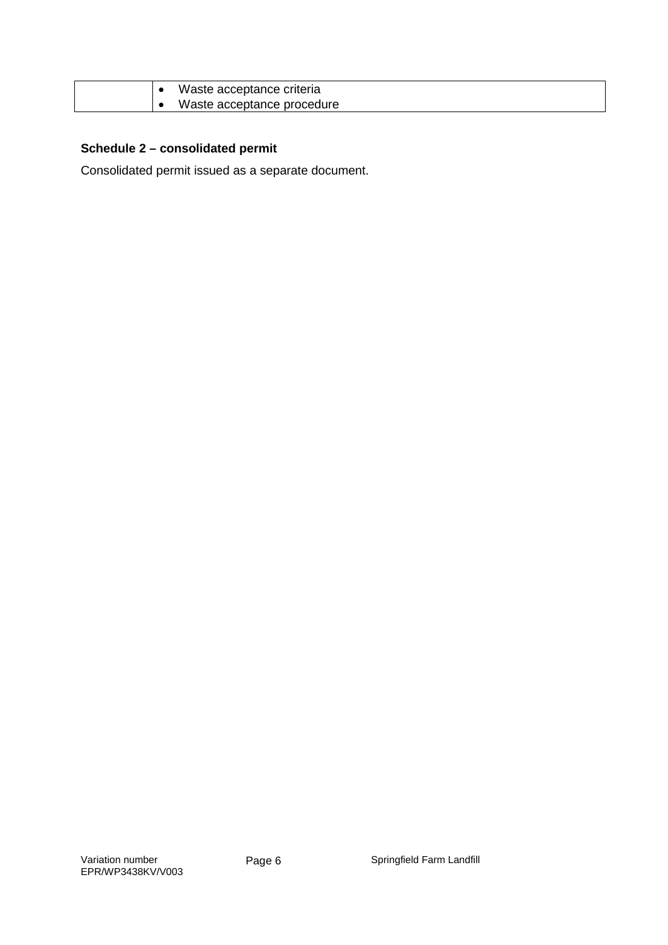| Waste acceptance criteria  |
|----------------------------|
| Waste acceptance procedure |

#### **Schedule 2 – consolidated permit**

Consolidated permit issued as a separate document.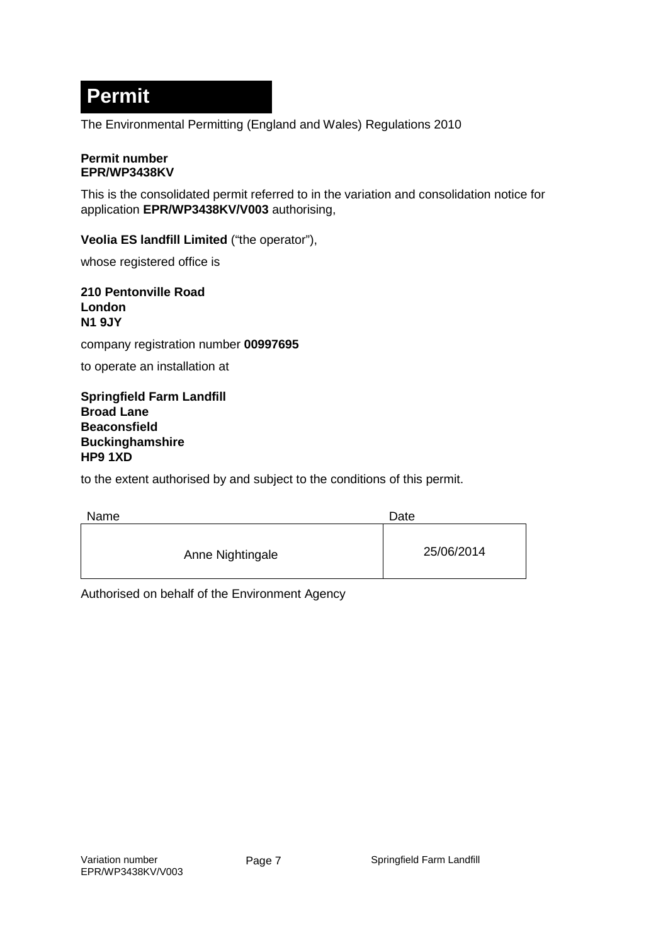## **Permit**

The Environmental Permitting (England and Wales) Regulations 2010

#### **Permit number EPR/WP3438KV**

This is the consolidated permit referred to in the variation and consolidation notice for application **EPR/WP3438KV/V003** authorising,

**Veolia ES landfill Limited** ("the operator"),

whose registered office is

**210 Pentonville Road London N1 9JY**

company registration number **00997695**

to operate an installation at

**Springfield Farm Landfill Broad Lane Beaconsfield Buckinghamshire HP9 1XD**

to the extent authorised by and subject to the conditions of this permit.

| <b>Name</b>      | Date       |
|------------------|------------|
| Anne Nightingale | 25/06/2014 |

Authorised on behalf of the Environment Agency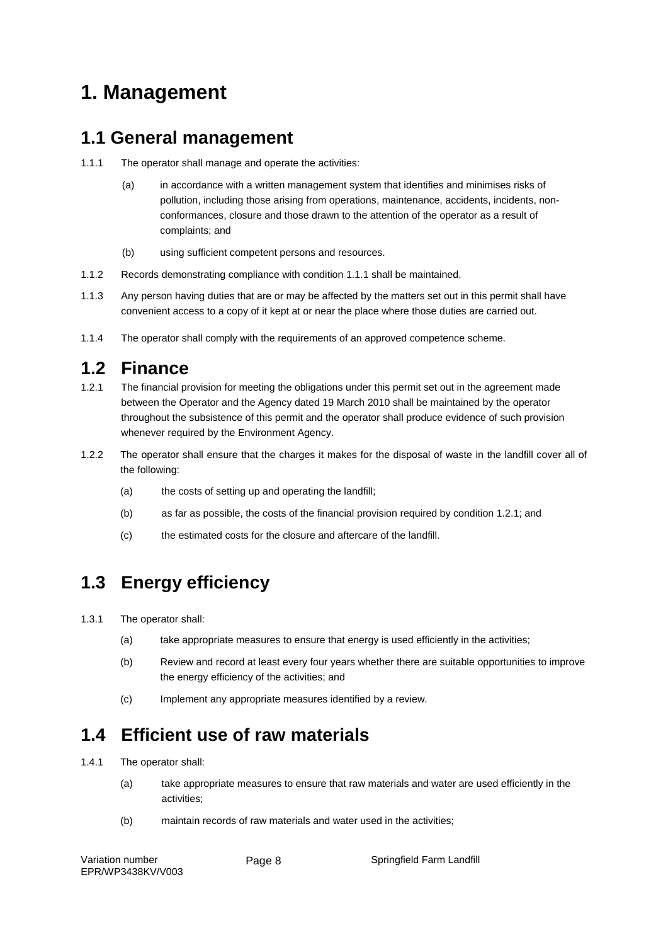## **1. Management**

#### **1.1 General management**

- 1.1.1 The operator shall manage and operate the activities:
	- (a) in accordance with a written management system that identifies and minimises risks of pollution, including those arising from operations, maintenance, accidents, incidents, nonconformances, closure and those drawn to the attention of the operator as a result of complaints; and
	- (b) using sufficient competent persons and resources.
- 1.1.2 Records demonstrating compliance with condition 1.1.1 shall be maintained.
- 1.1.3 Any person having duties that are or may be affected by the matters set out in this permit shall have convenient access to a copy of it kept at or near the place where those duties are carried out.
- 1.1.4 The operator shall comply with the requirements of an approved competence scheme.

#### **1.2 Finance**

- 1.2.1 The financial provision for meeting the obligations under this permit set out in the agreement made between the Operator and the Agency dated 19 March 2010 shall be maintained by the operator throughout the subsistence of this permit and the operator shall produce evidence of such provision whenever required by the Environment Agency.
- 1.2.2 The operator shall ensure that the charges it makes for the disposal of waste in the landfill cover all of the following:
	- (a) the costs of setting up and operating the landfill:
	- (b) as far as possible, the costs of the financial provision required by condition 1.2.1; and
	- (c) the estimated costs for the closure and aftercare of the landfill.

### **1.3 Energy efficiency**

- 1.3.1 The operator shall:
	- (a) take appropriate measures to ensure that energy is used efficiently in the activities;
	- (b) Review and record at least every four years whether there are suitable opportunities to improve the energy efficiency of the activities; and
	- (c) Implement any appropriate measures identified by a review.

#### **1.4 Efficient use of raw materials**

- 1.4.1 The operator shall:
	- (a) take appropriate measures to ensure that raw materials and water are used efficiently in the activities;
	- (b) maintain records of raw materials and water used in the activities;

Page 8 Springfield Farm Landfill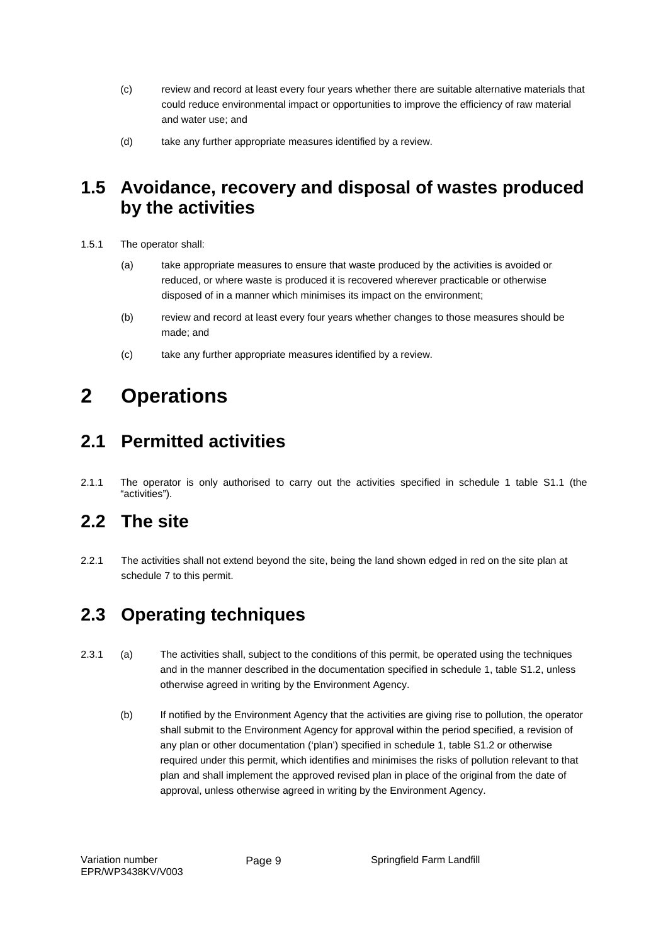- (c) review and record at least every four years whether there are suitable alternative materials that could reduce environmental impact or opportunities to improve the efficiency of raw material and water use; and
- (d) take any further appropriate measures identified by a review.

#### **1.5 Avoidance, recovery and disposal of wastes produced by the activities**

- 1.5.1 The operator shall:
	- (a) take appropriate measures to ensure that waste produced by the activities is avoided or reduced, or where waste is produced it is recovered wherever practicable or otherwise disposed of in a manner which minimises its impact on the environment;
	- (b) review and record at least every four years whether changes to those measures should be made; and
	- (c) take any further appropriate measures identified by a review.

## **2 Operations**

### **2.1 Permitted activities**

2.1.1 The operator is only authorised to carry out the activities specified in schedule 1 table S1.1 (the "activities").

### **2.2 The site**

2.2.1 The activities shall not extend beyond the site, being the land shown edged in red on the site plan at schedule 7 to this permit.

### **2.3 Operating techniques**

- 2.3.1 (a) The activities shall, subject to the conditions of this permit, be operated using the techniques and in the manner described in the documentation specified in schedule 1, table S1.2, unless otherwise agreed in writing by the Environment Agency.
	- (b) If notified by the Environment Agency that the activities are giving rise to pollution, the operator shall submit to the Environment Agency for approval within the period specified, a revision of any plan or other documentation ('plan') specified in schedule 1, table S1.2 or otherwise required under this permit, which identifies and minimises the risks of pollution relevant to that plan and shall implement the approved revised plan in place of the original from the date of approval, unless otherwise agreed in writing by the Environment Agency.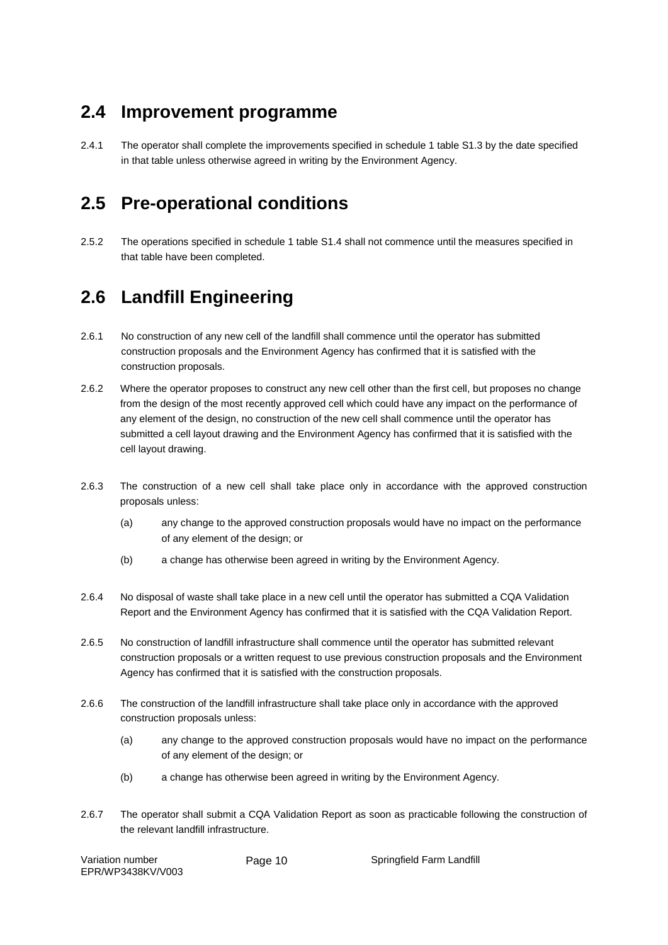### **2.4 Improvement programme**

2.4.1 The operator shall complete the improvements specified in schedule 1 table S1.3 by the date specified in that table unless otherwise agreed in writing by the Environment Agency.

### **2.5 Pre-operational conditions**

2.5.2 The operations specified in schedule 1 table S1.4 shall not commence until the measures specified in that table have been completed.

## **2.6 Landfill Engineering**

- 2.6.1 No construction of any new cell of the landfill shall commence until the operator has submitted construction proposals and the Environment Agency has confirmed that it is satisfied with the construction proposals.
- 2.6.2 Where the operator proposes to construct any new cell other than the first cell, but proposes no change from the design of the most recently approved cell which could have any impact on the performance of any element of the design, no construction of the new cell shall commence until the operator has submitted a cell layout drawing and the Environment Agency has confirmed that it is satisfied with the cell layout drawing.
- 2.6.3 The construction of a new cell shall take place only in accordance with the approved construction proposals unless:
	- (a) any change to the approved construction proposals would have no impact on the performance of any element of the design; or
	- (b) a change has otherwise been agreed in writing by the Environment Agency.
- 2.6.4 No disposal of waste shall take place in a new cell until the operator has submitted a CQA Validation Report and the Environment Agency has confirmed that it is satisfied with the CQA Validation Report.
- 2.6.5 No construction of landfill infrastructure shall commence until the operator has submitted relevant construction proposals or a written request to use previous construction proposals and the Environment Agency has confirmed that it is satisfied with the construction proposals.
- 2.6.6 The construction of the landfill infrastructure shall take place only in accordance with the approved construction proposals unless:
	- (a) any change to the approved construction proposals would have no impact on the performance of any element of the design; or
	- (b) a change has otherwise been agreed in writing by the Environment Agency.
- 2.6.7 The operator shall submit a CQA Validation Report as soon as practicable following the construction of the relevant landfill infrastructure.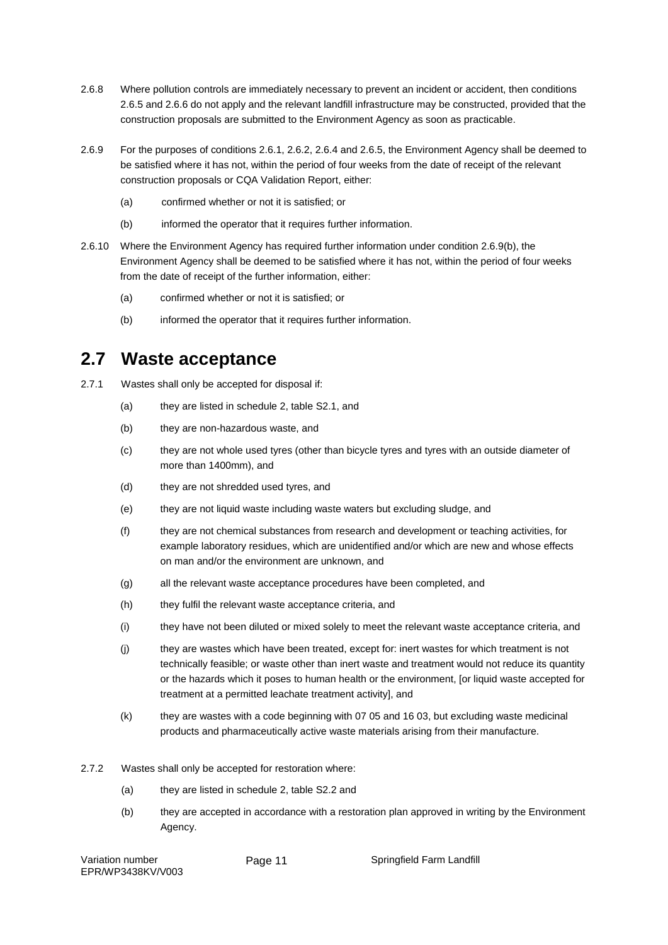- 2.6.8 Where pollution controls are immediately necessary to prevent an incident or accident, then conditions 2.6.5 and 2.6.6 do not apply and the relevant landfill infrastructure may be constructed, provided that the construction proposals are submitted to the Environment Agency as soon as practicable.
- 2.6.9 For the purposes of conditions 2.6.1, 2.6.2, 2.6.4 and 2.6.5, the Environment Agency shall be deemed to be satisfied where it has not, within the period of four weeks from the date of receipt of the relevant construction proposals or CQA Validation Report, either:
	- (a) confirmed whether or not it is satisfied; or
	- (b) informed the operator that it requires further information.
- 2.6.10 Where the Environment Agency has required further information under condition 2.6.9(b), the Environment Agency shall be deemed to be satisfied where it has not, within the period of four weeks from the date of receipt of the further information, either:
	- (a) confirmed whether or not it is satisfied; or
	- (b) informed the operator that it requires further information.

#### **2.7 Waste acceptance**

- 2.7.1 Wastes shall only be accepted for disposal if:
	- (a) they are listed in schedule 2, table S2.1, and
	- (b) they are non-hazardous waste, and
	- (c) they are not whole used tyres (other than bicycle tyres and tyres with an outside diameter of more than 1400mm), and
	- (d) they are not shredded used tyres, and
	- (e) they are not liquid waste including waste waters but excluding sludge, and
	- (f) they are not chemical substances from research and development or teaching activities, for example laboratory residues, which are unidentified and/or which are new and whose effects on man and/or the environment are unknown, and
	- (g) all the relevant waste acceptance procedures have been completed, and
	- (h) they fulfil the relevant waste acceptance criteria, and
	- (i) they have not been diluted or mixed solely to meet the relevant waste acceptance criteria, and
	- (j) they are wastes which have been treated, except for: inert wastes for which treatment is not technically feasible; or waste other than inert waste and treatment would not reduce its quantity or the hazards which it poses to human health or the environment, [or liquid waste accepted for treatment at a permitted leachate treatment activity], and
	- (k) they are wastes with a code beginning with 07 05 and 16 03, but excluding waste medicinal products and pharmaceutically active waste materials arising from their manufacture.
- 2.7.2 Wastes shall only be accepted for restoration where:
	- (a) they are listed in schedule 2, table S2.2 and
	- (b) they are accepted in accordance with a restoration plan approved in writing by the Environment Agency.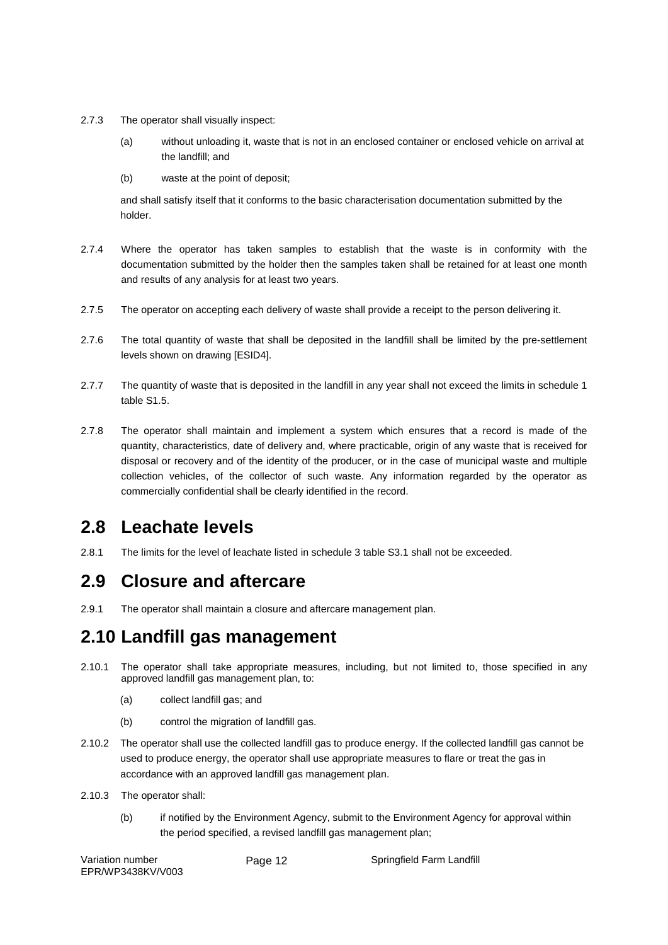- 2.7.3 The operator shall visually inspect:
	- (a) without unloading it, waste that is not in an enclosed container or enclosed vehicle on arrival at the landfill; and
	- (b) waste at the point of deposit;

and shall satisfy itself that it conforms to the basic characterisation documentation submitted by the holder.

- 2.7.4 Where the operator has taken samples to establish that the waste is in conformity with the documentation submitted by the holder then the samples taken shall be retained for at least one month and results of any analysis for at least two years.
- 2.7.5 The operator on accepting each delivery of waste shall provide a receipt to the person delivering it.
- 2.7.6 The total quantity of waste that shall be deposited in the landfill shall be limited by the pre-settlement levels shown on drawing [ESID4].
- 2.7.7 The quantity of waste that is deposited in the landfill in any year shall not exceed the limits in schedule 1 table S1.5.
- 2.7.8 The operator shall maintain and implement a system which ensures that a record is made of the quantity, characteristics, date of delivery and, where practicable, origin of any waste that is received for disposal or recovery and of the identity of the producer, or in the case of municipal waste and multiple collection vehicles, of the collector of such waste. Any information regarded by the operator as commercially confidential shall be clearly identified in the record.

### **2.8 Leachate levels**

2.8.1 The limits for the level of leachate listed in schedule 3 table S3.1 shall not be exceeded.

### **2.9 Closure and aftercare**

2.9.1 The operator shall maintain a closure and aftercare management plan.

### **2.10 Landfill gas management**

- 2.10.1 The operator shall take appropriate measures, including, but not limited to, those specified in any approved landfill gas management plan, to:
	- (a) collect landfill gas; and
	- (b) control the migration of landfill gas.
- 2.10.2 The operator shall use the collected landfill gas to produce energy. If the collected landfill gas cannot be used to produce energy, the operator shall use appropriate measures to flare or treat the gas in accordance with an approved landfill gas management plan.
- 2.10.3 The operator shall:
	- (b) if notified by the Environment Agency, submit to the Environment Agency for approval within the period specified, a revised landfill gas management plan;

Variation number EPR/WP3438KV/V003

Page 12 Springfield Farm Landfill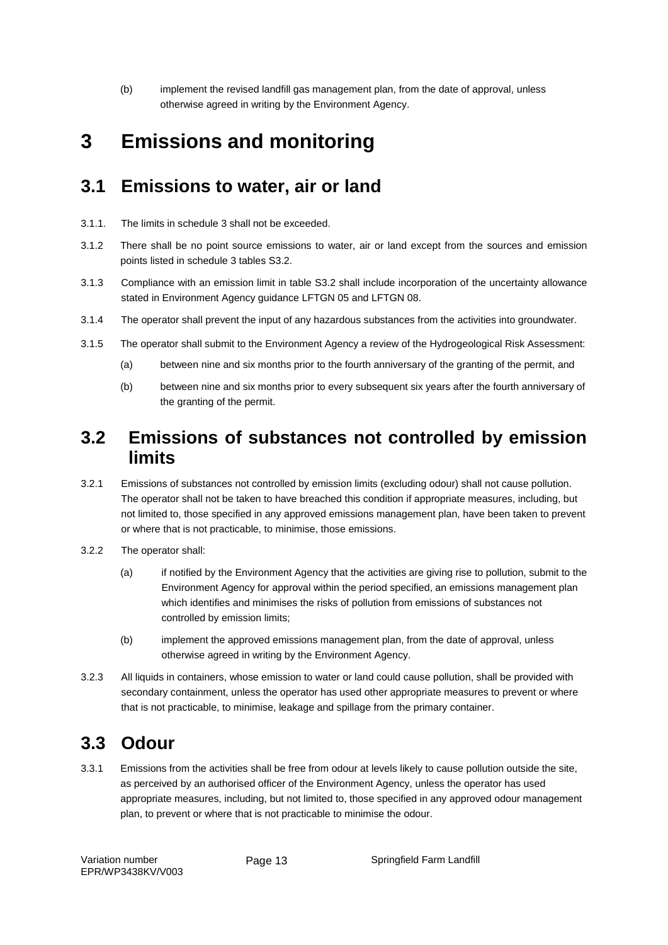(b) implement the revised landfill gas management plan, from the date of approval, unless otherwise agreed in writing by the Environment Agency.

## **3 Emissions and monitoring**

#### **3.1 Emissions to water, air or land**

- 3.1.1. The limits in schedule 3 shall not be exceeded.
- 3.1.2 There shall be no point source emissions to water, air or land except from the sources and emission points listed in schedule 3 tables S3.2.
- 3.1.3 Compliance with an emission limit in table S3.2 shall include incorporation of the uncertainty allowance stated in Environment Agency guidance LFTGN 05 and LFTGN 08.
- 3.1.4 The operator shall prevent the input of any hazardous substances from the activities into groundwater.
- 3.1.5 The operator shall submit to the Environment Agency a review of the Hydrogeological Risk Assessment:
	- (a) between nine and six months prior to the fourth anniversary of the granting of the permit, and
	- (b) between nine and six months prior to every subsequent six years after the fourth anniversary of the granting of the permit.

#### **3.2 Emissions of substances not controlled by emission limits**

- 3.2.1 Emissions of substances not controlled by emission limits (excluding odour) shall not cause pollution. The operator shall not be taken to have breached this condition if appropriate measures, including, but not limited to, those specified in any approved emissions management plan, have been taken to prevent or where that is not practicable, to minimise, those emissions.
- 3.2.2 The operator shall:
	- (a) if notified by the Environment Agency that the activities are giving rise to pollution, submit to the Environment Agency for approval within the period specified, an emissions management plan which identifies and minimises the risks of pollution from emissions of substances not controlled by emission limits;
	- (b) implement the approved emissions management plan, from the date of approval, unless otherwise agreed in writing by the Environment Agency.
- 3.2.3 All liquids in containers, whose emission to water or land could cause pollution, shall be provided with secondary containment, unless the operator has used other appropriate measures to prevent or where that is not practicable, to minimise, leakage and spillage from the primary container.

### **3.3 Odour**

3.3.1 Emissions from the activities shall be free from odour at levels likely to cause pollution outside the site, as perceived by an authorised officer of the Environment Agency, unless the operator has used appropriate measures, including, but not limited to, those specified in any approved odour management plan, to prevent or where that is not practicable to minimise the odour.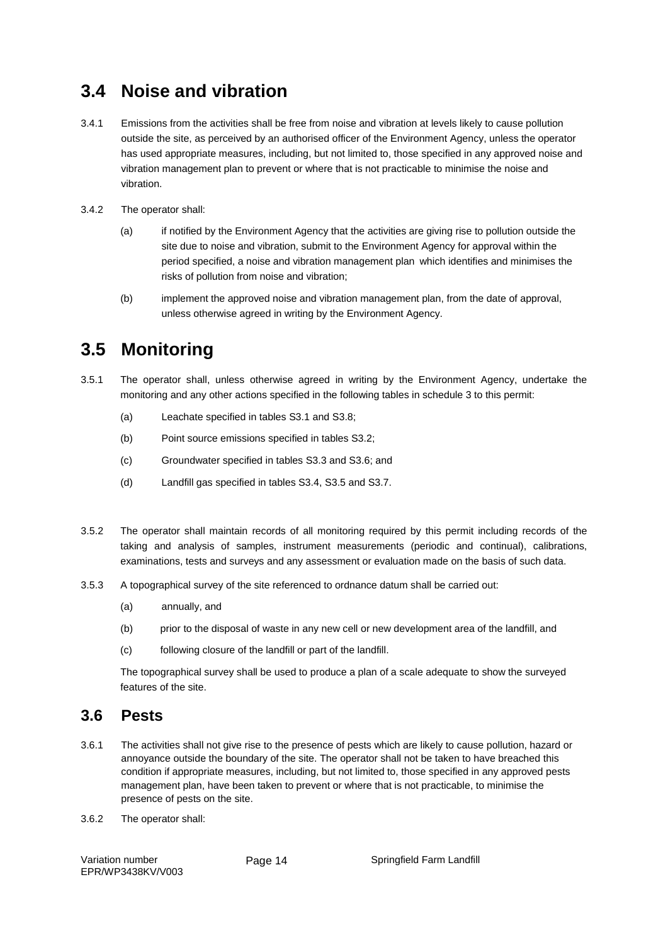#### **3.4 Noise and vibration**

- 3.4.1 Emissions from the activities shall be free from noise and vibration at levels likely to cause pollution outside the site, as perceived by an authorised officer of the Environment Agency, unless the operator has used appropriate measures, including, but not limited to, those specified in any approved noise and vibration management plan to prevent or where that is not practicable to minimise the noise and vibration.
- 3.4.2 The operator shall:
	- (a) if notified by the Environment Agency that the activities are giving rise to pollution outside the site due to noise and vibration, submit to the Environment Agency for approval within the period specified, a noise and vibration management plan which identifies and minimises the risks of pollution from noise and vibration;
	- (b) implement the approved noise and vibration management plan, from the date of approval, unless otherwise agreed in writing by the Environment Agency.

### **3.5 Monitoring**

- 3.5.1 The operator shall, unless otherwise agreed in writing by the Environment Agency, undertake the monitoring and any other actions specified in the following tables in schedule 3 to this permit:
	- (a) Leachate specified in tables S3.1 and S3.8;
	- (b) Point source emissions specified in tables S3.2;
	- (c) Groundwater specified in tables S3.3 and S3.6; and
	- (d) Landfill gas specified in tables S3.4, S3.5 and S3.7.
- 3.5.2 The operator shall maintain records of all monitoring required by this permit including records of the taking and analysis of samples, instrument measurements (periodic and continual), calibrations, examinations, tests and surveys and any assessment or evaluation made on the basis of such data.
- 3.5.3 A topographical survey of the site referenced to ordnance datum shall be carried out:
	- (a) annually, and
	- (b) prior to the disposal of waste in any new cell or new development area of the landfill, and
	- (c) following closure of the landfill or part of the landfill.

The topographical survey shall be used to produce a plan of a scale adequate to show the surveyed features of the site.

#### **3.6 Pests**

- 3.6.1 The activities shall not give rise to the presence of pests which are likely to cause pollution, hazard or annoyance outside the boundary of the site. The operator shall not be taken to have breached this condition if appropriate measures, including, but not limited to, those specified in any approved pests management plan, have been taken to prevent or where that is not practicable, to minimise the presence of pests on the site.
- 3.6.2 The operator shall:

Variation number EPR/WP3438KV/V003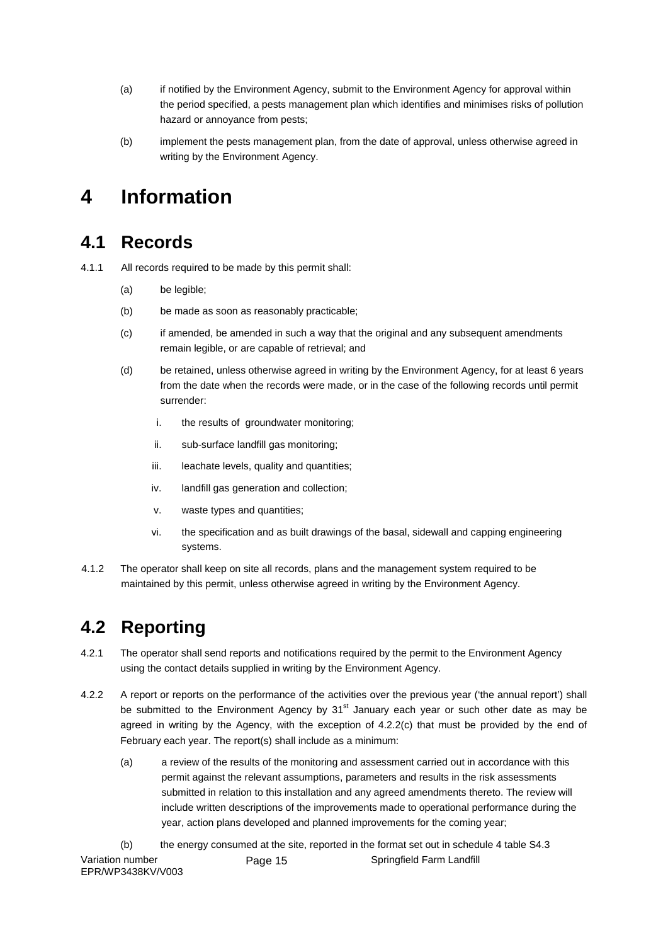- (a) if notified by the Environment Agency, submit to the Environment Agency for approval within the period specified, a pests management plan which identifies and minimises risks of pollution hazard or annoyance from pests;
- (b) implement the pests management plan, from the date of approval, unless otherwise agreed in writing by the Environment Agency.

## **4 Information**

#### **4.1 Records**

- 4.1.1 All records required to be made by this permit shall:
	- (a) be legible;
	- (b) be made as soon as reasonably practicable;
	- (c) if amended, be amended in such a way that the original and any subsequent amendments remain legible, or are capable of retrieval; and
	- (d) be retained, unless otherwise agreed in writing by the Environment Agency, for at least 6 years from the date when the records were made, or in the case of the following records until permit surrender:
		- i. the results of groundwater monitoring;
		- ii. sub-surface landfill gas monitoring:
		- iii. leachate levels, quality and quantities:
		- iv. landfill gas generation and collection;
		- v. waste types and quantities;
		- vi. the specification and as built drawings of the basal, sidewall and capping engineering systems.
- 4.1.2 The operator shall keep on site all records, plans and the management system required to be maintained by this permit, unless otherwise agreed in writing by the Environment Agency.

#### **4.2 Reporting**

- 4.2.1 The operator shall send reports and notifications required by the permit to the Environment Agency using the contact details supplied in writing by the Environment Agency.
- 4.2.2 A report or reports on the performance of the activities over the previous year ('the annual report') shall be submitted to the Environment Agency by  $31<sup>st</sup>$  January each year or such other date as may be agreed in writing by the Agency, with the exception of 4.2.2(c) that must be provided by the end of February each year. The report(s) shall include as a minimum:
	- (a) a review of the results of the monitoring and assessment carried out in accordance with this permit against the relevant assumptions, parameters and results in the risk assessments submitted in relation to this installation and any agreed amendments thereto. The review will include written descriptions of the improvements made to operational performance during the year, action plans developed and planned improvements for the coming year;
- (b) the energy consumed at the site, reported in the format set out in schedule 4 table S4.3 Variation number EPR/WP3438KV/V003 Page 15 Springfield Farm Landfill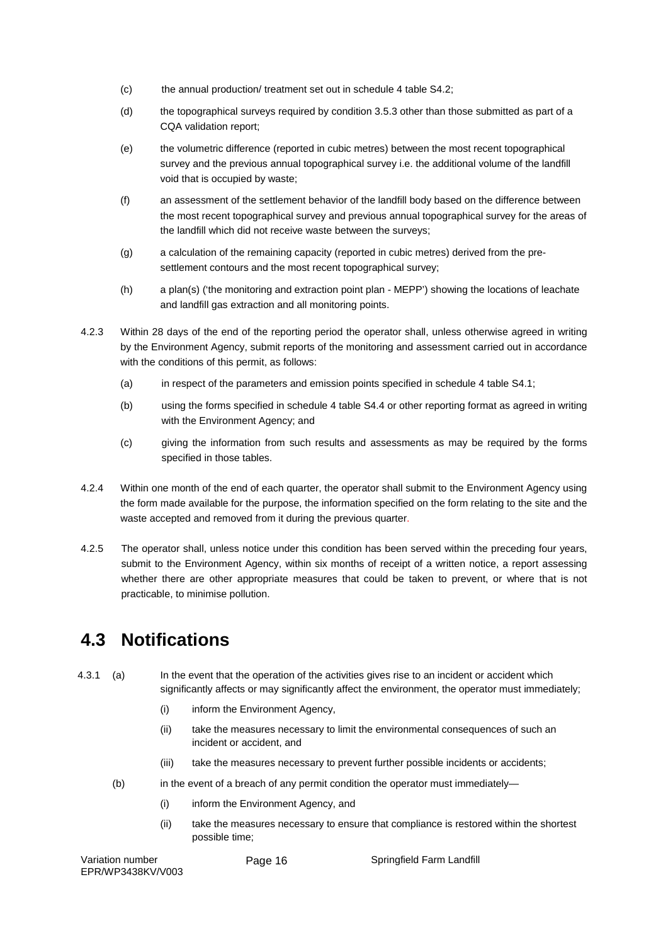- (c) the annual production/ treatment set out in schedule 4 table S4.2;
- (d) the topographical surveys required by condition 3.5.3 other than those submitted as part of a CQA validation report;
- (e) the volumetric difference (reported in cubic metres) between the most recent topographical survey and the previous annual topographical survey i.e. the additional volume of the landfill void that is occupied by waste;
- (f) an assessment of the settlement behavior of the landfill body based on the difference between the most recent topographical survey and previous annual topographical survey for the areas of the landfill which did not receive waste between the surveys;
- (g) a calculation of the remaining capacity (reported in cubic metres) derived from the presettlement contours and the most recent topographical survey;
- (h) a plan(s) ('the monitoring and extraction point plan MEPP') showing the locations of leachate and landfill gas extraction and all monitoring points.
- 4.2.3 Within 28 days of the end of the reporting period the operator shall, unless otherwise agreed in writing by the Environment Agency, submit reports of the monitoring and assessment carried out in accordance with the conditions of this permit, as follows:
	- (a) in respect of the parameters and emission points specified in schedule 4 table S4.1;
	- (b) using the forms specified in schedule 4 table S4.4 or other reporting format as agreed in writing with the Environment Agency; and
	- (c) giving the information from such results and assessments as may be required by the forms specified in those tables.
- 4.2.4 Within one month of the end of each quarter, the operator shall submit to the Environment Agency using the form made available for the purpose, the information specified on the form relating to the site and the waste accepted and removed from it during the previous quarter.
- 4.2.5 The operator shall, unless notice under this condition has been served within the preceding four years, submit to the Environment Agency, within six months of receipt of a written notice, a report assessing whether there are other appropriate measures that could be taken to prevent, or where that is not practicable, to minimise pollution.

#### **4.3 Notifications**

- 4.3.1 (a) In the event that the operation of the activities gives rise to an incident or accident which significantly affects or may significantly affect the environment, the operator must immediately;
	- (i) inform the Environment Agency,
	- (ii) take the measures necessary to limit the environmental consequences of such an incident or accident, and
	- (iii) take the measures necessary to prevent further possible incidents or accidents;
	- (b) in the event of a breach of any permit condition the operator must immediately—
		- (i) inform the Environment Agency, and
		- (ii) take the measures necessary to ensure that compliance is restored within the shortest possible time;

Variation number EPR/WP3438KV/V003

Page 16 Springfield Farm Landfill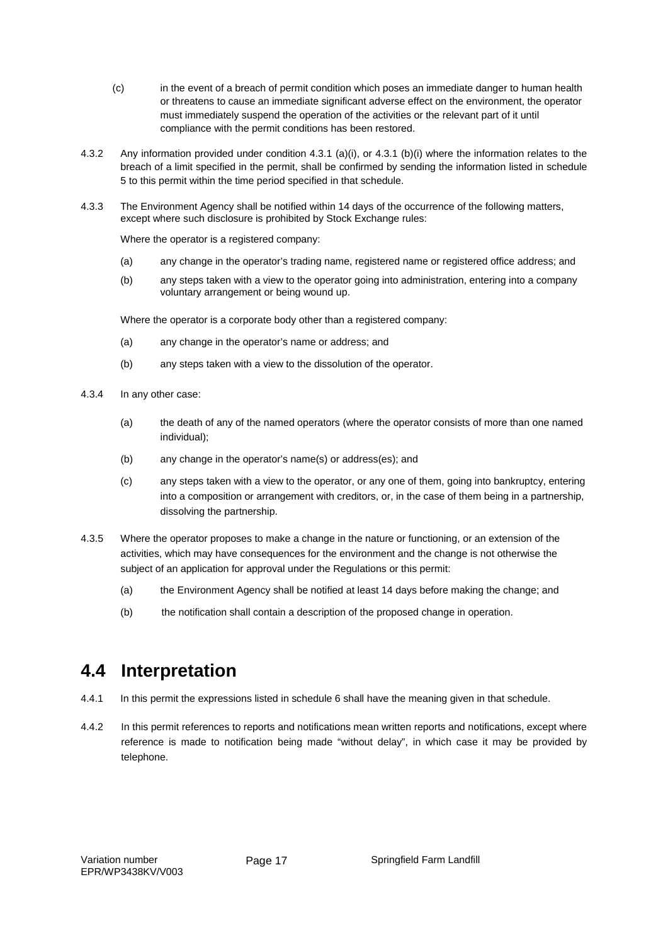- (c) in the event of a breach of permit condition which poses an immediate danger to human health or threatens to cause an immediate significant adverse effect on the environment, the operator must immediately suspend the operation of the activities or the relevant part of it until compliance with the permit conditions has been restored.
- 4.3.2 Any information provided under condition 4.3.1 (a)(i), or 4.3.1 (b)(i) where the information relates to the breach of a limit specified in the permit, shall be confirmed by sending the information listed in schedule 5 to this permit within the time period specified in that schedule.
- 4.3.3 The Environment Agency shall be notified within 14 days of the occurrence of the following matters, except where such disclosure is prohibited by Stock Exchange rules:

Where the operator is a registered company:

- (a) any change in the operator's trading name, registered name or registered office address; and
- (b) any steps taken with a view to the operator going into administration, entering into a company voluntary arrangement or being wound up.

Where the operator is a corporate body other than a registered company:

- (a) any change in the operator's name or address; and
- (b) any steps taken with a view to the dissolution of the operator.
- 4.3.4 In any other case:
	- (a) the death of any of the named operators (where the operator consists of more than one named individual);
	- (b) any change in the operator's name(s) or address(es); and
	- (c) any steps taken with a view to the operator, or any one of them, going into bankruptcy, entering into a composition or arrangement with creditors, or, in the case of them being in a partnership, dissolving the partnership.
- 4.3.5 Where the operator proposes to make a change in the nature or functioning, or an extension of the activities, which may have consequences for the environment and the change is not otherwise the subject of an application for approval under the Regulations or this permit:
	- (a) the Environment Agency shall be notified at least 14 days before making the change; and
	- (b) the notification shall contain a description of the proposed change in operation.

### **4.4 Interpretation**

- 4.4.1 In this permit the expressions listed in schedule 6 shall have the meaning given in that schedule.
- 4.4.2 In this permit references to reports and notifications mean written reports and notifications, except where reference is made to notification being made "without delay", in which case it may be provided by telephone.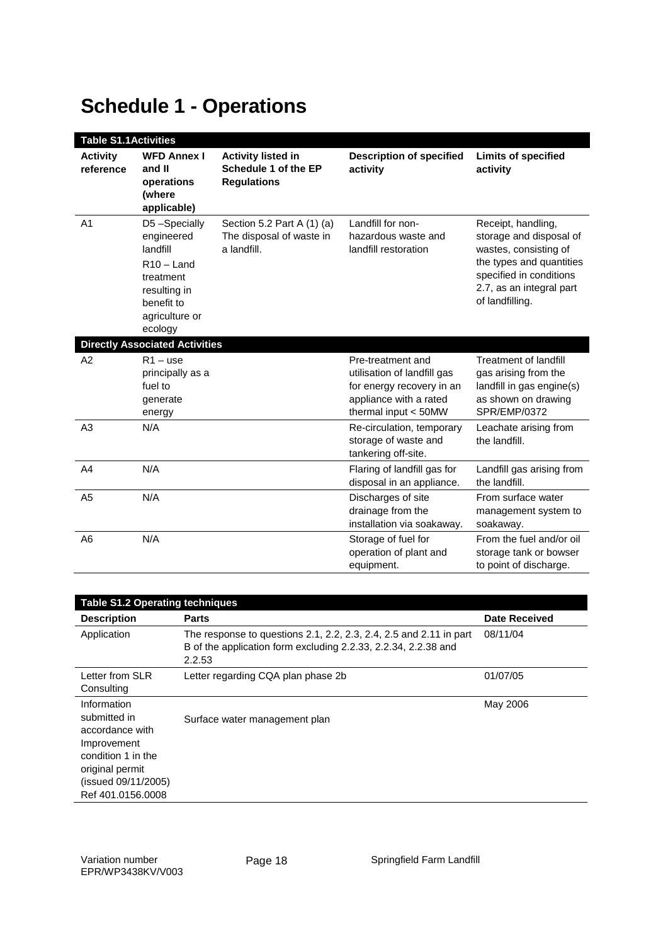# **Schedule 1 - Operations**

| <b>Table S1.1Activities</b>  |                                                                                                                                |                                                                           |                                                                                                                                 |                                                                                                                                                                              |
|------------------------------|--------------------------------------------------------------------------------------------------------------------------------|---------------------------------------------------------------------------|---------------------------------------------------------------------------------------------------------------------------------|------------------------------------------------------------------------------------------------------------------------------------------------------------------------------|
| <b>Activity</b><br>reference | <b>WFD Annex I</b><br>and II<br>operations<br>(where<br>applicable)                                                            | <b>Activity listed in</b><br>Schedule 1 of the EP<br><b>Regulations</b>   | <b>Description of specified</b><br>activity                                                                                     | <b>Limits of specified</b><br>activity                                                                                                                                       |
| A1                           | D5-Specially<br>engineered<br>landfill<br>$R10 -$ Land<br>treatment<br>resulting in<br>benefit to<br>agriculture or<br>ecology | Section 5.2 Part A $(1)$ $(a)$<br>The disposal of waste in<br>a landfill. | Landfill for non-<br>hazardous waste and<br>landfill restoration                                                                | Receipt, handling,<br>storage and disposal of<br>wastes, consisting of<br>the types and quantities<br>specified in conditions<br>2.7, as an integral part<br>of landfilling. |
|                              | <b>Directly Associated Activities</b>                                                                                          |                                                                           |                                                                                                                                 |                                                                                                                                                                              |
| A2                           | $R1 - use$<br>principally as a<br>fuel to<br>generate<br>energy                                                                |                                                                           | Pre-treatment and<br>utilisation of landfill gas<br>for energy recovery in an<br>appliance with a rated<br>thermal input < 50MW | <b>Treatment of landfill</b><br>gas arising from the<br>landfill in gas engine(s)<br>as shown on drawing<br>SPR/EMP/0372                                                     |
| A <sub>3</sub>               | N/A                                                                                                                            |                                                                           | Re-circulation, temporary<br>storage of waste and<br>tankering off-site.                                                        | Leachate arising from<br>the landfill.                                                                                                                                       |
| A <sub>4</sub>               | N/A                                                                                                                            |                                                                           | Flaring of landfill gas for<br>disposal in an appliance.                                                                        | Landfill gas arising from<br>the landfill.                                                                                                                                   |
| A <sub>5</sub>               | N/A                                                                                                                            |                                                                           | Discharges of site<br>drainage from the<br>installation via soakaway.                                                           | From surface water<br>management system to<br>soakaway.                                                                                                                      |
| A <sub>6</sub>               | N/A                                                                                                                            |                                                                           | Storage of fuel for<br>operation of plant and<br>equipment.                                                                     | From the fuel and/or oil<br>storage tank or bowser<br>to point of discharge.                                                                                                 |

| <b>Table S1.2 Operating techniques</b>                                                                                                             |                                                                                                                                                |                      |
|----------------------------------------------------------------------------------------------------------------------------------------------------|------------------------------------------------------------------------------------------------------------------------------------------------|----------------------|
| <b>Description</b>                                                                                                                                 | <b>Parts</b>                                                                                                                                   | <b>Date Received</b> |
| Application                                                                                                                                        | The response to questions 2.1, 2.2, 2.3, 2.4, 2.5 and 2.11 in part<br>B of the application form excluding 2.2.33, 2.2.34, 2.2.38 and<br>2.2.53 | 08/11/04             |
| Letter from SLR<br>Consulting                                                                                                                      | Letter regarding CQA plan phase 2b                                                                                                             | 01/07/05             |
| Information<br>submitted in<br>accordance with<br>Improvement<br>condition 1 in the<br>original permit<br>(issued 09/11/2005)<br>Ref 401.0156.0008 | Surface water management plan                                                                                                                  | May 2006             |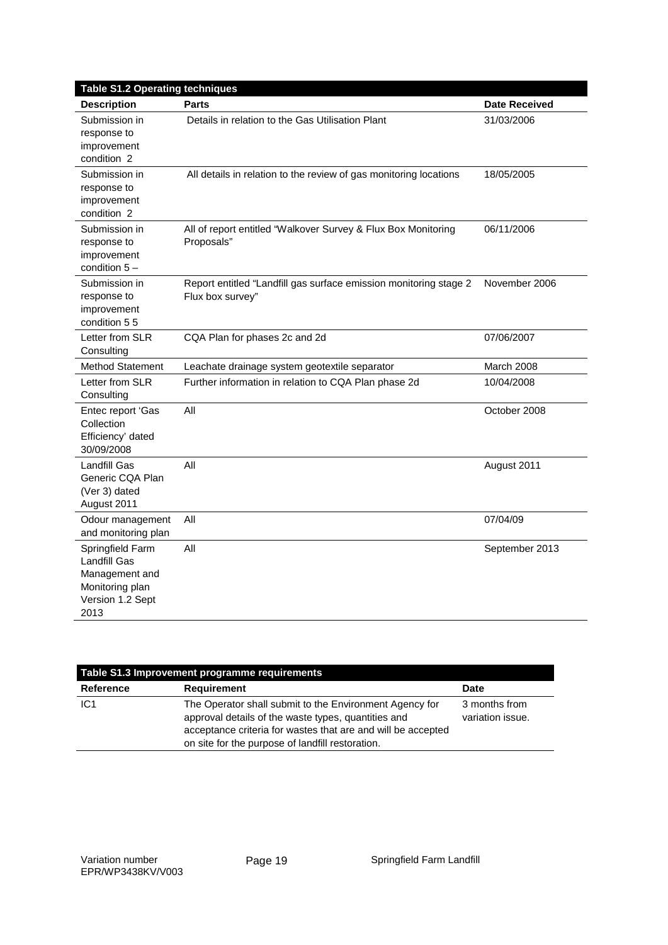| <b>Table S1.2 Operating techniques</b>                                                                   |                                                                                       |                      |
|----------------------------------------------------------------------------------------------------------|---------------------------------------------------------------------------------------|----------------------|
| <b>Description</b>                                                                                       | <b>Parts</b>                                                                          | <b>Date Received</b> |
| Submission in<br>response to<br>improvement<br>condition 2                                               | Details in relation to the Gas Utilisation Plant                                      | 31/03/2006           |
| Submission in<br>response to<br>improvement<br>condition <sub>2</sub>                                    | All details in relation to the review of gas monitoring locations                     | 18/05/2005           |
| Submission in<br>response to<br>improvement<br>condition $5-$                                            | All of report entitled "Walkover Survey & Flux Box Monitoring<br>Proposals"           | 06/11/2006           |
| Submission in<br>response to<br>improvement<br>condition 55                                              | Report entitled "Landfill gas surface emission monitoring stage 2<br>Flux box survey" | November 2006        |
| Letter from SLR<br>Consulting                                                                            | CQA Plan for phases 2c and 2d                                                         | 07/06/2007           |
| <b>Method Statement</b>                                                                                  | Leachate drainage system geotextile separator                                         | March 2008           |
| Letter from SLR<br>Consulting                                                                            | Further information in relation to CQA Plan phase 2d                                  | 10/04/2008           |
| Entec report 'Gas<br>Collection<br>Efficiency' dated<br>30/09/2008                                       | All                                                                                   | October 2008         |
| Landfill Gas<br>Generic CQA Plan<br>(Ver 3) dated<br>August 2011                                         | All                                                                                   | August 2011          |
| Odour management<br>and monitoring plan                                                                  | All                                                                                   | 07/04/09             |
| Springfield Farm<br><b>Landfill Gas</b><br>Management and<br>Monitoring plan<br>Version 1.2 Sept<br>2013 | All                                                                                   | September 2013       |

| Table S1.3 Improvement programme requirements |                                                                                                                                                                                                                                    |                                   |
|-----------------------------------------------|------------------------------------------------------------------------------------------------------------------------------------------------------------------------------------------------------------------------------------|-----------------------------------|
| Reference                                     | <b>Requirement</b>                                                                                                                                                                                                                 | <b>Date</b>                       |
| IC <sub>1</sub>                               | The Operator shall submit to the Environment Agency for<br>approval details of the waste types, quantities and<br>acceptance criteria for wastes that are and will be accepted<br>on site for the purpose of landfill restoration. | 3 months from<br>variation issue. |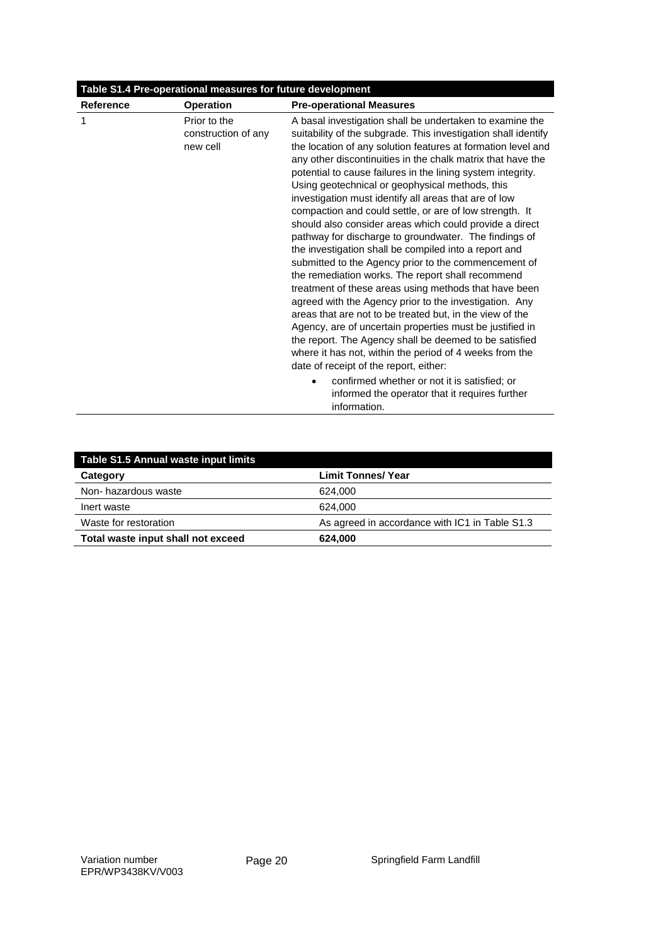| Table S1.4 Pre-operational measures for future development |                                                 |                                                                                                                                                                                                                                                                                                                                                                                                                                                                                                                                                                                                                                                                                                                                                                                                                                                                                                                                                                                                                                                                                                                                                                                                                                                                                                                                    |
|------------------------------------------------------------|-------------------------------------------------|------------------------------------------------------------------------------------------------------------------------------------------------------------------------------------------------------------------------------------------------------------------------------------------------------------------------------------------------------------------------------------------------------------------------------------------------------------------------------------------------------------------------------------------------------------------------------------------------------------------------------------------------------------------------------------------------------------------------------------------------------------------------------------------------------------------------------------------------------------------------------------------------------------------------------------------------------------------------------------------------------------------------------------------------------------------------------------------------------------------------------------------------------------------------------------------------------------------------------------------------------------------------------------------------------------------------------------|
| <b>Reference</b>                                           | <b>Operation</b>                                | <b>Pre-operational Measures</b>                                                                                                                                                                                                                                                                                                                                                                                                                                                                                                                                                                                                                                                                                                                                                                                                                                                                                                                                                                                                                                                                                                                                                                                                                                                                                                    |
| 1                                                          | Prior to the<br>construction of any<br>new cell | A basal investigation shall be undertaken to examine the<br>suitability of the subgrade. This investigation shall identify<br>the location of any solution features at formation level and<br>any other discontinuities in the chalk matrix that have the<br>potential to cause failures in the lining system integrity.<br>Using geotechnical or geophysical methods, this<br>investigation must identify all areas that are of low<br>compaction and could settle, or are of low strength. It<br>should also consider areas which could provide a direct<br>pathway for discharge to groundwater. The findings of<br>the investigation shall be compiled into a report and<br>submitted to the Agency prior to the commencement of<br>the remediation works. The report shall recommend<br>treatment of these areas using methods that have been<br>agreed with the Agency prior to the investigation. Any<br>areas that are not to be treated but, in the view of the<br>Agency, are of uncertain properties must be justified in<br>the report. The Agency shall be deemed to be satisfied<br>where it has not, within the period of 4 weeks from the<br>date of receipt of the report, either:<br>confirmed whether or not it is satisfied; or<br>$\bullet$<br>informed the operator that it requires further<br>information. |

| Table S1.5 Annual waste input limits |                                                |  |
|--------------------------------------|------------------------------------------------|--|
| Category                             | <b>Limit Tonnes/ Year</b>                      |  |
| Non-hazardous waste                  | 624.000                                        |  |
| Inert waste                          | 624.000                                        |  |
| Waste for restoration                | As agreed in accordance with IC1 in Table S1.3 |  |
| Total waste input shall not exceed   | 624.000                                        |  |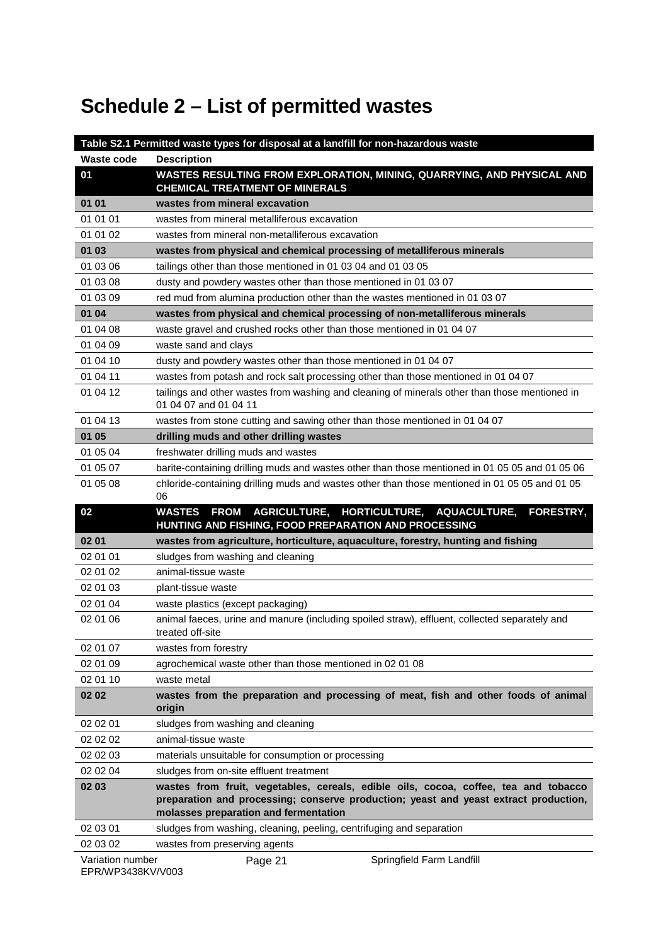# **Schedule 2 – List of permitted wastes**

|                   | Table S2.1 Permitted waste types for disposal at a landfill for non-hazardous waste                                                                                                                                  |
|-------------------|----------------------------------------------------------------------------------------------------------------------------------------------------------------------------------------------------------------------|
| <b>Waste code</b> | <b>Description</b>                                                                                                                                                                                                   |
| 01                | WASTES RESULTING FROM EXPLORATION, MINING, QUARRYING, AND PHYSICAL AND<br><b>CHEMICAL TREATMENT OF MINERALS</b>                                                                                                      |
| 01 01             | wastes from mineral excavation                                                                                                                                                                                       |
| 01 01 01          | wastes from mineral metalliferous excavation                                                                                                                                                                         |
| 01 01 02          | wastes from mineral non-metalliferous excavation                                                                                                                                                                     |
| 01 03             | wastes from physical and chemical processing of metalliferous minerals                                                                                                                                               |
| 01 03 06          | tailings other than those mentioned in 01 03 04 and 01 03 05                                                                                                                                                         |
| 01 03 08          | dusty and powdery wastes other than those mentioned in 01 03 07                                                                                                                                                      |
| 01 03 09          | red mud from alumina production other than the wastes mentioned in 01 03 07                                                                                                                                          |
| 01 04             | wastes from physical and chemical processing of non-metalliferous minerals                                                                                                                                           |
| 01 04 08          | waste gravel and crushed rocks other than those mentioned in 01 04 07                                                                                                                                                |
| 01 04 09          | waste sand and clays                                                                                                                                                                                                 |
| 01 04 10          | dusty and powdery wastes other than those mentioned in 01 04 07                                                                                                                                                      |
| 01 04 11          | wastes from potash and rock salt processing other than those mentioned in 01 04 07                                                                                                                                   |
| 01 04 12          | tailings and other wastes from washing and cleaning of minerals other than those mentioned in<br>01 04 07 and 01 04 11                                                                                               |
| 01 04 13          | wastes from stone cutting and sawing other than those mentioned in 01 04 07                                                                                                                                          |
| 01 05             | drilling muds and other drilling wastes                                                                                                                                                                              |
| 01 05 04          | freshwater drilling muds and wastes                                                                                                                                                                                  |
| 01 05 07          | barite-containing drilling muds and wastes other than those mentioned in 01 05 05 and 01 05 06                                                                                                                       |
| 01 05 08          | chloride-containing drilling muds and wastes other than those mentioned in 01 05 05 and 01 05<br>06                                                                                                                  |
|                   |                                                                                                                                                                                                                      |
| 02                | AGRICULTURE, HORTICULTURE, AQUACULTURE,<br><b>FROM</b><br><b>FORESTRY,</b><br><b>WASTES</b><br>HUNTING AND FISHING, FOOD PREPARATION AND PROCESSING                                                                  |
| 02 01             | wastes from agriculture, horticulture, aquaculture, forestry, hunting and fishing                                                                                                                                    |
| 02 01 01          | sludges from washing and cleaning                                                                                                                                                                                    |
| 02 01 02          | animal-tissue waste                                                                                                                                                                                                  |
| 02 01 03          | plant-tissue waste                                                                                                                                                                                                   |
| 02 01 04          | waste plastics (except packaging)                                                                                                                                                                                    |
| 02 01 06          | animal faeces, urine and manure (including spoiled straw), effluent, collected separately and                                                                                                                        |
|                   | treated off-site                                                                                                                                                                                                     |
| 02 01 07          | wastes from forestry                                                                                                                                                                                                 |
| 02 01 09          | agrochemical waste other than those mentioned in 02 01 08                                                                                                                                                            |
| 02 01 10          | waste metal                                                                                                                                                                                                          |
| 02 02             | wastes from the preparation and processing of meat, fish and other foods of animal<br>origin                                                                                                                         |
| 02 02 01          | sludges from washing and cleaning                                                                                                                                                                                    |
| 02 02 02          | animal-tissue waste                                                                                                                                                                                                  |
| 02 02 03          | materials unsuitable for consumption or processing                                                                                                                                                                   |
| 02 02 04          | sludges from on-site effluent treatment                                                                                                                                                                              |
| 02 03             | wastes from fruit, vegetables, cereals, edible oils, cocoa, coffee, tea and tobacco<br>preparation and processing; conserve production; yeast and yeast extract production,<br>molasses preparation and fermentation |
| 02 03 01          | sludges from washing, cleaning, peeling, centrifuging and separation                                                                                                                                                 |
| 02 03 02          | wastes from preserving agents                                                                                                                                                                                        |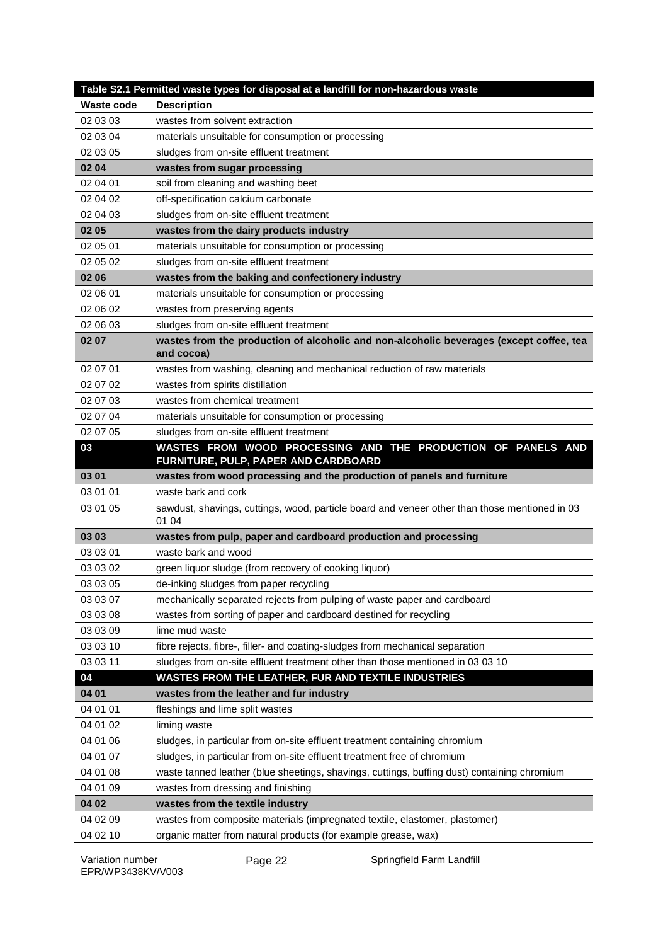|                      | Table S2.1 Permitted waste types for disposal at a landfill for non-hazardous waste                                                           |
|----------------------|-----------------------------------------------------------------------------------------------------------------------------------------------|
| <b>Waste code</b>    | <b>Description</b>                                                                                                                            |
| 02 03 03             | wastes from solvent extraction                                                                                                                |
| 02 03 04             | materials unsuitable for consumption or processing                                                                                            |
| 02 03 05             | sludges from on-site effluent treatment                                                                                                       |
| 02 04                | wastes from sugar processing                                                                                                                  |
| 02 04 01             | soil from cleaning and washing beet                                                                                                           |
| 02 04 02             | off-specification calcium carbonate                                                                                                           |
| 02 04 03             | sludges from on-site effluent treatment                                                                                                       |
| 02 05                | wastes from the dairy products industry                                                                                                       |
| 02 05 01             | materials unsuitable for consumption or processing                                                                                            |
| 02 05 02             | sludges from on-site effluent treatment                                                                                                       |
| 02 06                | wastes from the baking and confectionery industry                                                                                             |
| 02 06 01             | materials unsuitable for consumption or processing                                                                                            |
| 02 06 02             | wastes from preserving agents                                                                                                                 |
| 02 06 03             | sludges from on-site effluent treatment                                                                                                       |
| 02 07                | wastes from the production of alcoholic and non-alcoholic beverages (except coffee, tea<br>and cocoa)                                         |
| 02 07 01             | wastes from washing, cleaning and mechanical reduction of raw materials                                                                       |
| 02 07 02             | wastes from spirits distillation                                                                                                              |
| 02 07 03             | wastes from chemical treatment                                                                                                                |
| 02 07 04             | materials unsuitable for consumption or processing                                                                                            |
| 02 07 05             | sludges from on-site effluent treatment                                                                                                       |
| 03                   | WASTES FROM WOOD PROCESSING AND THE PRODUCTION OF PANELS AND<br>FURNITURE, PULP, PAPER AND CARDBOARD                                          |
| 03 01                | wastes from wood processing and the production of panels and furniture                                                                        |
| 03 01 01             | waste bark and cork                                                                                                                           |
| 03 01 05             | sawdust, shavings, cuttings, wood, particle board and veneer other than those mentioned in 03                                                 |
|                      | 01 04                                                                                                                                         |
| 03 03                | wastes from pulp, paper and cardboard production and processing                                                                               |
| 03 03 01             | waste bark and wood                                                                                                                           |
| 03 03 02             | green liquor sludge (from recovery of cooking liquor)                                                                                         |
| 03 03 05             | de-inking sludges from paper recycling                                                                                                        |
| 03 03 07             | mechanically separated rejects from pulping of waste paper and cardboard                                                                      |
| 03 03 08             | wastes from sorting of paper and cardboard destined for recycling                                                                             |
| 03 03 09             | lime mud waste                                                                                                                                |
| 03 03 10             | fibre rejects, fibre-, filler- and coating-sludges from mechanical separation                                                                 |
| 03 03 11             | sludges from on-site effluent treatment other than those mentioned in 03 03 10                                                                |
| 04                   | WASTES FROM THE LEATHER, FUR AND TEXTILE INDUSTRIES                                                                                           |
| 04 01                | wastes from the leather and fur industry                                                                                                      |
| 04 01 01             | fleshings and lime split wastes                                                                                                               |
| 04 01 02             | liming waste                                                                                                                                  |
| 04 01 06             | sludges, in particular from on-site effluent treatment containing chromium                                                                    |
| 04 01 07             | sludges, in particular from on-site effluent treatment free of chromium                                                                       |
| 04 01 08             | waste tanned leather (blue sheetings, shavings, cuttings, buffing dust) containing chromium                                                   |
| 04 01 09             | wastes from dressing and finishing                                                                                                            |
| 04 02                | wastes from the textile industry                                                                                                              |
| 04 02 09<br>04 02 10 | wastes from composite materials (impregnated textile, elastomer, plastomer)<br>organic matter from natural products (for example grease, wax) |

Page 22 Springfield Farm Landfill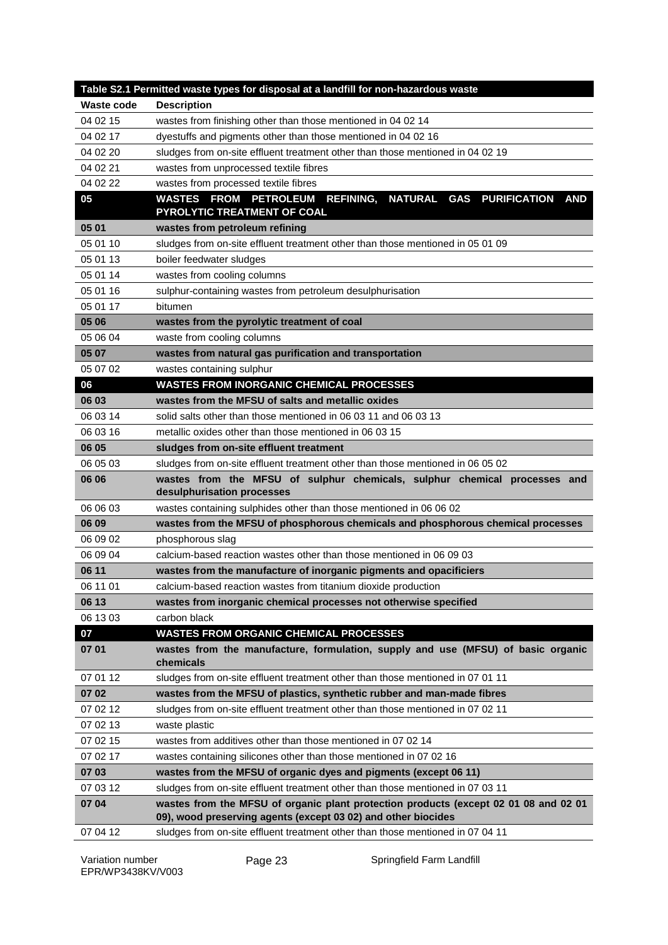|                   | Table S2.1 Permitted waste types for disposal at a landfill for non-hazardous waste                                                                   |
|-------------------|-------------------------------------------------------------------------------------------------------------------------------------------------------|
| <b>Waste code</b> | <b>Description</b>                                                                                                                                    |
| 04 02 15          | wastes from finishing other than those mentioned in 04 02 14                                                                                          |
| 04 02 17          | dyestuffs and pigments other than those mentioned in 04 02 16                                                                                         |
| 04 02 20          | sludges from on-site effluent treatment other than those mentioned in 04 02 19                                                                        |
| 04 02 21          | wastes from unprocessed textile fibres                                                                                                                |
| 04 02 22          | wastes from processed textile fibres                                                                                                                  |
| 05                | <b>WASTES FROM PETROLEUM</b><br><b>REFINING,</b><br>NATURAL GAS PURIFICATION<br><b>AND</b><br>PYROLYTIC TREATMENT OF COAL                             |
| 05 01             | wastes from petroleum refining                                                                                                                        |
| 05 01 10          | sludges from on-site effluent treatment other than those mentioned in 05 01 09                                                                        |
| 05 01 13          | boiler feedwater sludges                                                                                                                              |
| 05 01 14          | wastes from cooling columns                                                                                                                           |
| 05 01 16          | sulphur-containing wastes from petroleum desulphurisation                                                                                             |
| 05 01 17          | bitumen                                                                                                                                               |
| 05 06             | wastes from the pyrolytic treatment of coal                                                                                                           |
| 05 06 04          | waste from cooling columns                                                                                                                            |
| 05 07             | wastes from natural gas purification and transportation                                                                                               |
| 05 07 02          | wastes containing sulphur                                                                                                                             |
| 06                | <b>WASTES FROM INORGANIC CHEMICAL PROCESSES</b>                                                                                                       |
| 06 03             | wastes from the MFSU of salts and metallic oxides                                                                                                     |
| 06 03 14          | solid salts other than those mentioned in 06 03 11 and 06 03 13                                                                                       |
| 06 03 16          | metallic oxides other than those mentioned in 06 03 15                                                                                                |
| 06 05             | sludges from on-site effluent treatment                                                                                                               |
| 06 05 03          | sludges from on-site effluent treatment other than those mentioned in 06 05 02                                                                        |
| 06 06             | wastes from the MFSU of sulphur chemicals, sulphur chemical processes and<br>desulphurisation processes                                               |
| 06 06 03          | wastes containing sulphides other than those mentioned in 06 06 02                                                                                    |
| 06 09             | wastes from the MFSU of phosphorous chemicals and phosphorous chemical processes                                                                      |
| 06 09 02          | phosphorous slag                                                                                                                                      |
| 06 09 04          | calcium-based reaction wastes other than those mentioned in 06 09 03                                                                                  |
| 06 11             | wastes from the manufacture of inorganic pigments and opacificiers                                                                                    |
| 06 11 01          | calcium-based reaction wastes from titanium dioxide production                                                                                        |
| 06 13             | wastes from inorganic chemical processes not otherwise specified                                                                                      |
| 06 13 03          | carbon black                                                                                                                                          |
| 07                | <b>WASTES FROM ORGANIC CHEMICAL PROCESSES</b>                                                                                                         |
| 07 01             | wastes from the manufacture, formulation, supply and use (MFSU) of basic organic<br>chemicals                                                         |
| 07 01 12          | sludges from on-site effluent treatment other than those mentioned in 07 01 11                                                                        |
| 07 02             | wastes from the MFSU of plastics, synthetic rubber and man-made fibres                                                                                |
| 07 02 12          | sludges from on-site effluent treatment other than those mentioned in 07 02 11                                                                        |
| 07 02 13          | waste plastic                                                                                                                                         |
| 07 02 15          | wastes from additives other than those mentioned in 07 02 14                                                                                          |
| 07 02 17          | wastes containing silicones other than those mentioned in 07 02 16                                                                                    |
| 07 03             | wastes from the MFSU of organic dyes and pigments (except 06 11)                                                                                      |
| 07 03 12          | sludges from on-site effluent treatment other than those mentioned in 07 03 11                                                                        |
| 07 04             | wastes from the MFSU of organic plant protection products (except 02 01 08 and 02 01<br>09), wood preserving agents (except 03 02) and other biocides |
| 07 04 12          | sludges from on-site effluent treatment other than those mentioned in 07 04 11                                                                        |

Page 23 Springfield Farm Landfill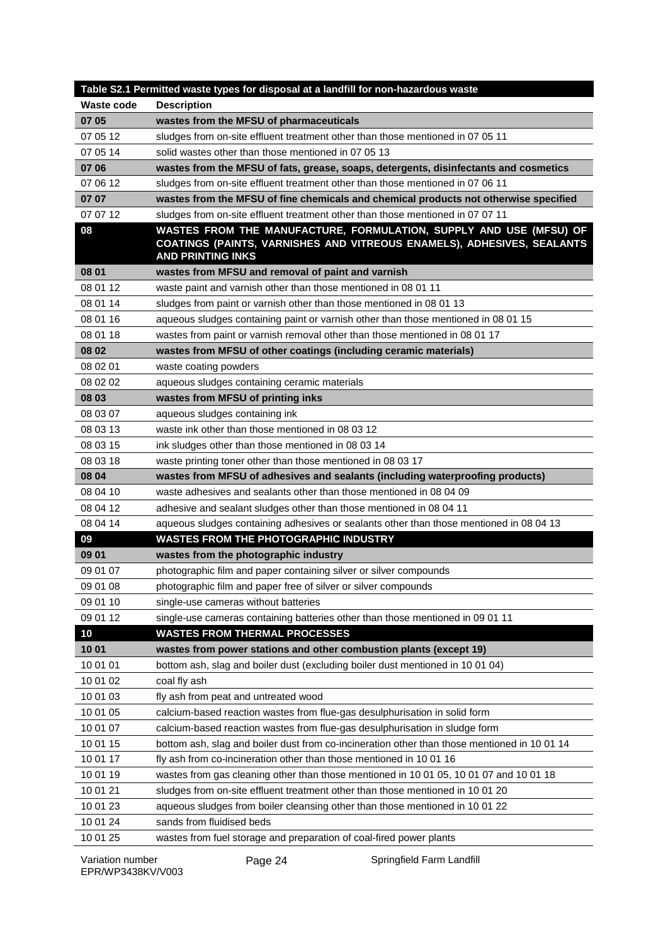|            | Table S2.1 Permitted waste types for disposal at a landfill for non-hazardous waste                                                                                      |
|------------|--------------------------------------------------------------------------------------------------------------------------------------------------------------------------|
| Waste code | <b>Description</b>                                                                                                                                                       |
| 07 05      | wastes from the MFSU of pharmaceuticals                                                                                                                                  |
| 07 05 12   | sludges from on-site effluent treatment other than those mentioned in 07 05 11                                                                                           |
| 07 05 14   | solid wastes other than those mentioned in 07 05 13                                                                                                                      |
| 07 06      | wastes from the MFSU of fats, grease, soaps, detergents, disinfectants and cosmetics                                                                                     |
| 07 06 12   | sludges from on-site effluent treatment other than those mentioned in 07 06 11                                                                                           |
| 07 07      | wastes from the MFSU of fine chemicals and chemical products not otherwise specified                                                                                     |
| 07 07 12   | sludges from on-site effluent treatment other than those mentioned in 07 07 11                                                                                           |
| 08         | WASTES FROM THE MANUFACTURE, FORMULATION, SUPPLY AND USE (MFSU) OF<br>COATINGS (PAINTS, VARNISHES AND VITREOUS ENAMELS), ADHESIVES, SEALANTS<br><b>AND PRINTING INKS</b> |
| 08 01      | wastes from MFSU and removal of paint and varnish                                                                                                                        |
| 08 01 12   | waste paint and varnish other than those mentioned in 08 01 11                                                                                                           |
| 08 01 14   | sludges from paint or varnish other than those mentioned in 08 01 13                                                                                                     |
| 08 01 16   | aqueous sludges containing paint or varnish other than those mentioned in 08 01 15                                                                                       |
| 08 01 18   | wastes from paint or varnish removal other than those mentioned in 08 01 17                                                                                              |
| 08 02      | wastes from MFSU of other coatings (including ceramic materials)                                                                                                         |
| 08 02 01   | waste coating powders                                                                                                                                                    |
| 08 02 02   | aqueous sludges containing ceramic materials                                                                                                                             |
| 08 03      | wastes from MFSU of printing inks                                                                                                                                        |
| 08 03 07   | aqueous sludges containing ink                                                                                                                                           |
| 08 03 13   | waste ink other than those mentioned in 08 03 12                                                                                                                         |
| 08 03 15   | ink sludges other than those mentioned in 08 03 14                                                                                                                       |
| 08 03 18   | waste printing toner other than those mentioned in 08 03 17                                                                                                              |
| 08 04      | wastes from MFSU of adhesives and sealants (including waterproofing products)                                                                                            |
| 08 04 10   | waste adhesives and sealants other than those mentioned in 08 04 09                                                                                                      |
| 08 04 12   | adhesive and sealant sludges other than those mentioned in 08 04 11                                                                                                      |
| 08 04 14   | aqueous sludges containing adhesives or sealants other than those mentioned in 08 04 13                                                                                  |
| 09         | <b>WASTES FROM THE PHOTOGRAPHIC INDUSTRY</b>                                                                                                                             |
| 09 01      | wastes from the photographic industry                                                                                                                                    |
| 09 01 07   | photographic film and paper containing silver or silver compounds                                                                                                        |
| 09 01 08   | photographic film and paper free of silver or silver compounds                                                                                                           |
| 09 01 10   | single-use cameras without batteries                                                                                                                                     |
| 09 01 12   | single-use cameras containing batteries other than those mentioned in 09 01 11                                                                                           |
| 10         | <b>WASTES FROM THERMAL PROCESSES</b>                                                                                                                                     |
| 10 01      | wastes from power stations and other combustion plants (except 19)                                                                                                       |
| 10 01 01   | bottom ash, slag and boiler dust (excluding boiler dust mentioned in 10 01 04)                                                                                           |
| 10 01 02   | coal fly ash                                                                                                                                                             |
| 10 01 03   | fly ash from peat and untreated wood                                                                                                                                     |
| 10 01 05   | calcium-based reaction wastes from flue-gas desulphurisation in solid form                                                                                               |
| 10 01 07   | calcium-based reaction wastes from flue-gas desulphurisation in sludge form                                                                                              |
| 10 01 15   | bottom ash, slag and boiler dust from co-incineration other than those mentioned in 10 01 14                                                                             |
| 10 01 17   | fly ash from co-incineration other than those mentioned in 10 01 16                                                                                                      |
| 10 01 19   | wastes from gas cleaning other than those mentioned in 10 01 05, 10 01 07 and 10 01 18                                                                                   |
| 10 01 21   | sludges from on-site effluent treatment other than those mentioned in 10 01 20                                                                                           |
| 10 01 23   | aqueous sludges from boiler cleansing other than those mentioned in 10 01 22                                                                                             |
| 10 01 24   | sands from fluidised beds                                                                                                                                                |
| 10 01 25   | wastes from fuel storage and preparation of coal-fired power plants                                                                                                      |

Page 24 Springfield Farm Landfill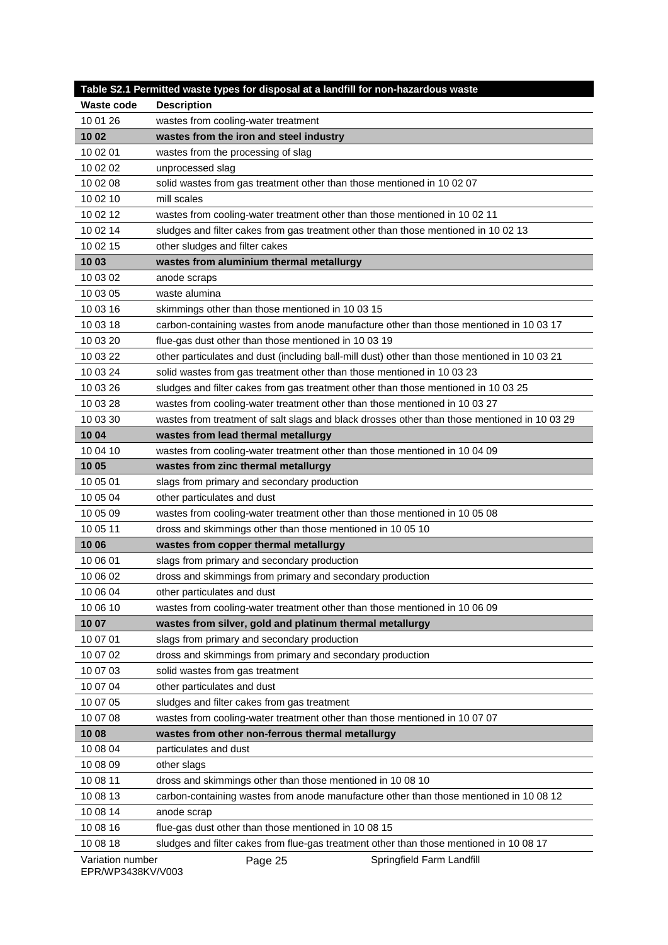|                                      | Table S2.1 Permitted waste types for disposal at a landfill for non-hazardous waste           |
|--------------------------------------|-----------------------------------------------------------------------------------------------|
| <b>Waste code</b>                    | <b>Description</b>                                                                            |
| 10 01 26                             | wastes from cooling-water treatment                                                           |
| 10 02                                | wastes from the iron and steel industry                                                       |
| 10 02 01                             | wastes from the processing of slag                                                            |
| 10 02 02                             | unprocessed slag                                                                              |
| 10 02 08                             | solid wastes from gas treatment other than those mentioned in 10 02 07                        |
| 10 02 10                             | mill scales                                                                                   |
| 10 02 12                             | wastes from cooling-water treatment other than those mentioned in 10 02 11                    |
| 10 02 14                             | sludges and filter cakes from gas treatment other than those mentioned in 10 02 13            |
| 10 02 15                             | other sludges and filter cakes                                                                |
| 10 03                                | wastes from aluminium thermal metallurgy                                                      |
| 10 03 02                             | anode scraps                                                                                  |
| 10 03 05                             | waste alumina                                                                                 |
| 10 03 16                             | skimmings other than those mentioned in 10 03 15                                              |
| 10 03 18                             | carbon-containing wastes from anode manufacture other than those mentioned in 10 03 17        |
| 10 03 20                             | flue-gas dust other than those mentioned in 10 03 19                                          |
| 10 03 22                             | other particulates and dust (including ball-mill dust) other than those mentioned in 10 03 21 |
| 10 03 24                             | solid wastes from gas treatment other than those mentioned in 10 03 23                        |
| 10 03 26                             | sludges and filter cakes from gas treatment other than those mentioned in 10 03 25            |
| 10 03 28                             | wastes from cooling-water treatment other than those mentioned in 10 03 27                    |
| 10 03 30                             | wastes from treatment of salt slags and black drosses other than those mentioned in 10 03 29  |
| 10 04                                | wastes from lead thermal metallurgy                                                           |
| 10 04 10                             | wastes from cooling-water treatment other than those mentioned in 10 04 09                    |
| 10 05                                | wastes from zinc thermal metallurgy                                                           |
| 10 05 01                             | slags from primary and secondary production                                                   |
| 10 05 04                             | other particulates and dust                                                                   |
| 10 05 09                             | wastes from cooling-water treatment other than those mentioned in 10 05 08                    |
| 10 05 11                             | dross and skimmings other than those mentioned in 10 05 10                                    |
| 10 06                                | wastes from copper thermal metallurgy                                                         |
| 10 06 01                             | slags from primary and secondary production                                                   |
| 10 06 02                             | dross and skimmings from primary and secondary production                                     |
| 10 06 04                             | other particulates and dust                                                                   |
| 10 06 10                             | wastes from cooling-water treatment other than those mentioned in 10 06 09                    |
| 10 07                                | wastes from silver, gold and platinum thermal metallurgy                                      |
| 10 07 01                             | slags from primary and secondary production                                                   |
| 10 07 02                             | dross and skimmings from primary and secondary production                                     |
| 10 07 03                             | solid wastes from gas treatment                                                               |
| 10 07 04                             | other particulates and dust                                                                   |
| 10 07 05                             | sludges and filter cakes from gas treatment                                                   |
| 10 07 08                             | wastes from cooling-water treatment other than those mentioned in 10 07 07                    |
| 10 08                                | wastes from other non-ferrous thermal metallurgy                                              |
| 10 08 04                             | particulates and dust                                                                         |
| 10 08 09                             | other slags                                                                                   |
| 10 08 11                             | dross and skimmings other than those mentioned in 10 08 10                                    |
| 10 08 13                             | carbon-containing wastes from anode manufacture other than those mentioned in 10 08 12        |
| 10 08 14                             | anode scrap                                                                                   |
| 10 08 16                             | flue-gas dust other than those mentioned in 10 08 15                                          |
| 10 08 18                             | sludges and filter cakes from flue-gas treatment other than those mentioned in 10 08 17       |
| Variation number<br>11004001/1111000 | Page 25<br>Springfield Farm Landfill                                                          |

EPR/WP3438KV/V003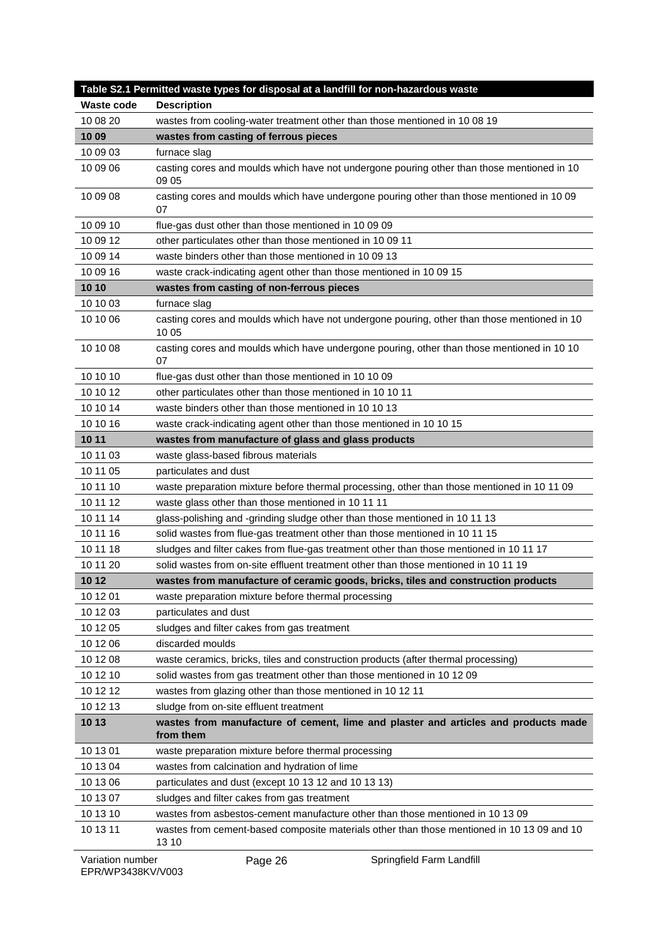| <b>Waste code</b><br><b>Description</b><br>wastes from cooling-water treatment other than those mentioned in 10 08 19<br>10 08 20<br>10 09<br>wastes from casting of ferrous pieces<br>10 09 03<br>furnace slag<br>10 09 06<br>casting cores and moulds which have not undergone pouring other than those mentioned in 10<br>09 05<br>10 09 08<br>casting cores and moulds which have undergone pouring other than those mentioned in 10 09<br>07<br>10 09 10<br>flue-gas dust other than those mentioned in 10 09 09<br>10 09 12<br>other particulates other than those mentioned in 10 09 11<br>10 09 14<br>waste binders other than those mentioned in 10 09 13<br>10 09 16<br>waste crack-indicating agent other than those mentioned in 10 09 15<br>10 10<br>wastes from casting of non-ferrous pieces<br>10 10 03<br>furnace slag<br>10 10 06<br>casting cores and moulds which have not undergone pouring, other than those mentioned in 10<br>10 05<br>10 10 08<br>casting cores and moulds which have undergone pouring, other than those mentioned in 10 10<br>07<br>10 10 10<br>flue-gas dust other than those mentioned in 10 10 09<br>10 10 12<br>other particulates other than those mentioned in 10 10 11<br>10 10 14<br>waste binders other than those mentioned in 10 10 13<br>10 10 16<br>waste crack-indicating agent other than those mentioned in 10 10 15<br>10 11<br>wastes from manufacture of glass and glass products<br>10 11 03<br>waste glass-based fibrous materials<br>10 11 05<br>particulates and dust<br>10 11 10<br>waste preparation mixture before thermal processing, other than those mentioned in 10 11 09<br>10 11 12<br>waste glass other than those mentioned in 10 11 11<br>10 11 14<br>glass-polishing and -grinding sludge other than those mentioned in 10 11 13<br>10 11 16<br>solid wastes from flue-gas treatment other than those mentioned in 10 11 15<br>10 11 18<br>sludges and filter cakes from flue-gas treatment other than those mentioned in 10 11 17<br>solid wastes from on-site effluent treatment other than those mentioned in 10 11 19<br>10 11 20<br>10 12<br>wastes from manufacture of ceramic goods, bricks, tiles and construction products<br>10 12 01<br>waste preparation mixture before thermal processing<br>10 12 03<br>particulates and dust |
|----------------------------------------------------------------------------------------------------------------------------------------------------------------------------------------------------------------------------------------------------------------------------------------------------------------------------------------------------------------------------------------------------------------------------------------------------------------------------------------------------------------------------------------------------------------------------------------------------------------------------------------------------------------------------------------------------------------------------------------------------------------------------------------------------------------------------------------------------------------------------------------------------------------------------------------------------------------------------------------------------------------------------------------------------------------------------------------------------------------------------------------------------------------------------------------------------------------------------------------------------------------------------------------------------------------------------------------------------------------------------------------------------------------------------------------------------------------------------------------------------------------------------------------------------------------------------------------------------------------------------------------------------------------------------------------------------------------------------------------------------------------------------------------------------------------------------------------------------------------------------------------------------------------------------------------------------------------------------------------------------------------------------------------------------------------------------------------------------------------------------------------------------------------------------------------------------------------------------------------------------------------------------------------------------------------------------|
|                                                                                                                                                                                                                                                                                                                                                                                                                                                                                                                                                                                                                                                                                                                                                                                                                                                                                                                                                                                                                                                                                                                                                                                                                                                                                                                                                                                                                                                                                                                                                                                                                                                                                                                                                                                                                                                                                                                                                                                                                                                                                                                                                                                                                                                                                                                            |
|                                                                                                                                                                                                                                                                                                                                                                                                                                                                                                                                                                                                                                                                                                                                                                                                                                                                                                                                                                                                                                                                                                                                                                                                                                                                                                                                                                                                                                                                                                                                                                                                                                                                                                                                                                                                                                                                                                                                                                                                                                                                                                                                                                                                                                                                                                                            |
|                                                                                                                                                                                                                                                                                                                                                                                                                                                                                                                                                                                                                                                                                                                                                                                                                                                                                                                                                                                                                                                                                                                                                                                                                                                                                                                                                                                                                                                                                                                                                                                                                                                                                                                                                                                                                                                                                                                                                                                                                                                                                                                                                                                                                                                                                                                            |
|                                                                                                                                                                                                                                                                                                                                                                                                                                                                                                                                                                                                                                                                                                                                                                                                                                                                                                                                                                                                                                                                                                                                                                                                                                                                                                                                                                                                                                                                                                                                                                                                                                                                                                                                                                                                                                                                                                                                                                                                                                                                                                                                                                                                                                                                                                                            |
|                                                                                                                                                                                                                                                                                                                                                                                                                                                                                                                                                                                                                                                                                                                                                                                                                                                                                                                                                                                                                                                                                                                                                                                                                                                                                                                                                                                                                                                                                                                                                                                                                                                                                                                                                                                                                                                                                                                                                                                                                                                                                                                                                                                                                                                                                                                            |
|                                                                                                                                                                                                                                                                                                                                                                                                                                                                                                                                                                                                                                                                                                                                                                                                                                                                                                                                                                                                                                                                                                                                                                                                                                                                                                                                                                                                                                                                                                                                                                                                                                                                                                                                                                                                                                                                                                                                                                                                                                                                                                                                                                                                                                                                                                                            |
|                                                                                                                                                                                                                                                                                                                                                                                                                                                                                                                                                                                                                                                                                                                                                                                                                                                                                                                                                                                                                                                                                                                                                                                                                                                                                                                                                                                                                                                                                                                                                                                                                                                                                                                                                                                                                                                                                                                                                                                                                                                                                                                                                                                                                                                                                                                            |
|                                                                                                                                                                                                                                                                                                                                                                                                                                                                                                                                                                                                                                                                                                                                                                                                                                                                                                                                                                                                                                                                                                                                                                                                                                                                                                                                                                                                                                                                                                                                                                                                                                                                                                                                                                                                                                                                                                                                                                                                                                                                                                                                                                                                                                                                                                                            |
|                                                                                                                                                                                                                                                                                                                                                                                                                                                                                                                                                                                                                                                                                                                                                                                                                                                                                                                                                                                                                                                                                                                                                                                                                                                                                                                                                                                                                                                                                                                                                                                                                                                                                                                                                                                                                                                                                                                                                                                                                                                                                                                                                                                                                                                                                                                            |
|                                                                                                                                                                                                                                                                                                                                                                                                                                                                                                                                                                                                                                                                                                                                                                                                                                                                                                                                                                                                                                                                                                                                                                                                                                                                                                                                                                                                                                                                                                                                                                                                                                                                                                                                                                                                                                                                                                                                                                                                                                                                                                                                                                                                                                                                                                                            |
|                                                                                                                                                                                                                                                                                                                                                                                                                                                                                                                                                                                                                                                                                                                                                                                                                                                                                                                                                                                                                                                                                                                                                                                                                                                                                                                                                                                                                                                                                                                                                                                                                                                                                                                                                                                                                                                                                                                                                                                                                                                                                                                                                                                                                                                                                                                            |
|                                                                                                                                                                                                                                                                                                                                                                                                                                                                                                                                                                                                                                                                                                                                                                                                                                                                                                                                                                                                                                                                                                                                                                                                                                                                                                                                                                                                                                                                                                                                                                                                                                                                                                                                                                                                                                                                                                                                                                                                                                                                                                                                                                                                                                                                                                                            |
|                                                                                                                                                                                                                                                                                                                                                                                                                                                                                                                                                                                                                                                                                                                                                                                                                                                                                                                                                                                                                                                                                                                                                                                                                                                                                                                                                                                                                                                                                                                                                                                                                                                                                                                                                                                                                                                                                                                                                                                                                                                                                                                                                                                                                                                                                                                            |
|                                                                                                                                                                                                                                                                                                                                                                                                                                                                                                                                                                                                                                                                                                                                                                                                                                                                                                                                                                                                                                                                                                                                                                                                                                                                                                                                                                                                                                                                                                                                                                                                                                                                                                                                                                                                                                                                                                                                                                                                                                                                                                                                                                                                                                                                                                                            |
|                                                                                                                                                                                                                                                                                                                                                                                                                                                                                                                                                                                                                                                                                                                                                                                                                                                                                                                                                                                                                                                                                                                                                                                                                                                                                                                                                                                                                                                                                                                                                                                                                                                                                                                                                                                                                                                                                                                                                                                                                                                                                                                                                                                                                                                                                                                            |
|                                                                                                                                                                                                                                                                                                                                                                                                                                                                                                                                                                                                                                                                                                                                                                                                                                                                                                                                                                                                                                                                                                                                                                                                                                                                                                                                                                                                                                                                                                                                                                                                                                                                                                                                                                                                                                                                                                                                                                                                                                                                                                                                                                                                                                                                                                                            |
|                                                                                                                                                                                                                                                                                                                                                                                                                                                                                                                                                                                                                                                                                                                                                                                                                                                                                                                                                                                                                                                                                                                                                                                                                                                                                                                                                                                                                                                                                                                                                                                                                                                                                                                                                                                                                                                                                                                                                                                                                                                                                                                                                                                                                                                                                                                            |
|                                                                                                                                                                                                                                                                                                                                                                                                                                                                                                                                                                                                                                                                                                                                                                                                                                                                                                                                                                                                                                                                                                                                                                                                                                                                                                                                                                                                                                                                                                                                                                                                                                                                                                                                                                                                                                                                                                                                                                                                                                                                                                                                                                                                                                                                                                                            |
|                                                                                                                                                                                                                                                                                                                                                                                                                                                                                                                                                                                                                                                                                                                                                                                                                                                                                                                                                                                                                                                                                                                                                                                                                                                                                                                                                                                                                                                                                                                                                                                                                                                                                                                                                                                                                                                                                                                                                                                                                                                                                                                                                                                                                                                                                                                            |
|                                                                                                                                                                                                                                                                                                                                                                                                                                                                                                                                                                                                                                                                                                                                                                                                                                                                                                                                                                                                                                                                                                                                                                                                                                                                                                                                                                                                                                                                                                                                                                                                                                                                                                                                                                                                                                                                                                                                                                                                                                                                                                                                                                                                                                                                                                                            |
|                                                                                                                                                                                                                                                                                                                                                                                                                                                                                                                                                                                                                                                                                                                                                                                                                                                                                                                                                                                                                                                                                                                                                                                                                                                                                                                                                                                                                                                                                                                                                                                                                                                                                                                                                                                                                                                                                                                                                                                                                                                                                                                                                                                                                                                                                                                            |
|                                                                                                                                                                                                                                                                                                                                                                                                                                                                                                                                                                                                                                                                                                                                                                                                                                                                                                                                                                                                                                                                                                                                                                                                                                                                                                                                                                                                                                                                                                                                                                                                                                                                                                                                                                                                                                                                                                                                                                                                                                                                                                                                                                                                                                                                                                                            |
|                                                                                                                                                                                                                                                                                                                                                                                                                                                                                                                                                                                                                                                                                                                                                                                                                                                                                                                                                                                                                                                                                                                                                                                                                                                                                                                                                                                                                                                                                                                                                                                                                                                                                                                                                                                                                                                                                                                                                                                                                                                                                                                                                                                                                                                                                                                            |
|                                                                                                                                                                                                                                                                                                                                                                                                                                                                                                                                                                                                                                                                                                                                                                                                                                                                                                                                                                                                                                                                                                                                                                                                                                                                                                                                                                                                                                                                                                                                                                                                                                                                                                                                                                                                                                                                                                                                                                                                                                                                                                                                                                                                                                                                                                                            |
|                                                                                                                                                                                                                                                                                                                                                                                                                                                                                                                                                                                                                                                                                                                                                                                                                                                                                                                                                                                                                                                                                                                                                                                                                                                                                                                                                                                                                                                                                                                                                                                                                                                                                                                                                                                                                                                                                                                                                                                                                                                                                                                                                                                                                                                                                                                            |
|                                                                                                                                                                                                                                                                                                                                                                                                                                                                                                                                                                                                                                                                                                                                                                                                                                                                                                                                                                                                                                                                                                                                                                                                                                                                                                                                                                                                                                                                                                                                                                                                                                                                                                                                                                                                                                                                                                                                                                                                                                                                                                                                                                                                                                                                                                                            |
|                                                                                                                                                                                                                                                                                                                                                                                                                                                                                                                                                                                                                                                                                                                                                                                                                                                                                                                                                                                                                                                                                                                                                                                                                                                                                                                                                                                                                                                                                                                                                                                                                                                                                                                                                                                                                                                                                                                                                                                                                                                                                                                                                                                                                                                                                                                            |
|                                                                                                                                                                                                                                                                                                                                                                                                                                                                                                                                                                                                                                                                                                                                                                                                                                                                                                                                                                                                                                                                                                                                                                                                                                                                                                                                                                                                                                                                                                                                                                                                                                                                                                                                                                                                                                                                                                                                                                                                                                                                                                                                                                                                                                                                                                                            |
|                                                                                                                                                                                                                                                                                                                                                                                                                                                                                                                                                                                                                                                                                                                                                                                                                                                                                                                                                                                                                                                                                                                                                                                                                                                                                                                                                                                                                                                                                                                                                                                                                                                                                                                                                                                                                                                                                                                                                                                                                                                                                                                                                                                                                                                                                                                            |
|                                                                                                                                                                                                                                                                                                                                                                                                                                                                                                                                                                                                                                                                                                                                                                                                                                                                                                                                                                                                                                                                                                                                                                                                                                                                                                                                                                                                                                                                                                                                                                                                                                                                                                                                                                                                                                                                                                                                                                                                                                                                                                                                                                                                                                                                                                                            |
| sludges and filter cakes from gas treatment<br>10 12 05                                                                                                                                                                                                                                                                                                                                                                                                                                                                                                                                                                                                                                                                                                                                                                                                                                                                                                                                                                                                                                                                                                                                                                                                                                                                                                                                                                                                                                                                                                                                                                                                                                                                                                                                                                                                                                                                                                                                                                                                                                                                                                                                                                                                                                                                    |
| 10 12 06<br>discarded moulds                                                                                                                                                                                                                                                                                                                                                                                                                                                                                                                                                                                                                                                                                                                                                                                                                                                                                                                                                                                                                                                                                                                                                                                                                                                                                                                                                                                                                                                                                                                                                                                                                                                                                                                                                                                                                                                                                                                                                                                                                                                                                                                                                                                                                                                                                               |
| 10 12 08<br>waste ceramics, bricks, tiles and construction products (after thermal processing)                                                                                                                                                                                                                                                                                                                                                                                                                                                                                                                                                                                                                                                                                                                                                                                                                                                                                                                                                                                                                                                                                                                                                                                                                                                                                                                                                                                                                                                                                                                                                                                                                                                                                                                                                                                                                                                                                                                                                                                                                                                                                                                                                                                                                             |
| 10 12 10<br>solid wastes from gas treatment other than those mentioned in 10 12 09                                                                                                                                                                                                                                                                                                                                                                                                                                                                                                                                                                                                                                                                                                                                                                                                                                                                                                                                                                                                                                                                                                                                                                                                                                                                                                                                                                                                                                                                                                                                                                                                                                                                                                                                                                                                                                                                                                                                                                                                                                                                                                                                                                                                                                         |
| 10 12 12<br>wastes from glazing other than those mentioned in 10 12 11                                                                                                                                                                                                                                                                                                                                                                                                                                                                                                                                                                                                                                                                                                                                                                                                                                                                                                                                                                                                                                                                                                                                                                                                                                                                                                                                                                                                                                                                                                                                                                                                                                                                                                                                                                                                                                                                                                                                                                                                                                                                                                                                                                                                                                                     |
| 10 12 13<br>sludge from on-site effluent treatment                                                                                                                                                                                                                                                                                                                                                                                                                                                                                                                                                                                                                                                                                                                                                                                                                                                                                                                                                                                                                                                                                                                                                                                                                                                                                                                                                                                                                                                                                                                                                                                                                                                                                                                                                                                                                                                                                                                                                                                                                                                                                                                                                                                                                                                                         |
| 10 13<br>wastes from manufacture of cement, lime and plaster and articles and products made                                                                                                                                                                                                                                                                                                                                                                                                                                                                                                                                                                                                                                                                                                                                                                                                                                                                                                                                                                                                                                                                                                                                                                                                                                                                                                                                                                                                                                                                                                                                                                                                                                                                                                                                                                                                                                                                                                                                                                                                                                                                                                                                                                                                                                |
| from them                                                                                                                                                                                                                                                                                                                                                                                                                                                                                                                                                                                                                                                                                                                                                                                                                                                                                                                                                                                                                                                                                                                                                                                                                                                                                                                                                                                                                                                                                                                                                                                                                                                                                                                                                                                                                                                                                                                                                                                                                                                                                                                                                                                                                                                                                                                  |
| 10 13 01<br>waste preparation mixture before thermal processing                                                                                                                                                                                                                                                                                                                                                                                                                                                                                                                                                                                                                                                                                                                                                                                                                                                                                                                                                                                                                                                                                                                                                                                                                                                                                                                                                                                                                                                                                                                                                                                                                                                                                                                                                                                                                                                                                                                                                                                                                                                                                                                                                                                                                                                            |
| 10 13 04<br>wastes from calcination and hydration of lime                                                                                                                                                                                                                                                                                                                                                                                                                                                                                                                                                                                                                                                                                                                                                                                                                                                                                                                                                                                                                                                                                                                                                                                                                                                                                                                                                                                                                                                                                                                                                                                                                                                                                                                                                                                                                                                                                                                                                                                                                                                                                                                                                                                                                                                                  |
| 10 13 06<br>particulates and dust (except 10 13 12 and 10 13 13)                                                                                                                                                                                                                                                                                                                                                                                                                                                                                                                                                                                                                                                                                                                                                                                                                                                                                                                                                                                                                                                                                                                                                                                                                                                                                                                                                                                                                                                                                                                                                                                                                                                                                                                                                                                                                                                                                                                                                                                                                                                                                                                                                                                                                                                           |
| 10 13 07<br>sludges and filter cakes from gas treatment                                                                                                                                                                                                                                                                                                                                                                                                                                                                                                                                                                                                                                                                                                                                                                                                                                                                                                                                                                                                                                                                                                                                                                                                                                                                                                                                                                                                                                                                                                                                                                                                                                                                                                                                                                                                                                                                                                                                                                                                                                                                                                                                                                                                                                                                    |
| 10 13 10<br>wastes from asbestos-cement manufacture other than those mentioned in 10 13 09                                                                                                                                                                                                                                                                                                                                                                                                                                                                                                                                                                                                                                                                                                                                                                                                                                                                                                                                                                                                                                                                                                                                                                                                                                                                                                                                                                                                                                                                                                                                                                                                                                                                                                                                                                                                                                                                                                                                                                                                                                                                                                                                                                                                                                 |
| 10 13 11<br>wastes from cement-based composite materials other than those mentioned in 10 13 09 and 10<br>13 10                                                                                                                                                                                                                                                                                                                                                                                                                                                                                                                                                                                                                                                                                                                                                                                                                                                                                                                                                                                                                                                                                                                                                                                                                                                                                                                                                                                                                                                                                                                                                                                                                                                                                                                                                                                                                                                                                                                                                                                                                                                                                                                                                                                                            |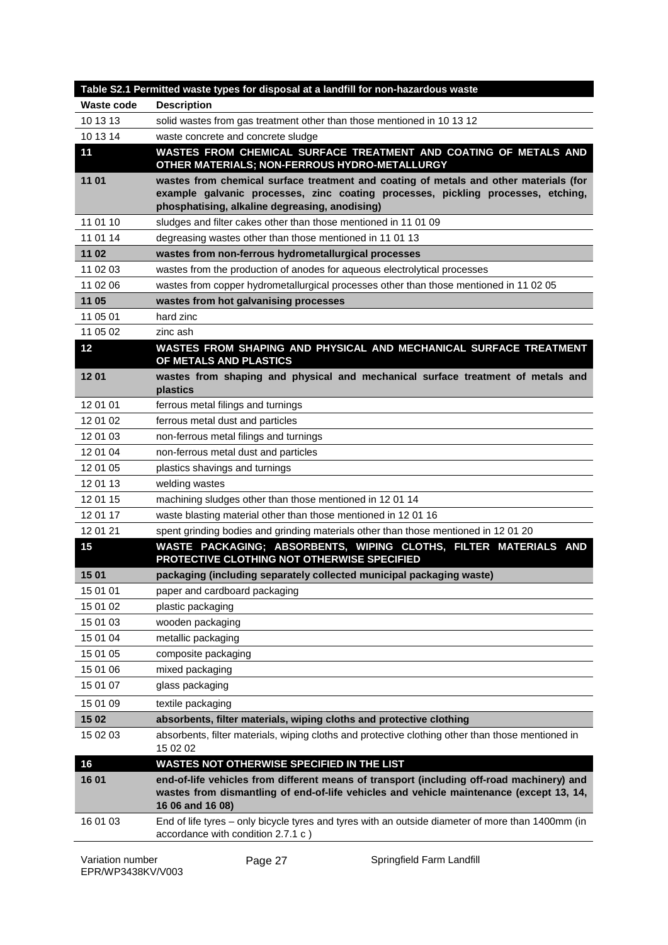|            | Table S2.1 Permitted waste types for disposal at a landfill for non-hazardous waste                                                                                                                      |
|------------|----------------------------------------------------------------------------------------------------------------------------------------------------------------------------------------------------------|
| Waste code | <b>Description</b>                                                                                                                                                                                       |
| 10 13 13   | solid wastes from gas treatment other than those mentioned in 10 13 12                                                                                                                                   |
| 10 13 14   | waste concrete and concrete sludge                                                                                                                                                                       |
| 11         | WASTES FROM CHEMICAL SURFACE TREATMENT AND COATING OF METALS AND<br>OTHER MATERIALS; NON-FERROUS HYDRO-METALLURGY                                                                                        |
| 11 01      | wastes from chemical surface treatment and coating of metals and other materials (for                                                                                                                    |
|            | example galvanic processes, zinc coating processes, pickling processes, etching,<br>phosphatising, alkaline degreasing, anodising)                                                                       |
| 11 01 10   | sludges and filter cakes other than those mentioned in 11 01 09                                                                                                                                          |
| 11 01 14   | degreasing wastes other than those mentioned in 11 01 13                                                                                                                                                 |
| 11 02      | wastes from non-ferrous hydrometallurgical processes                                                                                                                                                     |
| 11 02 03   | wastes from the production of anodes for aqueous electrolytical processes                                                                                                                                |
| 11 02 06   | wastes from copper hydrometallurgical processes other than those mentioned in 11 02 05                                                                                                                   |
| 11 05      | wastes from hot galvanising processes                                                                                                                                                                    |
| 11 05 01   | hard zinc                                                                                                                                                                                                |
| 11 05 02   | zinc ash                                                                                                                                                                                                 |
| 12         | WASTES FROM SHAPING AND PHYSICAL AND MECHANICAL SURFACE TREATMENT<br>OF METALS AND PLASTICS                                                                                                              |
| 1201       | wastes from shaping and physical and mechanical surface treatment of metals and<br>plastics                                                                                                              |
| 12 01 01   | ferrous metal filings and turnings                                                                                                                                                                       |
| 12 01 02   | ferrous metal dust and particles                                                                                                                                                                         |
| 12 01 03   | non-ferrous metal filings and turnings                                                                                                                                                                   |
| 12 01 04   | non-ferrous metal dust and particles                                                                                                                                                                     |
| 12 01 05   | plastics shavings and turnings                                                                                                                                                                           |
| 12 01 13   | welding wastes                                                                                                                                                                                           |
| 12 01 15   | machining sludges other than those mentioned in 12 01 14                                                                                                                                                 |
| 12 01 17   | waste blasting material other than those mentioned in 12 01 16                                                                                                                                           |
| 12 01 21   | spent grinding bodies and grinding materials other than those mentioned in 12 01 20                                                                                                                      |
| 15         | WASTE PACKAGING; ABSORBENTS, WIPING CLOTHS, FILTER MATERIALS AND<br>PROTECTIVE CLOTHING NOT OTHERWISE SPECIFIED                                                                                          |
| 15 01      | packaging (including separately collected municipal packaging waste)                                                                                                                                     |
| 15 01 01   | paper and cardboard packaging                                                                                                                                                                            |
| 15 01 02   | plastic packaging                                                                                                                                                                                        |
| 15 01 03   | wooden packaging                                                                                                                                                                                         |
| 15 01 04   | metallic packaging                                                                                                                                                                                       |
| 15 01 05   | composite packaging                                                                                                                                                                                      |
| 15 01 06   | mixed packaging                                                                                                                                                                                          |
| 15 01 07   | glass packaging                                                                                                                                                                                          |
| 15 01 09   | textile packaging                                                                                                                                                                                        |
| 15 02      | absorbents, filter materials, wiping cloths and protective clothing                                                                                                                                      |
| 15 02 03   | absorbents, filter materials, wiping cloths and protective clothing other than those mentioned in<br>15 02 02                                                                                            |
| 16         | WASTES NOT OTHERWISE SPECIFIED IN THE LIST                                                                                                                                                               |
| 16 01      | end-of-life vehicles from different means of transport (including off-road machinery) and<br>wastes from dismantling of end-of-life vehicles and vehicle maintenance (except 13, 14,<br>16 06 and 16 08) |
| 16 01 03   | End of life tyres - only bicycle tyres and tyres with an outside diameter of more than 1400mm (in<br>accordance with condition 2.7.1 c)                                                                  |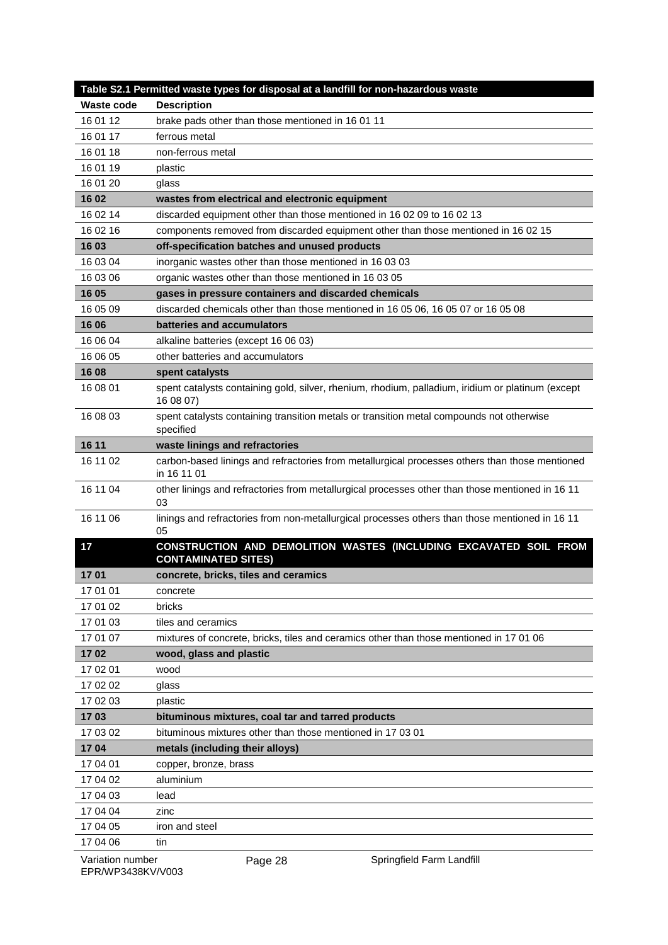|                   | Table S2.1 Permitted waste types for disposal at a landfill for non-hazardous waste                            |
|-------------------|----------------------------------------------------------------------------------------------------------------|
| <b>Waste code</b> | <b>Description</b>                                                                                             |
| 16 01 12          | brake pads other than those mentioned in 16 01 11                                                              |
| 16 01 17          | ferrous metal                                                                                                  |
| 16 01 18          | non-ferrous metal                                                                                              |
| 16 01 19          | plastic                                                                                                        |
| 16 01 20          | glass                                                                                                          |
| 16 02             | wastes from electrical and electronic equipment                                                                |
| 16 02 14          | discarded equipment other than those mentioned in 16 02 09 to 16 02 13                                         |
| 16 02 16          | components removed from discarded equipment other than those mentioned in 16 02 15                             |
| 16 03             | off-specification batches and unused products                                                                  |
| 16 03 04          | inorganic wastes other than those mentioned in 16 03 03                                                        |
| 16 03 06          | organic wastes other than those mentioned in 16 03 05                                                          |
| 16 05             | gases in pressure containers and discarded chemicals                                                           |
| 16 05 09          | discarded chemicals other than those mentioned in 16 05 06, 16 05 07 or 16 05 08                               |
| 16 06             | batteries and accumulators                                                                                     |
| 16 06 04          | alkaline batteries (except 16 06 03)                                                                           |
| 16 06 05          | other batteries and accumulators                                                                               |
| 16 08             | spent catalysts                                                                                                |
| 16 08 01          | spent catalysts containing gold, silver, rhenium, rhodium, palladium, iridium or platinum (except<br>16 08 07) |
| 16 08 03          | spent catalysts containing transition metals or transition metal compounds not otherwise<br>specified          |
| 16 11             | waste linings and refractories                                                                                 |
| 16 11 02          | carbon-based linings and refractories from metallurgical processes others than those mentioned<br>in 16 11 01  |
| 16 11 04          | other linings and refractories from metallurgical processes other than those mentioned in 16 11<br>03          |
| 16 11 06          | linings and refractories from non-metallurgical processes others than those mentioned in 16 11<br>05           |
| 17                | CONSTRUCTION AND DEMOLITION WASTES (INCLUDING EXCAVATED SOIL FROM<br><b>CONTAMINATED SITES)</b>                |
| 1701              | concrete, bricks, tiles and ceramics                                                                           |
| 17 01 01          | concrete                                                                                                       |
| 17 01 02          | bricks                                                                                                         |
| 17 01 03          | tiles and ceramics                                                                                             |
| 17 01 07          | mixtures of concrete, bricks, tiles and ceramics other than those mentioned in 17 01 06                        |
| 1702              | wood, glass and plastic                                                                                        |
| 17 02 01          | wood                                                                                                           |
| 17 02 02          | glass                                                                                                          |
| 17 02 03          | plastic                                                                                                        |
| 1703              | bituminous mixtures, coal tar and tarred products                                                              |
| 17 03 02          | bituminous mixtures other than those mentioned in 17 03 01                                                     |
| 1704              | metals (including their alloys)                                                                                |
| 17 04 01          | copper, bronze, brass                                                                                          |
| 17 04 02          | aluminium                                                                                                      |
| 17 04 03          | lead                                                                                                           |
| 17 04 04          | zinc                                                                                                           |
| 17 04 05          | iron and steel                                                                                                 |
| 17 04 06          | tin                                                                                                            |
|                   |                                                                                                                |

Page 28 **Springfield Farm Landfill**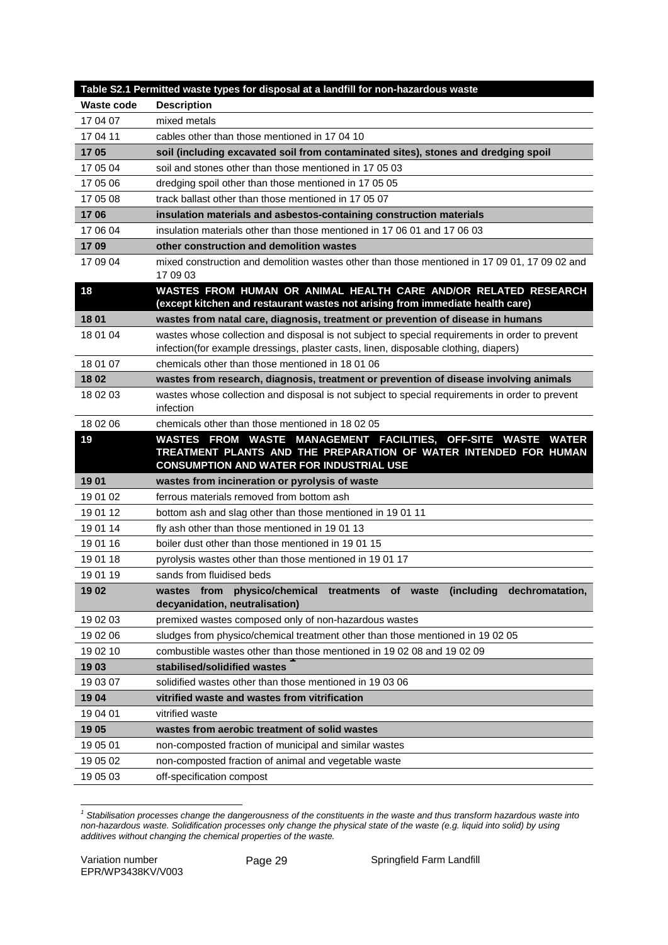|                   | Table S2.1 Permitted waste types for disposal at a landfill for non-hazardous waste                                                                                                     |
|-------------------|-----------------------------------------------------------------------------------------------------------------------------------------------------------------------------------------|
| <b>Waste code</b> | <b>Description</b>                                                                                                                                                                      |
| 17 04 07          | mixed metals                                                                                                                                                                            |
| 17 04 11          | cables other than those mentioned in 17 04 10                                                                                                                                           |
| 1705              | soil (including excavated soil from contaminated sites), stones and dredging spoil                                                                                                      |
| 17 05 04          | soil and stones other than those mentioned in 17 05 03                                                                                                                                  |
| 17 05 06          | dredging spoil other than those mentioned in 17 05 05                                                                                                                                   |
| 17 05 08          | track ballast other than those mentioned in 17 05 07                                                                                                                                    |
| 1706              | insulation materials and asbestos-containing construction materials                                                                                                                     |
| 17 06 04          | insulation materials other than those mentioned in 17 06 01 and 17 06 03                                                                                                                |
| 17 09             | other construction and demolition wastes                                                                                                                                                |
| 17 09 04          | mixed construction and demolition wastes other than those mentioned in 17 09 01, 17 09 02 and<br>17 09 03                                                                               |
| 18                | WASTES FROM HUMAN OR ANIMAL HEALTH CARE AND/OR RELATED RESEARCH<br>(except kitchen and restaurant wastes not arising from immediate health care)                                        |
| 1801              | wastes from natal care, diagnosis, treatment or prevention of disease in humans                                                                                                         |
| 18 01 04          | wastes whose collection and disposal is not subject to special requirements in order to prevent<br>infection(for example dressings, plaster casts, linen, disposable clothing, diapers) |
| 18 01 07          | chemicals other than those mentioned in 18 01 06                                                                                                                                        |
| 18 02             | wastes from research, diagnosis, treatment or prevention of disease involving animals                                                                                                   |
| 18 02 03          | wastes whose collection and disposal is not subject to special requirements in order to prevent<br>infection                                                                            |
| 18 02 06          | chemicals other than those mentioned in 18 02 05                                                                                                                                        |
| 19                | WASTES FROM WASTE MANAGEMENT FACILITIES, OFF-SITE WASTE WATER                                                                                                                           |
|                   | TREATMENT PLANTS AND THE PREPARATION OF WATER INTENDED FOR HUMAN<br><b>CONSUMPTION AND WATER FOR INDUSTRIAL USE</b>                                                                     |
| 19 01             | wastes from incineration or pyrolysis of waste                                                                                                                                          |
| 19 01 02          | ferrous materials removed from bottom ash                                                                                                                                               |
| 19 01 12          | bottom ash and slag other than those mentioned in 19 01 11                                                                                                                              |
| 19 01 14          | fly ash other than those mentioned in 1901 13                                                                                                                                           |
| 19 01 16          | boiler dust other than those mentioned in 1901 15                                                                                                                                       |
| 19 01 18          | pyrolysis wastes other than those mentioned in 1901 17                                                                                                                                  |
| 19 01 19          | sands from fluidised beds                                                                                                                                                               |
| 19 02             | wastes from physico/chemical treatments of waste (including dechromatation,<br>decyanidation, neutralisation)                                                                           |
| 19 02 03          | premixed wastes composed only of non-hazardous wastes                                                                                                                                   |
| 19 02 06          | sludges from physico/chemical treatment other than those mentioned in 19 02 05                                                                                                          |
| 19 02 10          | combustible wastes other than those mentioned in 19 02 08 and 19 02 09                                                                                                                  |
| 1903              | stabilised/solidified wastes                                                                                                                                                            |
| 19 03 07          | solidified wastes other than those mentioned in 190306                                                                                                                                  |
| 1904              | vitrified waste and wastes from vitrification                                                                                                                                           |
| 19 04 01          | vitrified waste                                                                                                                                                                         |
| 19 05             | wastes from aerobic treatment of solid wastes                                                                                                                                           |
| 19 05 01          | non-composted fraction of municipal and similar wastes                                                                                                                                  |
| 19 05 02          | non-composted fraction of animal and vegetable waste                                                                                                                                    |

<span id="page-28-0"></span>*<sup>1</sup> Stabilisation processes change the dangerousness of the constituents in the waste and thus transform hazardous waste into non-hazardous waste. Solidification processes only change the physical state of the waste (e.g. liquid into solid) by using additives without changing the chemical properties of the waste.*  $\overline{1}$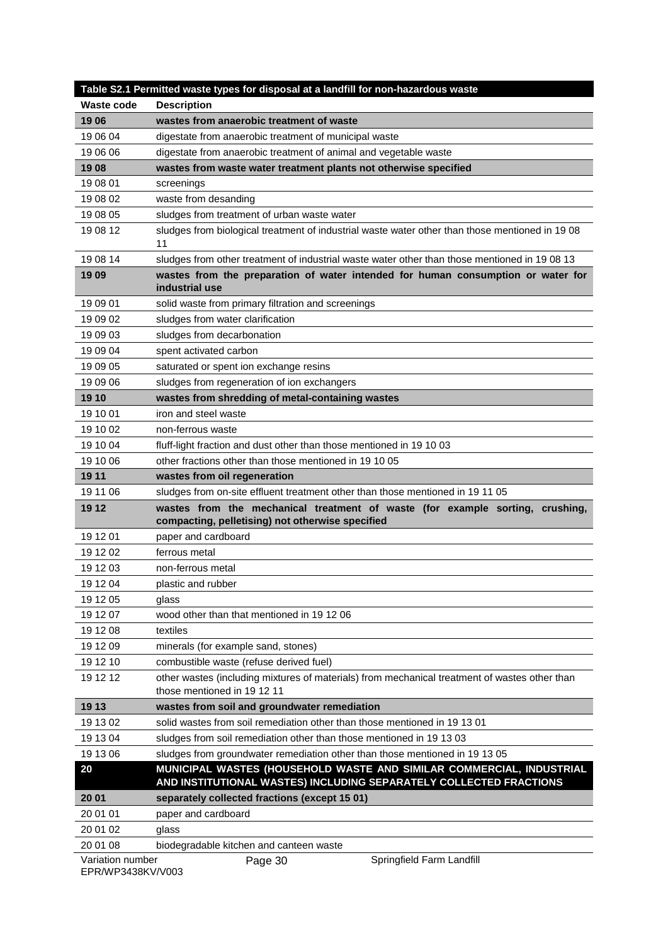|                              | Table S2.1 Permitted waste types for disposal at a landfill for non-hazardous waste                                               |
|------------------------------|-----------------------------------------------------------------------------------------------------------------------------------|
| <b>Waste code</b>            | <b>Description</b>                                                                                                                |
| 1906                         | wastes from anaerobic treatment of waste                                                                                          |
| 19 06 04                     | digestate from anaerobic treatment of municipal waste                                                                             |
| 19 06 06                     | digestate from anaerobic treatment of animal and vegetable waste                                                                  |
| 1908                         | wastes from waste water treatment plants not otherwise specified                                                                  |
| 19 08 01                     | screenings                                                                                                                        |
| 19 08 02                     | waste from desanding                                                                                                              |
| 19 08 05                     | sludges from treatment of urban waste water                                                                                       |
| 19 08 12                     | sludges from biological treatment of industrial waste water other than those mentioned in 19 08<br>11                             |
| 19 08 14                     | sludges from other treatment of industrial waste water other than those mentioned in 19 08 13                                     |
| 19 09                        | wastes from the preparation of water intended for human consumption or water for                                                  |
|                              | industrial use                                                                                                                    |
| 19 09 01                     | solid waste from primary filtration and screenings                                                                                |
| 19 09 02                     | sludges from water clarification                                                                                                  |
| 19 09 03                     | sludges from decarbonation                                                                                                        |
| 19 09 04                     | spent activated carbon                                                                                                            |
| 19 09 05                     | saturated or spent ion exchange resins                                                                                            |
| 19 09 06                     | sludges from regeneration of ion exchangers                                                                                       |
| 19 10                        | wastes from shredding of metal-containing wastes                                                                                  |
| 19 10 01                     | iron and steel waste                                                                                                              |
| 19 10 02                     | non-ferrous waste                                                                                                                 |
| 19 10 04                     | fluff-light fraction and dust other than those mentioned in 19 10 03                                                              |
| 19 10 06                     | other fractions other than those mentioned in 19 10 05                                                                            |
| 19 11                        | wastes from oil regeneration                                                                                                      |
| 19 11 06                     | sludges from on-site effluent treatment other than those mentioned in 19 11 05                                                    |
| 19 12                        | wastes from the mechanical treatment of waste (for example sorting, crushing,<br>compacting, pelletising) not otherwise specified |
| 19 12 01                     | paper and cardboard                                                                                                               |
| 19 12 02                     | ferrous metal                                                                                                                     |
| 19 12 03                     | non-ferrous metal                                                                                                                 |
| 19 12 04                     | plastic and rubber                                                                                                                |
| 19 12 05                     | glass                                                                                                                             |
| 19 12 07                     | wood other than that mentioned in 19 12 06                                                                                        |
| 19 12 08                     | textiles                                                                                                                          |
| 19 12 09                     | minerals (for example sand, stones)                                                                                               |
| 19 12 10                     | combustible waste (refuse derived fuel)                                                                                           |
| 19 12 12                     | other wastes (including mixtures of materials) from mechanical treatment of wastes other than<br>those mentioned in 19 12 11      |
| 19 13                        | wastes from soil and groundwater remediation                                                                                      |
| 19 13 02                     | solid wastes from soil remediation other than those mentioned in 19 13 01                                                         |
| 19 13 04                     | sludges from soil remediation other than those mentioned in 19 13 03                                                              |
| 19 13 06                     | sludges from groundwater remediation other than those mentioned in 19 13 05                                                       |
| 20                           | MUNICIPAL WASTES (HOUSEHOLD WASTE AND SIMILAR COMMERCIAL, INDUSTRIAL                                                              |
|                              | AND INSTITUTIONAL WASTES) INCLUDING SEPARATELY COLLECTED FRACTIONS                                                                |
| 20 01                        | separately collected fractions (except 15 01)                                                                                     |
| 20 01 01                     | paper and cardboard                                                                                                               |
|                              |                                                                                                                                   |
| 20 01 02                     | glass                                                                                                                             |
| 20 01 08<br>Variation number | biodegradable kitchen and canteen waste<br>Springfield Farm Landfill<br>Page 30                                                   |

EPR/WP3438KV/V003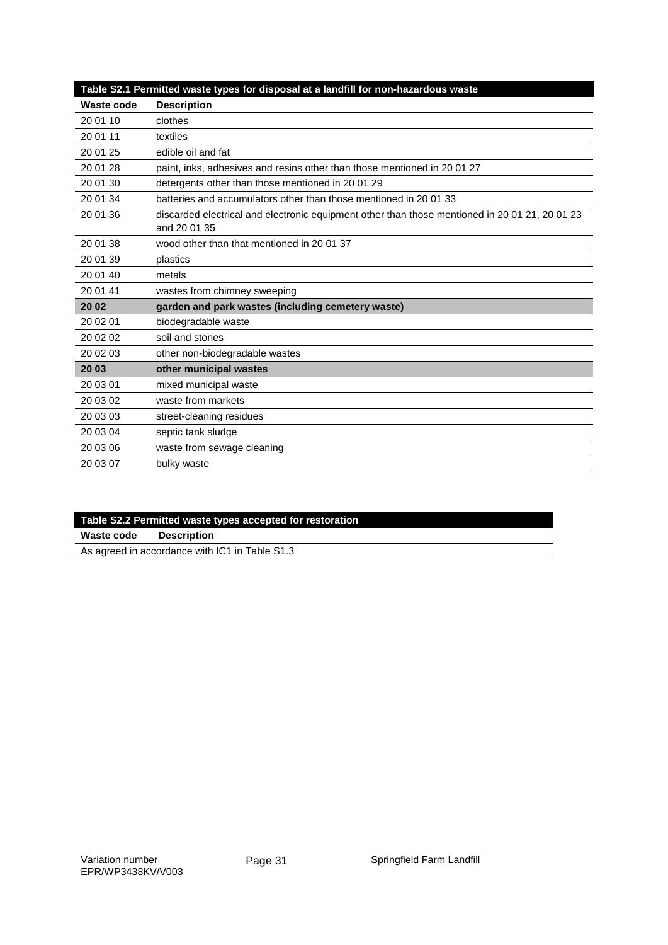|            | Table S2.1 Permitted waste types for disposal at a landfill for non-hazardous waste                          |
|------------|--------------------------------------------------------------------------------------------------------------|
| Waste code | <b>Description</b>                                                                                           |
| 20 01 10   | clothes                                                                                                      |
| 20 01 11   | textiles                                                                                                     |
| 20 01 25   | edible oil and fat                                                                                           |
| 20 01 28   | paint, inks, adhesives and resins other than those mentioned in 200127                                       |
| 20 01 30   | detergents other than those mentioned in 2001 29                                                             |
| 20 01 34   | batteries and accumulators other than those mentioned in 2001 33                                             |
| 20 01 36   | discarded electrical and electronic equipment other than those mentioned in 2001 21, 2001 23<br>and 20 01 35 |
| 20 01 38   | wood other than that mentioned in 20 01 37                                                                   |
| 20 01 39   | plastics                                                                                                     |
| 20 01 40   | metals                                                                                                       |
| 20 01 41   | wastes from chimney sweeping                                                                                 |
| 20 02      | garden and park wastes (including cemetery waste)                                                            |
| 20 02 01   | biodegradable waste                                                                                          |
| 20 02 02   | soil and stones                                                                                              |
| 20 02 03   | other non-biodegradable wastes                                                                               |
| 20 03      | other municipal wastes                                                                                       |
| 20 03 01   | mixed municipal waste                                                                                        |
| 20 03 02   | waste from markets                                                                                           |
| 20 03 03   | street-cleaning residues                                                                                     |
| 20 03 04   | septic tank sludge                                                                                           |
| 20 03 06   | waste from sewage cleaning                                                                                   |
| 20 03 07   | bulky waste                                                                                                  |

| Table S2.2 Permitted waste types accepted for restoration |                    |
|-----------------------------------------------------------|--------------------|
| Waste code                                                | <b>Description</b> |
| As agreed in accordance with IC1 in Table S1.3            |                    |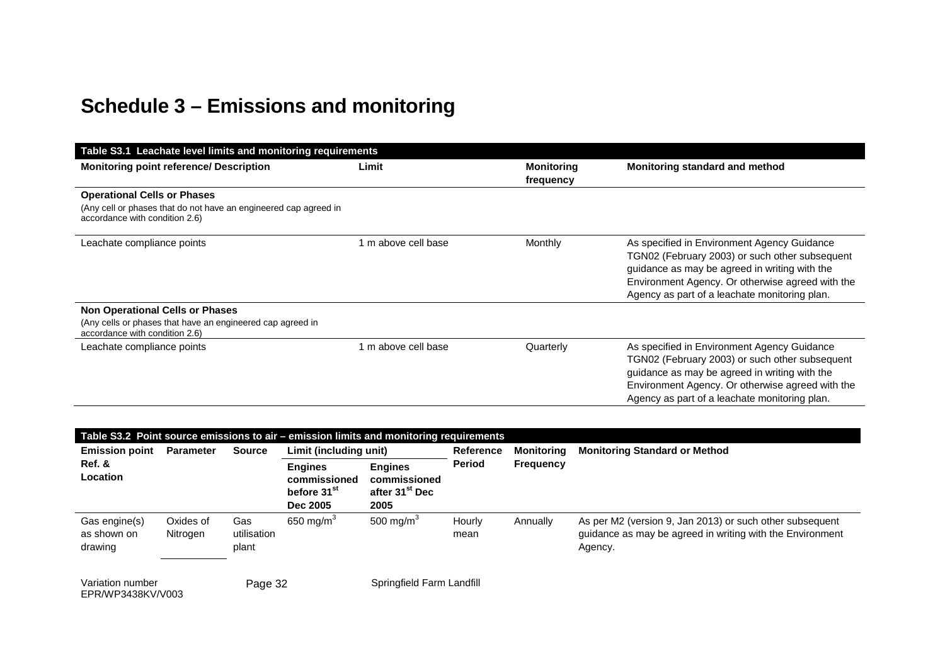# **Schedule 3 – Emissions and monitoring**

| Table S3.1 Leachate level limits and monitoring requirements                                                                             |                     |                                |                                                                                                                                                                                                                                                     |  |  |
|------------------------------------------------------------------------------------------------------------------------------------------|---------------------|--------------------------------|-----------------------------------------------------------------------------------------------------------------------------------------------------------------------------------------------------------------------------------------------------|--|--|
| <b>Monitoring point reference/ Description</b>                                                                                           | Limit               | <b>Monitoring</b><br>frequency | Monitoring standard and method                                                                                                                                                                                                                      |  |  |
| <b>Operational Cells or Phases</b><br>(Any cell or phases that do not have an engineered cap agreed in<br>accordance with condition 2.6) |                     |                                |                                                                                                                                                                                                                                                     |  |  |
| Leachate compliance points                                                                                                               | 1 m above cell base | Monthly                        | As specified in Environment Agency Guidance<br>TGN02 (February 2003) or such other subsequent<br>guidance as may be agreed in writing with the<br>Environment Agency. Or otherwise agreed with the<br>Agency as part of a leachate monitoring plan. |  |  |
| <b>Non Operational Cells or Phases</b><br>(Any cells or phases that have an engineered cap agreed in<br>accordance with condition 2.6)   |                     |                                |                                                                                                                                                                                                                                                     |  |  |
| Leachate compliance points                                                                                                               | 1 m above cell base | Quarterly                      | As specified in Environment Agency Guidance<br>TGN02 (February 2003) or such other subsequent<br>guidance as may be agreed in writing with the<br>Environment Agency. Or otherwise agreed with the<br>Agency as part of a leachate monitoring plan. |  |  |

|                                         | Table S3.2 Point source emissions to air - emission limits and monitoring requirements |                             |                                                                       |                                                                      |                                                              |          |                                                                                                                                  |
|-----------------------------------------|----------------------------------------------------------------------------------------|-----------------------------|-----------------------------------------------------------------------|----------------------------------------------------------------------|--------------------------------------------------------------|----------|----------------------------------------------------------------------------------------------------------------------------------|
| <b>Emission point</b>                   | <b>Parameter</b>                                                                       | <b>Source</b>               | Limit (including unit)                                                |                                                                      | <b>Reference</b><br>Monitoring<br>Period<br><b>Frequency</b> |          | <b>Monitoring Standard or Method</b>                                                                                             |
| Ref. &<br>Location                      |                                                                                        |                             | <b>Engines</b><br>commissioned<br>before 31 <sup>st</sup><br>Dec 2005 | <b>Engines</b><br>commissioned<br>after 31 <sup>st</sup> Dec<br>2005 |                                                              |          |                                                                                                                                  |
| Gas engine(s)<br>as shown on<br>drawing | Oxides of<br>Nitrogen                                                                  | Gas<br>utilisation<br>plant | 650 mg/m $3$                                                          | 500 mg/m <sup>3</sup>                                                | Hourly<br>mean                                               | Annually | As per M2 (version 9, Jan 2013) or such other subsequent<br>guidance as may be agreed in writing with the Environment<br>Agency. |
| Variation number<br>EPR/WP3438KV/V003   |                                                                                        | Page 32                     |                                                                       | Springfield Farm Landfill                                            |                                                              |          |                                                                                                                                  |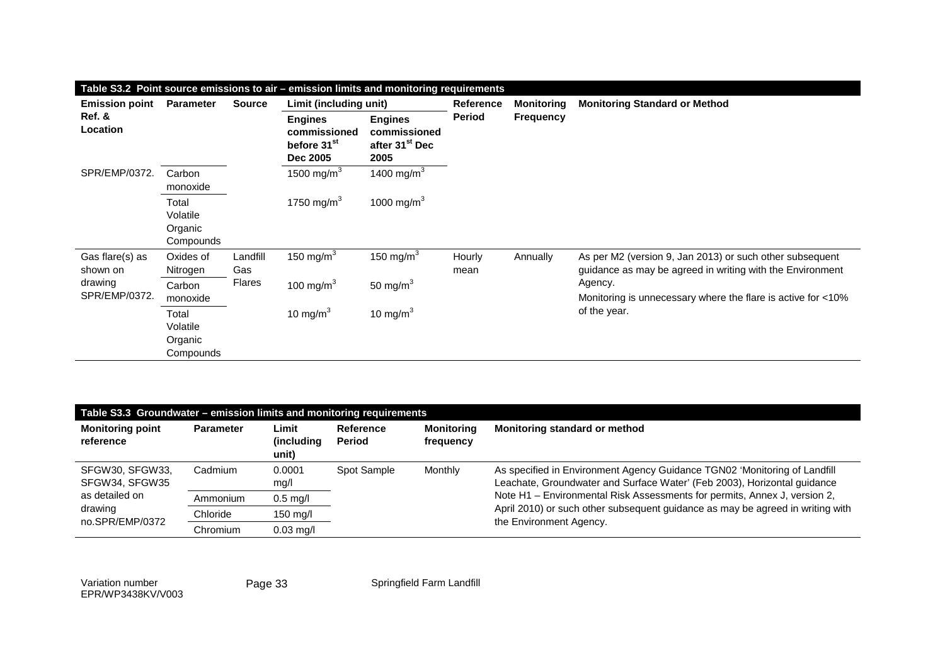| Table S3.2 Point source emissions to air - emission limits and monitoring requirements |                                           |                 |                                                                       |                                                                      |                |                   |                                                                                                                       |
|----------------------------------------------------------------------------------------|-------------------------------------------|-----------------|-----------------------------------------------------------------------|----------------------------------------------------------------------|----------------|-------------------|-----------------------------------------------------------------------------------------------------------------------|
| <b>Emission point</b>                                                                  | <b>Parameter</b>                          | <b>Source</b>   | Limit (including unit)                                                |                                                                      | Reference      | <b>Monitoring</b> | <b>Monitoring Standard or Method</b>                                                                                  |
| Ref. &<br>Location                                                                     |                                           |                 | <b>Engines</b><br>commissioned<br>before 31 <sup>st</sup><br>Dec 2005 | <b>Engines</b><br>commissioned<br>after 31 <sup>st</sup> Dec<br>2005 | <b>Period</b>  | <b>Frequency</b>  |                                                                                                                       |
| SPR/EMP/0372.                                                                          | Carbon<br>monoxide                        |                 | 1500 mg/m ${}^{3}$                                                    | 1400 mg/m <sup>3</sup>                                               |                |                   |                                                                                                                       |
|                                                                                        | Total<br>Volatile<br>Organic<br>Compounds |                 | 1750 mg/m <sup>3</sup>                                                | 1000 mg/m <sup>3</sup>                                               |                |                   |                                                                                                                       |
| Gas flare(s) as<br>shown on                                                            | Oxides of<br>Nitrogen                     | Landfill<br>Gas | 150 mg/m $3$                                                          | 150 mg/m $3$                                                         | Hourly<br>mean | Annually          | As per M2 (version 9, Jan 2013) or such other subsequent<br>guidance as may be agreed in writing with the Environment |
| drawing<br>SPR/EMP/0372.                                                               | Carbon<br>monoxide                        | <b>Flares</b>   | 100 mg/m $3$                                                          | 50 mg/m $3$                                                          |                |                   | Agency.<br>Monitoring is unnecessary where the flare is active for <10%                                               |
|                                                                                        | Total<br>Volatile<br>Organic<br>Compounds |                 | 10 mg/m $3$                                                           | 10 mg/m $3$                                                          |                |                   | of the year.                                                                                                          |

| Table S3.3 Groundwater - emission limits and monitoring requirements |                  |                               |                     |                                |                                                                                                                                                       |  |
|----------------------------------------------------------------------|------------------|-------------------------------|---------------------|--------------------------------|-------------------------------------------------------------------------------------------------------------------------------------------------------|--|
| <b>Monitoring point</b><br>reference                                 | <b>Parameter</b> | Limit<br>(including)<br>unit) | Reference<br>Period | <b>Monitoring</b><br>frequency | Monitoring standard or method                                                                                                                         |  |
| SFGW30, SFGW33,<br>SFGW34, SFGW35                                    | Cadmium          | 0.0001<br>mg/l                | Spot Sample         | Monthly                        | As specified in Environment Agency Guidance TGN02 'Monitoring of Landfill<br>Leachate, Groundwater and Surface Water' (Feb 2003), Horizontal guidance |  |
| as detailed on<br>drawing<br>no.SPR/EMP/0372                         | Ammonium         | $0.5$ mg/l                    |                     |                                | Note H1 - Environmental Risk Assessments for permits, Annex J, version 2,                                                                             |  |
|                                                                      | Chloride         | 150 mg/l                      |                     |                                | April 2010) or such other subsequent guidance as may be agreed in writing with<br>the Environment Agency.                                             |  |
|                                                                      | Chromium         | $0.03$ mg/l                   |                     |                                |                                                                                                                                                       |  |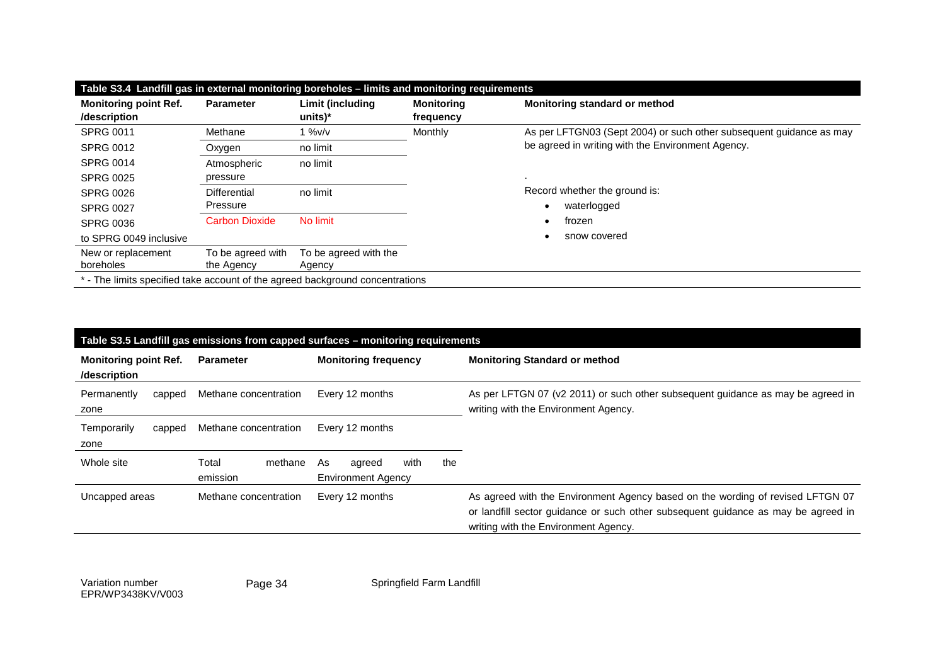| Table S3.4 Landfill gas in external monitoring boreholes – limits and monitoring requirements |                       |                               |                                |                                                                     |  |  |
|-----------------------------------------------------------------------------------------------|-----------------------|-------------------------------|--------------------------------|---------------------------------------------------------------------|--|--|
| <b>Monitoring point Ref.</b><br>/description                                                  | <b>Parameter</b>      | Limit (including<br>$units)*$ | <b>Monitoring</b><br>frequency | Monitoring standard or method                                       |  |  |
| <b>SPRG 0011</b>                                                                              | Methane               | $1\%$ v/v                     | Monthly                        | As per LFTGN03 (Sept 2004) or such other subsequent guidance as may |  |  |
| <b>SPRG 0012</b>                                                                              | Oxygen                | no limit                      |                                | be agreed in writing with the Environment Agency.                   |  |  |
| <b>SPRG 0014</b>                                                                              | Atmospheric           | no limit                      |                                |                                                                     |  |  |
| <b>SPRG 0025</b>                                                                              | pressure              |                               |                                |                                                                     |  |  |
| <b>SPRG 0026</b>                                                                              | Differential          | no limit                      |                                | Record whether the ground is:                                       |  |  |
| <b>SPRG 0027</b>                                                                              | Pressure              |                               |                                | waterlogged                                                         |  |  |
| <b>SPRG 0036</b>                                                                              | <b>Carbon Dioxide</b> | No limit                      |                                | frozen                                                              |  |  |
| to SPRG 0049 inclusive                                                                        |                       |                               |                                | snow covered                                                        |  |  |
| New or replacement                                                                            | To be agreed with     | To be agreed with the         |                                |                                                                     |  |  |
| boreholes                                                                                     | the Agency            | Agency                        |                                |                                                                     |  |  |
| * - The limits specified take account of the agreed background concentrations                 |                       |                               |                                |                                                                     |  |  |

| Table S3.5 Landfill gas emissions from capped surfaces - monitoring requirements |                              |                                                          |                                                                                                                                                                                                             |  |  |  |
|----------------------------------------------------------------------------------|------------------------------|----------------------------------------------------------|-------------------------------------------------------------------------------------------------------------------------------------------------------------------------------------------------------------|--|--|--|
| <b>Monitoring point Ref.</b><br>/description                                     | <b>Parameter</b>             | <b>Monitoring frequency</b>                              | <b>Monitoring Standard or method</b>                                                                                                                                                                        |  |  |  |
| Permanently<br>capped<br>zone                                                    | Methane concentration        | Every 12 months                                          | As per LFTGN 07 (v2 2011) or such other subsequent guidance as may be agreed in<br>writing with the Environment Agency.                                                                                     |  |  |  |
| Temporarily<br>capped<br>zone                                                    | Methane concentration        | Every 12 months                                          |                                                                                                                                                                                                             |  |  |  |
| Whole site                                                                       | Total<br>methane<br>emission | with<br>the<br>As<br>agreed<br><b>Environment Agency</b> |                                                                                                                                                                                                             |  |  |  |
| Uncapped areas                                                                   | Methane concentration        | Every 12 months                                          | As agreed with the Environment Agency based on the wording of revised LFTGN 07<br>or landfill sector guidance or such other subsequent guidance as may be agreed in<br>writing with the Environment Agency. |  |  |  |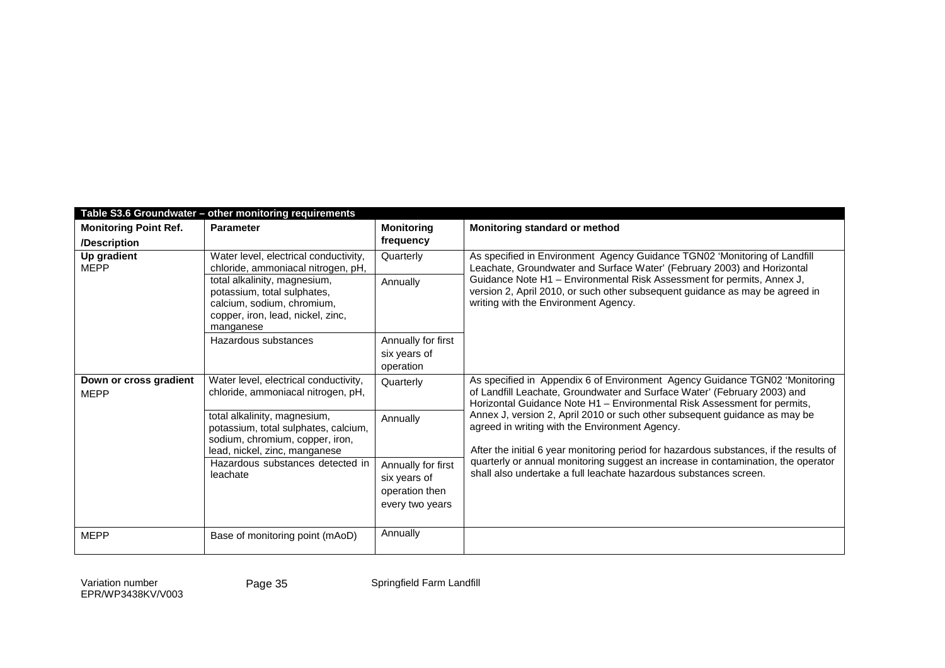|                                              | Table S3.6 Groundwater - other monitoring requirements                                                                                      |                                                                         |                                                                                                                                                                                                                                     |  |  |  |  |  |
|----------------------------------------------|---------------------------------------------------------------------------------------------------------------------------------------------|-------------------------------------------------------------------------|-------------------------------------------------------------------------------------------------------------------------------------------------------------------------------------------------------------------------------------|--|--|--|--|--|
| <b>Monitoring Point Ref.</b><br>/Description | <b>Parameter</b>                                                                                                                            | <b>Monitoring</b><br>frequency                                          | Monitoring standard or method                                                                                                                                                                                                       |  |  |  |  |  |
| Up gradient<br><b>MEPP</b>                   | Water level, electrical conductivity,<br>chloride, ammoniacal nitrogen, pH,                                                                 | Quarterly                                                               | As specified in Environment Agency Guidance TGN02 'Monitoring of Landfill<br>Leachate, Groundwater and Surface Water' (February 2003) and Horizontal                                                                                |  |  |  |  |  |
|                                              | total alkalinity, magnesium,<br>potassium, total sulphates,<br>calcium, sodium, chromium,<br>copper, iron, lead, nickel, zinc,<br>manganese | Annually                                                                | Guidance Note H1 - Environmental Risk Assessment for permits, Annex J,<br>version 2, April 2010, or such other subsequent guidance as may be agreed in<br>writing with the Environment Agency.                                      |  |  |  |  |  |
|                                              | Hazardous substances                                                                                                                        | Annually for first<br>six years of<br>operation                         |                                                                                                                                                                                                                                     |  |  |  |  |  |
| Down or cross gradient<br><b>MEPP</b>        | Water level, electrical conductivity,<br>chloride, ammoniacal nitrogen, pH,                                                                 | Quarterly                                                               | As specified in Appendix 6 of Environment Agency Guidance TGN02 'Monitoring<br>of Landfill Leachate, Groundwater and Surface Water' (February 2003) and<br>Horizontal Guidance Note H1 - Environmental Risk Assessment for permits, |  |  |  |  |  |
|                                              | total alkalinity, magnesium,<br>potassium, total sulphates, calcium,<br>sodium, chromium, copper, iron,<br>lead, nickel, zinc, manganese    | Annually                                                                | Annex J, version 2, April 2010 or such other subsequent guidance as may be<br>agreed in writing with the Environment Agency.<br>After the initial 6 year monitoring period for hazardous substances, if the results of              |  |  |  |  |  |
|                                              | Hazardous substances detected in<br>leachate                                                                                                | Annually for first<br>six years of<br>operation then<br>every two years | quarterly or annual monitoring suggest an increase in contamination, the operator<br>shall also undertake a full leachate hazardous substances screen.                                                                              |  |  |  |  |  |
| <b>MEPP</b>                                  | Base of monitoring point (mAoD)                                                                                                             | Annually                                                                |                                                                                                                                                                                                                                     |  |  |  |  |  |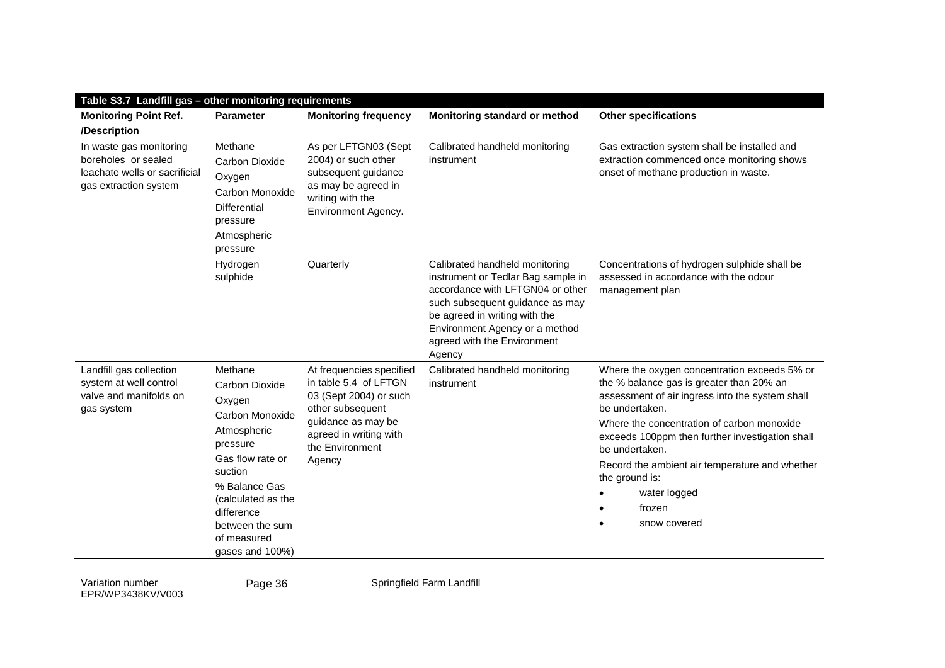| Table S3.7 Landfill gas - other monitoring requirements                                                  |                                                                                                                                                                                                                            |                                                                                                                                                                              |                                                                                                                                                                                                                                                         |                                                                                                                                                                                                                                                                                                                                                                                                |  |
|----------------------------------------------------------------------------------------------------------|----------------------------------------------------------------------------------------------------------------------------------------------------------------------------------------------------------------------------|------------------------------------------------------------------------------------------------------------------------------------------------------------------------------|---------------------------------------------------------------------------------------------------------------------------------------------------------------------------------------------------------------------------------------------------------|------------------------------------------------------------------------------------------------------------------------------------------------------------------------------------------------------------------------------------------------------------------------------------------------------------------------------------------------------------------------------------------------|--|
| <b>Monitoring Point Ref.</b>                                                                             | <b>Parameter</b>                                                                                                                                                                                                           | <b>Monitoring frequency</b>                                                                                                                                                  | Monitoring standard or method                                                                                                                                                                                                                           | <b>Other specifications</b>                                                                                                                                                                                                                                                                                                                                                                    |  |
| /Description                                                                                             |                                                                                                                                                                                                                            |                                                                                                                                                                              |                                                                                                                                                                                                                                                         |                                                                                                                                                                                                                                                                                                                                                                                                |  |
| In waste gas monitoring<br>boreholes or sealed<br>leachate wells or sacrificial<br>gas extraction system | Methane<br>Carbon Dioxide<br>Oxygen<br>Carbon Monoxide<br><b>Differential</b><br>pressure<br>Atmospheric<br>pressure                                                                                                       | As per LFTGN03 (Sept<br>2004) or such other<br>subsequent guidance<br>as may be agreed in<br>writing with the<br>Environment Agency.                                         | Calibrated handheld monitoring<br>instrument                                                                                                                                                                                                            | Gas extraction system shall be installed and<br>extraction commenced once monitoring shows<br>onset of methane production in waste.                                                                                                                                                                                                                                                            |  |
|                                                                                                          | Hydrogen<br>sulphide                                                                                                                                                                                                       | Quarterly                                                                                                                                                                    | Calibrated handheld monitoring<br>instrument or Tedlar Bag sample in<br>accordance with LFTGN04 or other<br>such subsequent guidance as may<br>be agreed in writing with the<br>Environment Agency or a method<br>agreed with the Environment<br>Agency | Concentrations of hydrogen sulphide shall be<br>assessed in accordance with the odour<br>management plan                                                                                                                                                                                                                                                                                       |  |
| Landfill gas collection<br>system at well control<br>valve and manifolds on<br>gas system                | Methane<br>Carbon Dioxide<br>Oxygen<br>Carbon Monoxide<br>Atmospheric<br>pressure<br>Gas flow rate or<br>suction<br>% Balance Gas<br>(calculated as the<br>difference<br>between the sum<br>of measured<br>gases and 100%) | At frequencies specified<br>in table 5.4 of LFTGN<br>03 (Sept 2004) or such<br>other subsequent<br>guidance as may be<br>agreed in writing with<br>the Environment<br>Agency | Calibrated handheld monitoring<br>instrument                                                                                                                                                                                                            | Where the oxygen concentration exceeds 5% or<br>the % balance gas is greater than 20% an<br>assessment of air ingress into the system shall<br>be undertaken.<br>Where the concentration of carbon monoxide<br>exceeds 100ppm then further investigation shall<br>be undertaken.<br>Record the ambient air temperature and whether<br>the ground is:<br>water logged<br>frozen<br>snow covered |  |

Page 36 Springfield Farm Landfill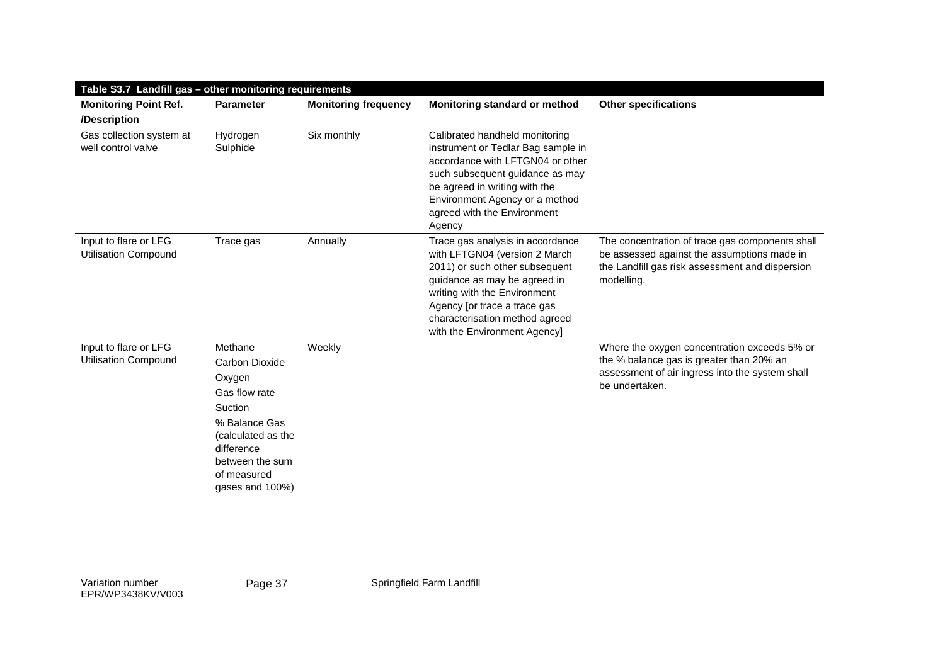| Table S3.7 Landfill gas - other monitoring requirements |                                                                                                                                                                           |                             |                                                                                                                                                                                                                                                                       |                                                                                                                                                                 |  |
|---------------------------------------------------------|---------------------------------------------------------------------------------------------------------------------------------------------------------------------------|-----------------------------|-----------------------------------------------------------------------------------------------------------------------------------------------------------------------------------------------------------------------------------------------------------------------|-----------------------------------------------------------------------------------------------------------------------------------------------------------------|--|
| <b>Monitoring Point Ref.</b>                            | <b>Parameter</b>                                                                                                                                                          | <b>Monitoring frequency</b> | Monitoring standard or method                                                                                                                                                                                                                                         | <b>Other specifications</b>                                                                                                                                     |  |
| /Description                                            |                                                                                                                                                                           |                             |                                                                                                                                                                                                                                                                       |                                                                                                                                                                 |  |
| Gas collection system at<br>well control valve          | Hydrogen<br>Sulphide                                                                                                                                                      | Six monthly                 | Calibrated handheld monitoring<br>instrument or Tedlar Bag sample in<br>accordance with LFTGN04 or other<br>such subsequent guidance as may<br>be agreed in writing with the<br>Environment Agency or a method<br>agreed with the Environment<br>Agency               |                                                                                                                                                                 |  |
| Input to flare or LFG<br><b>Utilisation Compound</b>    | Trace gas                                                                                                                                                                 | Annually                    | Trace gas analysis in accordance<br>with LFTGN04 (version 2 March<br>2011) or such other subsequent<br>guidance as may be agreed in<br>writing with the Environment<br>Agency [or trace a trace gas<br>characterisation method agreed<br>with the Environment Agency] | The concentration of trace gas components shall<br>be assessed against the assumptions made in<br>the Landfill gas risk assessment and dispersion<br>modelling. |  |
| Input to flare or LFG<br><b>Utilisation Compound</b>    | Methane<br>Carbon Dioxide<br>Oxygen<br>Gas flow rate<br>Suction<br>% Balance Gas<br>(calculated as the<br>difference<br>between the sum<br>of measured<br>gases and 100%) | Weekly                      |                                                                                                                                                                                                                                                                       | Where the oxygen concentration exceeds 5% or<br>the % balance gas is greater than 20% an<br>assessment of air ingress into the system shall<br>be undertaken.   |  |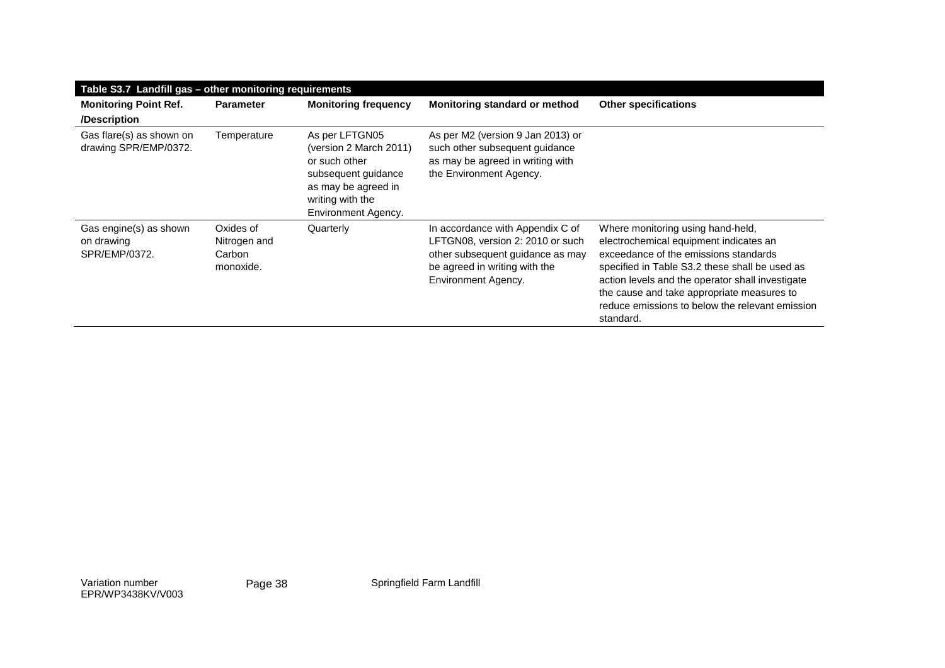|                                                       | Table S3.7 Landfill gas - other monitoring requirements |                                                                                                                                                    |                                                                                                                                                                  |                                                                                                                                                                                                                                                                                                                                          |  |  |
|-------------------------------------------------------|---------------------------------------------------------|----------------------------------------------------------------------------------------------------------------------------------------------------|------------------------------------------------------------------------------------------------------------------------------------------------------------------|------------------------------------------------------------------------------------------------------------------------------------------------------------------------------------------------------------------------------------------------------------------------------------------------------------------------------------------|--|--|
| <b>Monitoring Point Ref.</b><br>/Description          | <b>Parameter</b>                                        | <b>Monitoring frequency</b>                                                                                                                        | Monitoring standard or method                                                                                                                                    | <b>Other specifications</b>                                                                                                                                                                                                                                                                                                              |  |  |
| Gas flare(s) as shown on<br>drawing SPR/EMP/0372.     | Temperature                                             | As per LFTGN05<br>(version 2 March 2011)<br>or such other<br>subsequent guidance<br>as may be agreed in<br>writing with the<br>Environment Agency. | As per M2 (version 9 Jan 2013) or<br>such other subsequent guidance<br>as may be agreed in writing with<br>the Environment Agency.                               |                                                                                                                                                                                                                                                                                                                                          |  |  |
| Gas engine(s) as shown<br>on drawing<br>SPR/EMP/0372. | Oxides of<br>Nitrogen and<br>Carbon<br>monoxide.        | Quarterly                                                                                                                                          | In accordance with Appendix C of<br>LFTGN08, version 2: 2010 or such<br>other subsequent guidance as may<br>be agreed in writing with the<br>Environment Agency. | Where monitoring using hand-held,<br>electrochemical equipment indicates an<br>exceedance of the emissions standards<br>specified in Table S3.2 these shall be used as<br>action levels and the operator shall investigate<br>the cause and take appropriate measures to<br>reduce emissions to below the relevant emission<br>standard. |  |  |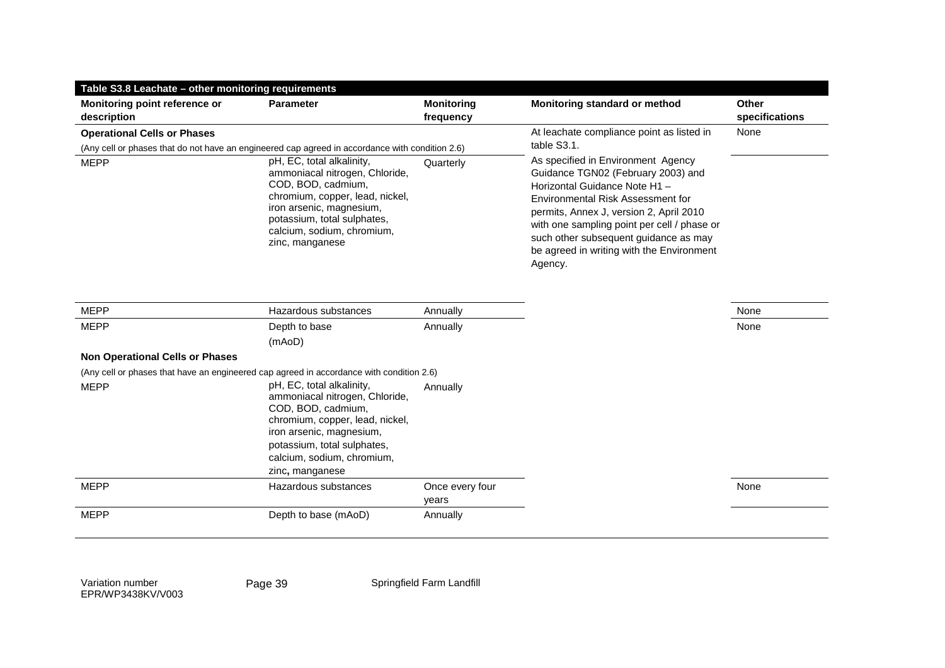| Table S3.8 Leachate – other monitoring requirements                                             |                                                                                                                                                                                                                                  |                          |                                                                                                                                                                                                                                                                                                                                          |                |
|-------------------------------------------------------------------------------------------------|----------------------------------------------------------------------------------------------------------------------------------------------------------------------------------------------------------------------------------|--------------------------|------------------------------------------------------------------------------------------------------------------------------------------------------------------------------------------------------------------------------------------------------------------------------------------------------------------------------------------|----------------|
| Monitoring point reference or                                                                   | <b>Parameter</b>                                                                                                                                                                                                                 | <b>Monitoring</b>        | Monitoring standard or method                                                                                                                                                                                                                                                                                                            | <b>Other</b>   |
| description                                                                                     |                                                                                                                                                                                                                                  | frequency                |                                                                                                                                                                                                                                                                                                                                          | specifications |
| <b>Operational Cells or Phases</b>                                                              |                                                                                                                                                                                                                                  |                          | At leachate compliance point as listed in                                                                                                                                                                                                                                                                                                | None           |
| (Any cell or phases that do not have an engineered cap agreed in accordance with condition 2.6) |                                                                                                                                                                                                                                  |                          | table S3.1.                                                                                                                                                                                                                                                                                                                              |                |
| <b>MEPP</b>                                                                                     | pH, EC, total alkalinity,<br>ammoniacal nitrogen, Chloride,<br>COD, BOD, cadmium,<br>chromium, copper, lead, nickel,<br>iron arsenic, magnesium,<br>potassium, total sulphates,<br>calcium, sodium, chromium,<br>zinc, manganese | Quarterly                | As specified in Environment Agency<br>Guidance TGN02 (February 2003) and<br>Horizontal Guidance Note H1-<br>Environmental Risk Assessment for<br>permits, Annex J, version 2, April 2010<br>with one sampling point per cell / phase or<br>such other subsequent guidance as may<br>be agreed in writing with the Environment<br>Agency. |                |
| <b>MEPP</b>                                                                                     | Hazardous substances                                                                                                                                                                                                             | Annually                 |                                                                                                                                                                                                                                                                                                                                          | None           |
| <b>MEPP</b>                                                                                     | Depth to base                                                                                                                                                                                                                    | Annually                 |                                                                                                                                                                                                                                                                                                                                          | None           |
|                                                                                                 | (mAoD)                                                                                                                                                                                                                           |                          |                                                                                                                                                                                                                                                                                                                                          |                |
| <b>Non Operational Cells or Phases</b>                                                          |                                                                                                                                                                                                                                  |                          |                                                                                                                                                                                                                                                                                                                                          |                |
| (Any cell or phases that have an engineered cap agreed in accordance with condition 2.6)        |                                                                                                                                                                                                                                  |                          |                                                                                                                                                                                                                                                                                                                                          |                |
| <b>MEPP</b>                                                                                     | pH, EC, total alkalinity,<br>ammoniacal nitrogen, Chloride,<br>COD, BOD, cadmium,<br>chromium, copper, lead, nickel,<br>iron arsenic, magnesium,<br>potassium, total sulphates,<br>calcium, sodium, chromium,                    | Annually                 |                                                                                                                                                                                                                                                                                                                                          |                |
|                                                                                                 | zinc, manganese                                                                                                                                                                                                                  |                          |                                                                                                                                                                                                                                                                                                                                          |                |
| <b>MEPP</b>                                                                                     | Hazardous substances                                                                                                                                                                                                             | Once every four<br>years |                                                                                                                                                                                                                                                                                                                                          | None           |
| <b>MEPP</b>                                                                                     | Depth to base (mAoD)                                                                                                                                                                                                             | Annually                 |                                                                                                                                                                                                                                                                                                                                          |                |
|                                                                                                 |                                                                                                                                                                                                                                  |                          |                                                                                                                                                                                                                                                                                                                                          |                |

Page 39 Springfield Farm Landfill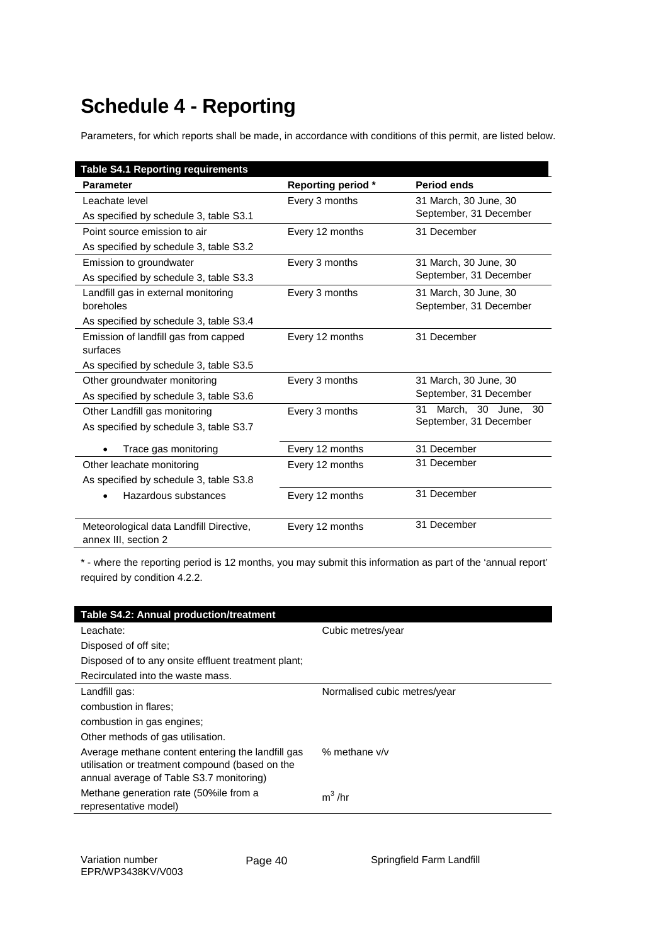# **Schedule 4 - Reporting**

Parameters, for which reports shall be made, in accordance with conditions of this permit, are listed below.

| <b>Table S4.1 Reporting requirements</b>                        |                           |                          |
|-----------------------------------------------------------------|---------------------------|--------------------------|
| <b>Parameter</b>                                                | <b>Reporting period *</b> | <b>Period ends</b>       |
| Leachate level                                                  | Every 3 months            | 31 March, 30 June, 30    |
| As specified by schedule 3, table S3.1                          |                           | September, 31 December   |
| Point source emission to air                                    | Every 12 months           | 31 December              |
| As specified by schedule 3, table S3.2                          |                           |                          |
| Emission to groundwater                                         | Every 3 months            | 31 March, 30 June, 30    |
| As specified by schedule 3, table S3.3                          |                           | September, 31 December   |
| Landfill gas in external monitoring                             | Every 3 months            | 31 March, 30 June, 30    |
| boreholes                                                       |                           | September, 31 December   |
| As specified by schedule 3, table S3.4                          |                           |                          |
| Emission of landfill gas from capped                            | Every 12 months           | 31 December              |
| surfaces                                                        |                           |                          |
| As specified by schedule 3, table S3.5                          |                           |                          |
| Other groundwater monitoring                                    | Every 3 months            | 31 March, 30 June, 30    |
| As specified by schedule 3, table S3.6                          |                           | September, 31 December   |
| Other Landfill gas monitoring                                   | Every 3 months            | 31<br>March, 30 June, 30 |
| As specified by schedule 3, table S3.7                          |                           | September, 31 December   |
| Trace gas monitoring                                            | Every 12 months           | 31 December              |
| Other leachate monitoring                                       | Every 12 months           | 31 December              |
| As specified by schedule 3, table S3.8                          |                           |                          |
| Hazardous substances                                            | Every 12 months           | 31 December              |
|                                                                 |                           |                          |
| Meteorological data Landfill Directive,<br>annex III, section 2 | Every 12 months           | 31 December              |

\* - where the reporting period is 12 months, you may submit this information as part of the 'annual report' required by condition 4.2.2.

| Table S4.2: Annual production/treatment                                                                                                          |                              |
|--------------------------------------------------------------------------------------------------------------------------------------------------|------------------------------|
| Leachate:                                                                                                                                        | Cubic metres/year            |
| Disposed of off site:                                                                                                                            |                              |
| Disposed of to any onsite effluent treatment plant;                                                                                              |                              |
| Recirculated into the waste mass.                                                                                                                |                              |
| Landfill gas:                                                                                                                                    | Normalised cubic metres/year |
| combustion in flares;                                                                                                                            |                              |
| combustion in gas engines;                                                                                                                       |                              |
| Other methods of gas utilisation.                                                                                                                |                              |
| Average methane content entering the landfill gas<br>utilisation or treatment compound (based on the<br>annual average of Table S3.7 monitoring) | % methane $v/v$              |
| Methane generation rate (50%ile from a<br>representative model)                                                                                  | $m^3$ /hr                    |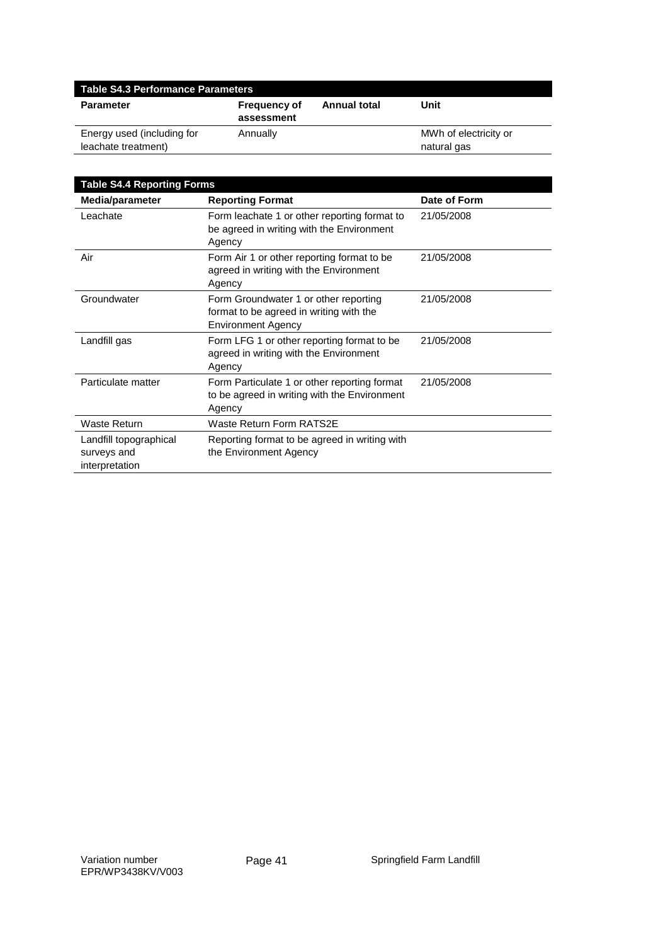| <b>Table S4.3 Performance Parameters</b>          |                                   |                     |                                      |
|---------------------------------------------------|-----------------------------------|---------------------|--------------------------------------|
| <b>Parameter</b>                                  | <b>Frequency of</b><br>assessment | <b>Annual total</b> | Unit                                 |
| Energy used (including for<br>leachate treatment) | Annually                          |                     | MWh of electricity or<br>natural gas |

| <b>Table S4.4 Reporting Forms</b>                       |                                                                                                               |              |
|---------------------------------------------------------|---------------------------------------------------------------------------------------------------------------|--------------|
| Media/parameter                                         | <b>Reporting Format</b>                                                                                       | Date of Form |
| Leachate                                                | Form leachate 1 or other reporting format to<br>be agreed in writing with the Environment<br>Agency           | 21/05/2008   |
| Air                                                     | Form Air 1 or other reporting format to be<br>agreed in writing with the Environment<br>Agency                | 21/05/2008   |
| Groundwater                                             | Form Groundwater 1 or other reporting<br>format to be agreed in writing with the<br><b>Environment Agency</b> | 21/05/2008   |
| Landfill gas                                            | Form LFG 1 or other reporting format to be<br>agreed in writing with the Environment<br>Agency                | 21/05/2008   |
| Particulate matter                                      | Form Particulate 1 or other reporting format<br>to be agreed in writing with the Environment<br>Agency        | 21/05/2008   |
| Waste Return                                            | <b>Waste Return Form RATS2E</b>                                                                               |              |
| Landfill topographical<br>surveys and<br>interpretation | Reporting format to be agreed in writing with<br>the Environment Agency                                       |              |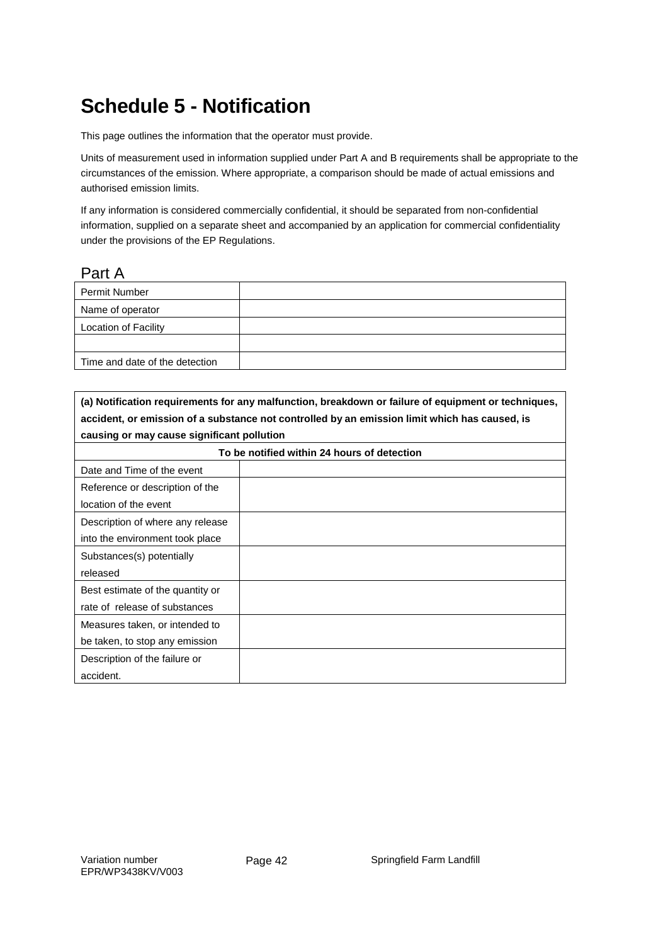# **Schedule 5 - Notification**

This page outlines the information that the operator must provide.

Units of measurement used in information supplied under Part A and B requirements shall be appropriate to the circumstances of the emission. Where appropriate, a comparison should be made of actual emissions and authorised emission limits.

If any information is considered commercially confidential, it should be separated from non-confidential information, supplied on a separate sheet and accompanied by an application for commercial confidentiality under the provisions of the EP Regulations.

#### Part A

| Permit Number                  |  |
|--------------------------------|--|
| Name of operator               |  |
| Location of Facility           |  |
|                                |  |
| Time and date of the detection |  |

| (a) Notification requirements for any malfunction, breakdown or failure of equipment or techniques, |  |  |
|-----------------------------------------------------------------------------------------------------|--|--|
| accident, or emission of a substance not controlled by an emission limit which has caused, is       |  |  |
| causing or may cause significant pollution                                                          |  |  |
| To be notified within 24 hours of detection                                                         |  |  |
| Date and Time of the event                                                                          |  |  |
| Reference or description of the                                                                     |  |  |
| location of the event                                                                               |  |  |
| Description of where any release                                                                    |  |  |
| into the environment took place                                                                     |  |  |
| Substances(s) potentially                                                                           |  |  |
| released                                                                                            |  |  |
| Best estimate of the quantity or                                                                    |  |  |
| rate of release of substances                                                                       |  |  |
| Measures taken, or intended to                                                                      |  |  |
| be taken, to stop any emission                                                                      |  |  |
| Description of the failure or                                                                       |  |  |
| accident.                                                                                           |  |  |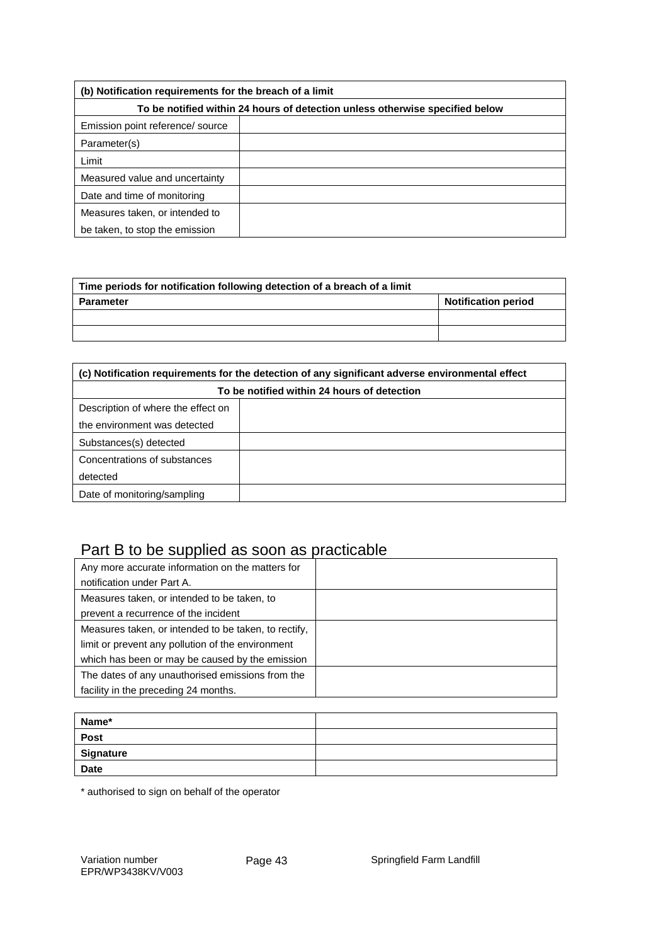| (b) Notification requirements for the breach of a limit                      |  |  |
|------------------------------------------------------------------------------|--|--|
| To be notified within 24 hours of detection unless otherwise specified below |  |  |
| Emission point reference/ source                                             |  |  |
| Parameter(s)                                                                 |  |  |
| Limit                                                                        |  |  |
| Measured value and uncertainty                                               |  |  |
| Date and time of monitoring                                                  |  |  |
| Measures taken, or intended to                                               |  |  |
| be taken, to stop the emission                                               |  |  |

| Time periods for notification following detection of a breach of a limit |                            |  |
|--------------------------------------------------------------------------|----------------------------|--|
| Parameter                                                                | <b>Notification period</b> |  |
|                                                                          |                            |  |
|                                                                          |                            |  |

| (c) Notification requirements for the detection of any significant adverse environmental effect |  |  |
|-------------------------------------------------------------------------------------------------|--|--|
| To be notified within 24 hours of detection                                                     |  |  |
| Description of where the effect on                                                              |  |  |
| the environment was detected                                                                    |  |  |
| Substances(s) detected                                                                          |  |  |
| Concentrations of substances                                                                    |  |  |
| detected                                                                                        |  |  |
| Date of monitoring/sampling                                                                     |  |  |

### Part B to be supplied as soon as practicable

| Any more accurate information on the matters for     |  |
|------------------------------------------------------|--|
| notification under Part A.                           |  |
| Measures taken, or intended to be taken, to          |  |
| prevent a recurrence of the incident                 |  |
| Measures taken, or intended to be taken, to rectify, |  |
| limit or prevent any pollution of the environment    |  |
| which has been or may be caused by the emission      |  |
| The dates of any unauthorised emissions from the     |  |
| facility in the preceding 24 months.                 |  |

| Name*       |  |
|-------------|--|
| Post        |  |
| Signature   |  |
| <b>Date</b> |  |

\* authorised to sign on behalf of the operator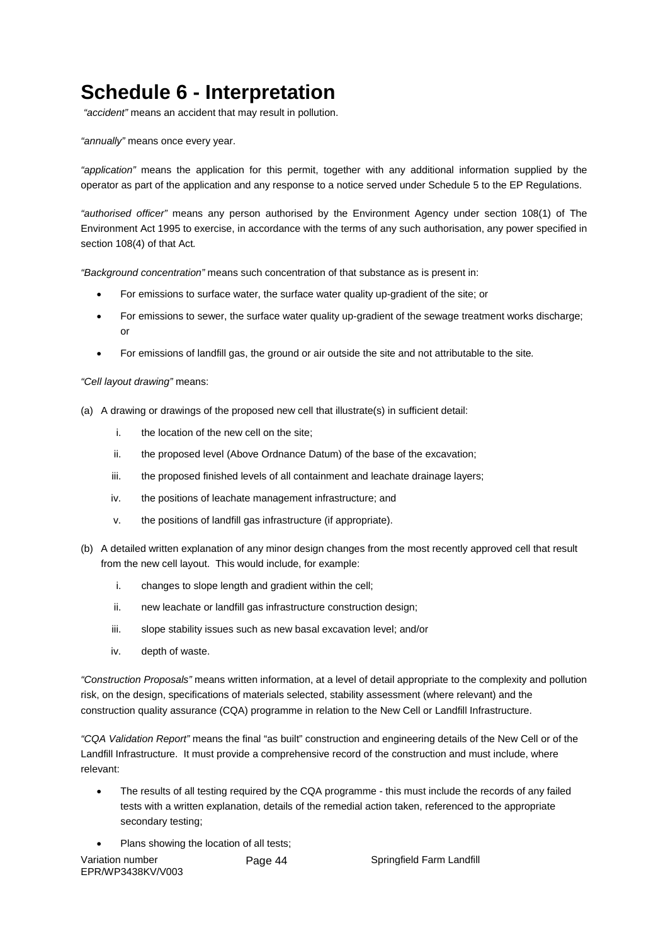# **Schedule 6 - Interpretation**

*"accident"* means an accident that may result in pollution.

*"annually"* means once every year.

*"application"* means the application for this permit, together with any additional information supplied by the operator as part of the application and any response to a notice served under Schedule 5 to the EP Regulations.

*"authorised officer"* means any person authorised by the Environment Agency under section 108(1) of The Environment Act 1995 to exercise, in accordance with the terms of any such authorisation, any power specified in section 108(4) of that Act*.*

*"Background concentration"* means such concentration of that substance as is present in:

- For emissions to surface water, the surface water quality up-gradient of the site; or
- For emissions to sewer, the surface water quality up-gradient of the sewage treatment works discharge; or
- For emissions of landfill gas, the ground or air outside the site and not attributable to the site*.*

#### *"Cell layout drawing"* means:

- (a) A drawing or drawings of the proposed new cell that illustrate(s) in sufficient detail:
	- i. the location of the new cell on the site;
	- ii. the proposed level (Above Ordnance Datum) of the base of the excavation;
	- iii. the proposed finished levels of all containment and leachate drainage layers;
	- iv. the positions of leachate management infrastructure; and
	- v. the positions of landfill gas infrastructure (if appropriate).
- (b) A detailed written explanation of any minor design changes from the most recently approved cell that result from the new cell layout. This would include, for example:
	- i. changes to slope length and gradient within the cell;
	- ii. new leachate or landfill gas infrastructure construction design;
	- iii. slope stability issues such as new basal excavation level; and/or
	- iv. depth of waste.

*"Construction Proposals"* means written information, at a level of detail appropriate to the complexity and pollution risk, on the design, specifications of materials selected, stability assessment (where relevant) and the construction quality assurance (CQA) programme in relation to the New Cell or Landfill Infrastructure.

*"CQA Validation Report"* means the final "as built" construction and engineering details of the New Cell or of the Landfill Infrastructure. It must provide a comprehensive record of the construction and must include, where relevant:

- The results of all testing required by the CQA programme this must include the records of any failed tests with a written explanation, details of the remedial action taken, referenced to the appropriate secondary testing;
- Plans showing the location of all tests:

| Variation number  | Page 44 |
|-------------------|---------|
| EPR/WP3438KV/V003 |         |

Springfield Farm Landfill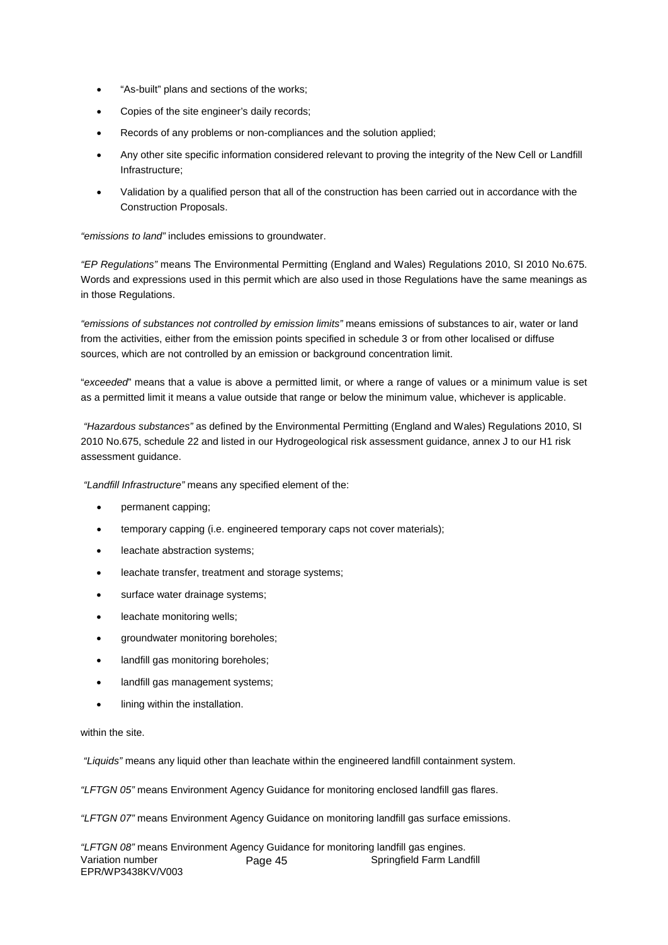- "As-built" plans and sections of the works;
- Copies of the site engineer's daily records;
- Records of any problems or non-compliances and the solution applied;
- Any other site specific information considered relevant to proving the integrity of the New Cell or Landfill Infrastructure;
- Validation by a qualified person that all of the construction has been carried out in accordance with the Construction Proposals.

*"emissions to land"* includes emissions to groundwater.

*"EP Regulations"* means The Environmental Permitting (England and Wales) Regulations 2010, SI 2010 No.675. Words and expressions used in this permit which are also used in those Regulations have the same meanings as in those Regulations.

*"emissions of substances not controlled by emission limits"* means emissions of substances to air, water or land from the activities, either from the emission points specified in schedule 3 or from other localised or diffuse sources, which are not controlled by an emission or background concentration limit.

"*exceeded*" means that a value is above a permitted limit, or where a range of values or a minimum value is set as a permitted limit it means a value outside that range or below the minimum value, whichever is applicable.

*"Hazardous substances"* as defined by the Environmental Permitting (England and Wales) Regulations 2010, SI 2010 No.675, schedule 22 and listed in our Hydrogeological risk assessment guidance, annex J to our H1 risk assessment guidance.

*"Landfill Infrastructure"* means any specified element of the:

- permanent capping;
- temporary capping (i.e. engineered temporary caps not cover materials);
- leachate abstraction systems;
- leachate transfer, treatment and storage systems;
- surface water drainage systems;
- leachate monitoring wells;
- groundwater monitoring boreholes;
- landfill gas monitoring boreholes;
- landfill gas management systems;
- lining within the installation.

within the site.

*"Liquids"* means any liquid other than leachate within the engineered landfill containment system.

*"LFTGN 05"* means Environment Agency Guidance for monitoring enclosed landfill gas flares.

*"LFTGN 07"* means Environment Agency Guidance on monitoring landfill gas surface emissions.

*"LFTGN 08"* means Environment Agency Guidance for monitoring landfill gas engines. Variation number EPR/WP3438KV/V003 Page 45 Springfield Farm Landfill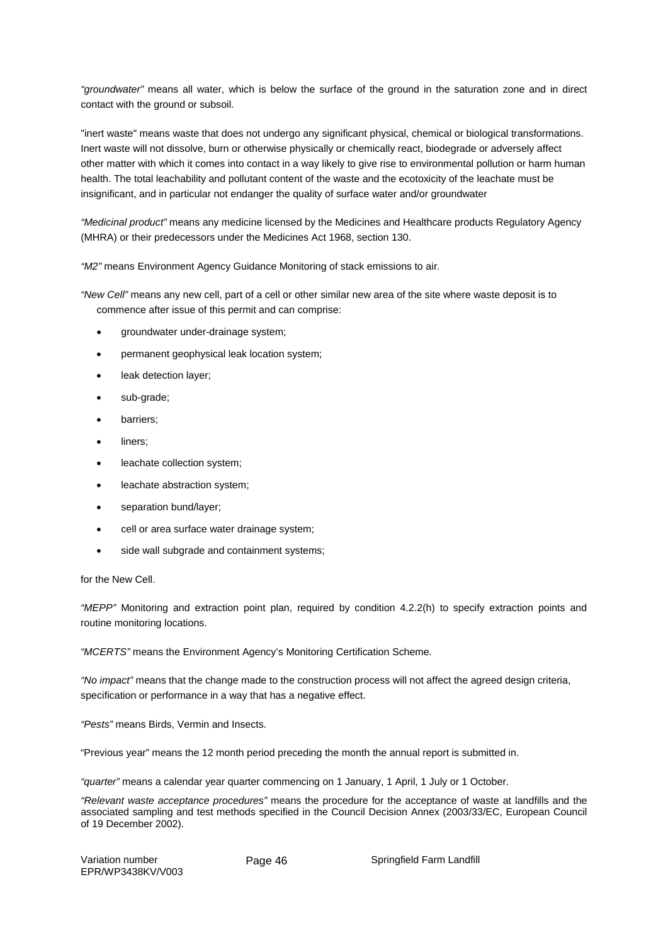*"groundwater"* means all water, which is below the surface of the ground in the saturation zone and in direct contact with the ground or subsoil.

"inert waste" means waste that does not undergo any significant physical, chemical or biological transformations. Inert waste will not dissolve, burn or otherwise physically or chemically react, biodegrade or adversely affect other matter with which it comes into contact in a way likely to give rise to environmental pollution or harm human health. The total leachability and pollutant content of the waste and the ecotoxicity of the leachate must be insignificant, and in particular not endanger the quality of surface water and/or groundwater

*"Medicinal product"* means any medicine licensed by the Medicines and Healthcare products Regulatory Agency (MHRA) or their predecessors under the Medicines Act 1968, section 130.

*"M2"* means Environment Agency Guidance Monitoring of stack emissions to air.

*"New Cell"* means any new cell, part of a cell or other similar new area of the site where waste deposit is to commence after issue of this permit and can comprise:

- groundwater under-drainage system;
- permanent geophysical leak location system;
- leak detection layer;
- sub-grade;
- barriers;
- liners:
- leachate collection system;
- leachate abstraction system;
- separation bund/layer;
- cell or area surface water drainage system;
- side wall subgrade and containment systems;

for the New Cell.

*"MEPP"* Monitoring and extraction point plan, required by condition 4.2.2(h) to specify extraction points and routine monitoring locations.

*"MCERTS"* means the Environment Agency's Monitoring Certification Scheme*.*

*"No impact"* means that the change made to the construction process will not affect the agreed design criteria, specification or performance in a way that has a negative effect.

*"Pests"* means Birds, Vermin and Insects.

"Previous year" means the 12 month period preceding the month the annual report is submitted in.

*"quarter"* means a calendar year quarter commencing on 1 January, 1 April, 1 July or 1 October.

*"Relevant waste acceptance procedures"* means the procedure for the acceptance of waste at landfills and the associated sampling and test methods specified in the Council Decision Annex (2003/33/EC, European Council of 19 December 2002).

Variation number EPR/WP3438KV/V003

Page 46 Springfield Farm Landfill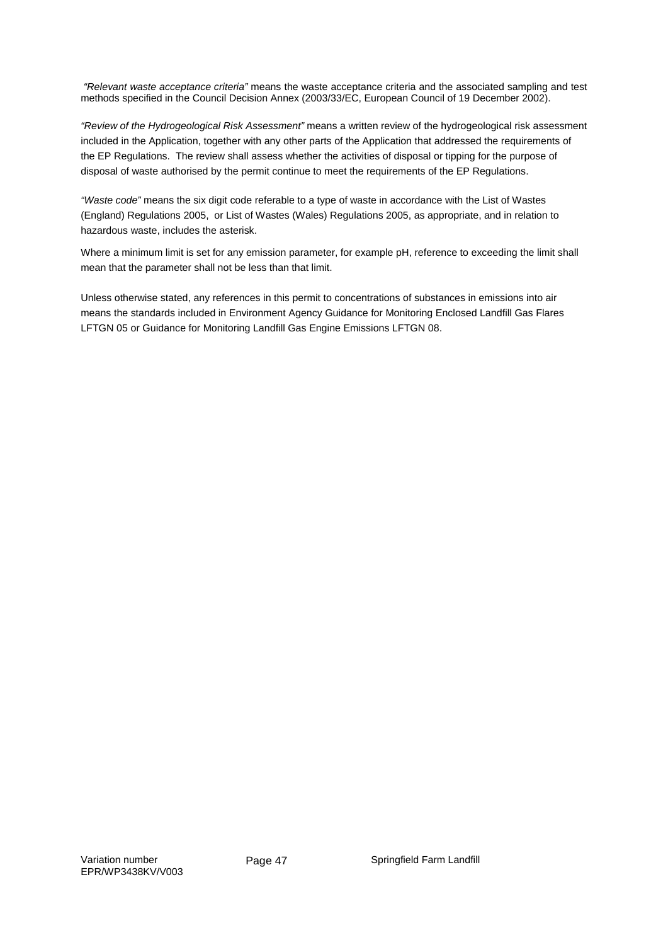*"Relevant waste acceptance criteria"* means the waste acceptance criteria and the associated sampling and test methods specified in the Council Decision Annex (2003/33/EC, European Council of 19 December 2002).

*"Review of the Hydrogeological Risk Assessment"* means a written review of the hydrogeological risk assessment included in the Application, together with any other parts of the Application that addressed the requirements of the EP Regulations. The review shall assess whether the activities of disposal or tipping for the purpose of disposal of waste authorised by the permit continue to meet the requirements of the EP Regulations.

*"Waste code"* means the six digit code referable to a type of waste in accordance with the List of Wastes (England) Regulations 2005, or List of Wastes (Wales) Regulations 2005, as appropriate, and in relation to hazardous waste, includes the asterisk.

Where a minimum limit is set for any emission parameter, for example pH, reference to exceeding the limit shall mean that the parameter shall not be less than that limit.

Unless otherwise stated, any references in this permit to concentrations of substances in emissions into air means the standards included in Environment Agency Guidance for Monitoring Enclosed Landfill Gas Flares LFTGN 05 or Guidance for Monitoring Landfill Gas Engine Emissions LFTGN 08.